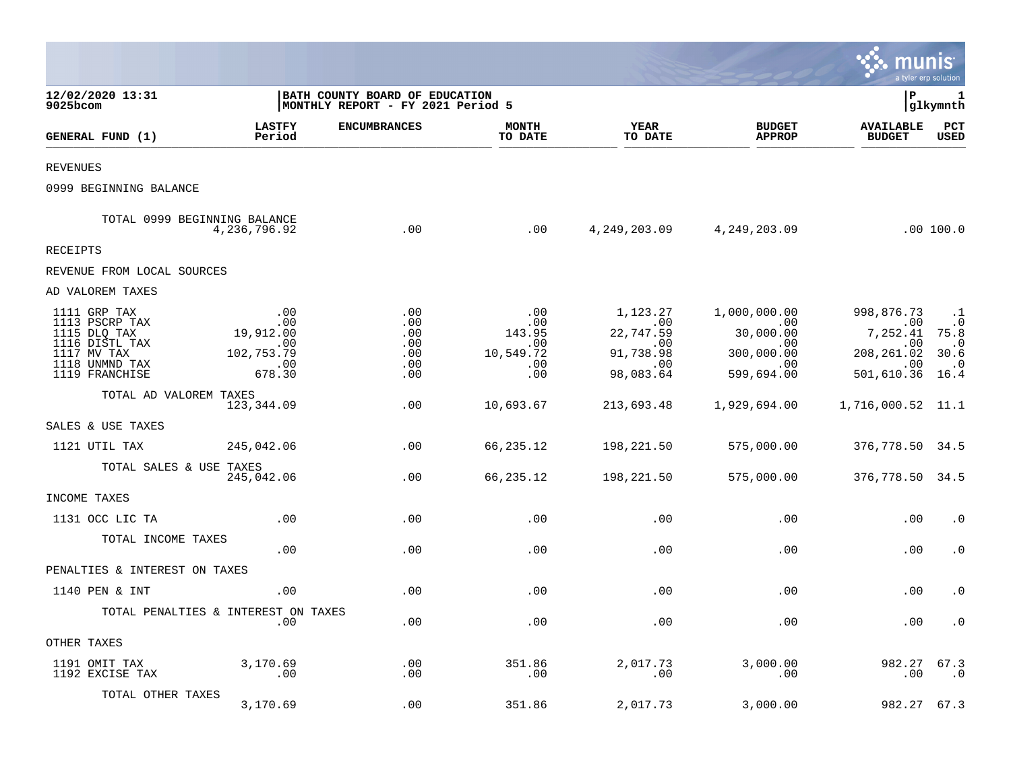|                                                                                                                     |                                                                      |                                                                     |                                                        |                                                                       |                                                                                  | munis                                                                         | a tyler erp solution                                               |
|---------------------------------------------------------------------------------------------------------------------|----------------------------------------------------------------------|---------------------------------------------------------------------|--------------------------------------------------------|-----------------------------------------------------------------------|----------------------------------------------------------------------------------|-------------------------------------------------------------------------------|--------------------------------------------------------------------|
| 12/02/2020 13:31<br>9025bcom                                                                                        |                                                                      | BATH COUNTY BOARD OF EDUCATION<br>MONTHLY REPORT - FY 2021 Period 5 |                                                        |                                                                       |                                                                                  | l P                                                                           | 1<br> glkymnth                                                     |
| GENERAL FUND (1)                                                                                                    | <b>LASTFY</b><br>Period                                              | <b>ENCUMBRANCES</b>                                                 | <b>MONTH</b><br>TO DATE                                | YEAR<br>TO DATE                                                       | <b>BUDGET</b><br><b>APPROP</b>                                                   | <b>AVAILABLE</b><br><b>BUDGET</b>                                             | PCT<br><b>USED</b>                                                 |
| <b>REVENUES</b>                                                                                                     |                                                                      |                                                                     |                                                        |                                                                       |                                                                                  |                                                                               |                                                                    |
| 0999 BEGINNING BALANCE                                                                                              |                                                                      |                                                                     |                                                        |                                                                       |                                                                                  |                                                                               |                                                                    |
|                                                                                                                     | TOTAL 0999 BEGINNING BALANCE<br>4,236,796.92                         | .00                                                                 | .00                                                    |                                                                       | 4, 249, 203.09 4, 249, 203.09                                                    |                                                                               | .00 100.0                                                          |
| <b>RECEIPTS</b>                                                                                                     |                                                                      |                                                                     |                                                        |                                                                       |                                                                                  |                                                                               |                                                                    |
| REVENUE FROM LOCAL SOURCES                                                                                          |                                                                      |                                                                     |                                                        |                                                                       |                                                                                  |                                                                               |                                                                    |
| AD VALOREM TAXES                                                                                                    |                                                                      |                                                                     |                                                        |                                                                       |                                                                                  |                                                                               |                                                                    |
| 1111 GRP TAX<br>1113 PSCRP TAX<br>1115 DLQ TAX<br>1116 DISTL TAX<br>1117 MV TAX<br>1118 UNMND TAX<br>1119 FRANCHISE | .00<br>.00<br>19,912.00<br>.00<br>102,753.79<br>$\sim$ .00<br>678.30 | .00<br>.00<br>.00<br>.00<br>.00<br>.00<br>.00                       | .00<br>.00<br>143.95<br>.00<br>10,549.72<br>.00<br>.00 | 1,123.27<br>00.<br>22,747.59<br>.00.<br>91,738.98<br>.00<br>98,083.64 | 1,000,000.00<br>00.<br>30,000.00<br>.00<br>300,000.00<br>$\sim 00$<br>599,694.00 | 998,876.73<br>.00<br>7,252.41 75.8<br>.00<br>208, 261.02<br>.00<br>501,610.36 | $\cdot$ .1<br>$\cdot$ 0<br>$\cdot$ 0<br>30.6<br>$\cdot$ .0<br>16.4 |
| TOTAL AD VALOREM TAXES                                                                                              | 123,344.09                                                           | .00                                                                 | 10,693.67                                              | 213,693.48                                                            | 1,929,694.00                                                                     | 1,716,000.52 11.1                                                             |                                                                    |
| SALES & USE TAXES                                                                                                   |                                                                      |                                                                     |                                                        |                                                                       |                                                                                  |                                                                               |                                                                    |
| 1121 UTIL TAX                                                                                                       | 245,042.06                                                           | .00                                                                 | 66,235.12                                              | 198,221.50                                                            | 575,000.00                                                                       | 376,778.50 34.5                                                               |                                                                    |
| TOTAL SALES & USE TAXES                                                                                             | 245,042.06                                                           | .00                                                                 | 66,235.12                                              | 198,221.50                                                            | 575,000.00                                                                       | 376,778.50 34.5                                                               |                                                                    |
| INCOME TAXES                                                                                                        |                                                                      |                                                                     |                                                        |                                                                       |                                                                                  |                                                                               |                                                                    |
| 1131 OCC LIC TA                                                                                                     | .00                                                                  | .00                                                                 | .00                                                    | .00                                                                   | .00                                                                              | .00                                                                           | $\cdot$ 0                                                          |
| TOTAL INCOME TAXES                                                                                                  | .00                                                                  | .00                                                                 | .00                                                    | .00                                                                   | .00                                                                              | .00                                                                           | $\cdot$ 0                                                          |
| PENALTIES & INTEREST ON TAXES                                                                                       |                                                                      |                                                                     |                                                        |                                                                       |                                                                                  |                                                                               |                                                                    |
| 1140 PEN & INT                                                                                                      | .00                                                                  | .00                                                                 | .00                                                    | .00                                                                   | .00                                                                              | .00                                                                           | $\cdot$ 0                                                          |
|                                                                                                                     | TOTAL PENALTIES & INTEREST ON TAXES<br>.00                           | .00                                                                 | .00                                                    | .00                                                                   | .00                                                                              | .00                                                                           | $\cdot$ 0                                                          |
| OTHER TAXES                                                                                                         |                                                                      |                                                                     |                                                        |                                                                       |                                                                                  |                                                                               |                                                                    |
| 1191 OMIT TAX<br>1192 EXCISE TAX                                                                                    | 3,170.69<br>$\overline{\phantom{0}}$ .00                             | .00<br>.00                                                          | 351.86<br>.00                                          | 2,017.73<br>.00                                                       | 3,000.00<br>.00                                                                  | 982.27<br>.00                                                                 | 67.3<br>. 0                                                        |
| TOTAL OTHER TAXES                                                                                                   | 3,170.69                                                             | .00                                                                 | 351.86                                                 | 2,017.73                                                              | 3,000.00                                                                         | 982.27                                                                        | 67.3                                                               |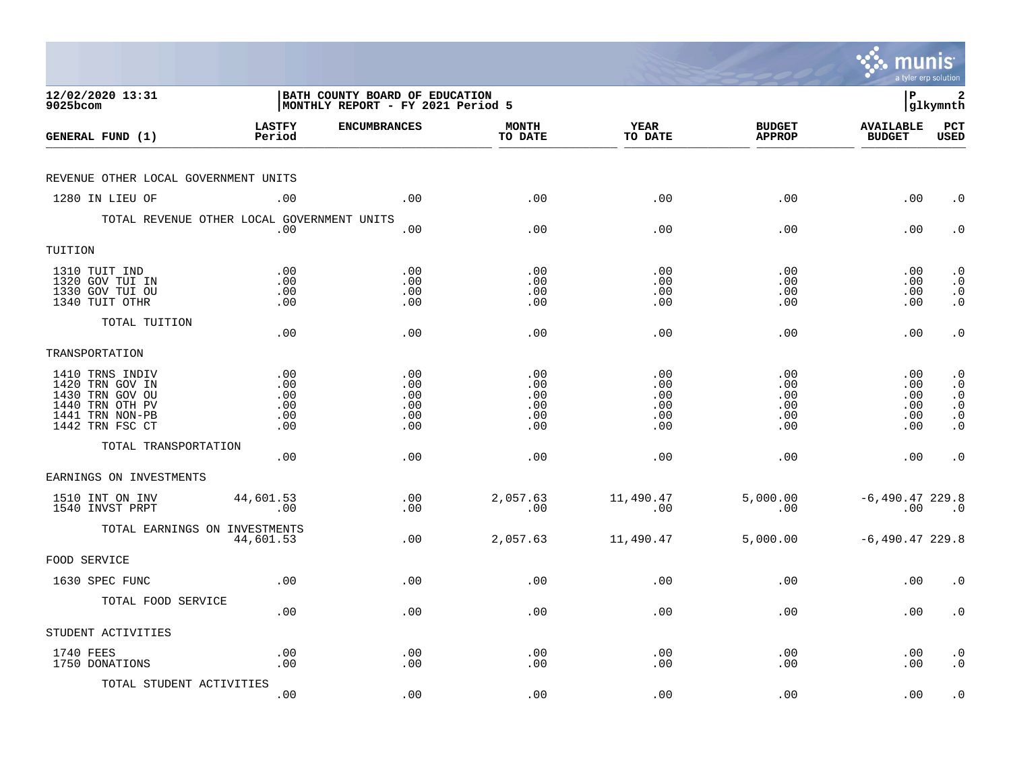|                                                                                                                |                                        |                                                                     |                                        |                                        |                                        | munis<br>a tyler erp solution          |                                                                            |
|----------------------------------------------------------------------------------------------------------------|----------------------------------------|---------------------------------------------------------------------|----------------------------------------|----------------------------------------|----------------------------------------|----------------------------------------|----------------------------------------------------------------------------|
| 12/02/2020 13:31<br>9025bcom                                                                                   |                                        | BATH COUNTY BOARD OF EDUCATION<br>MONTHLY REPORT - FY 2021 Period 5 |                                        |                                        |                                        | l P                                    | 2<br> glkymnth                                                             |
| GENERAL FUND (1)                                                                                               | <b>LASTFY</b><br>Period                | <b>ENCUMBRANCES</b>                                                 | <b>MONTH</b><br>TO DATE                | <b>YEAR</b><br>TO DATE                 | <b>BUDGET</b><br><b>APPROP</b>         | <b>AVAILABLE</b><br><b>BUDGET</b>      | $_{\rm PCT}$<br><b>USED</b>                                                |
| REVENUE OTHER LOCAL GOVERNMENT UNITS                                                                           |                                        |                                                                     |                                        |                                        |                                        |                                        |                                                                            |
| 1280 IN LIEU OF                                                                                                | .00                                    | .00                                                                 | .00                                    | .00                                    | .00                                    | .00                                    | $\cdot$ 0                                                                  |
| TOTAL REVENUE OTHER LOCAL GOVERNMENT UNITS                                                                     | .00                                    | .00                                                                 | .00                                    | .00                                    | .00                                    | .00                                    | $\cdot$ 0                                                                  |
| TUITION                                                                                                        |                                        |                                                                     |                                        |                                        |                                        |                                        |                                                                            |
| 1310 TUIT IND<br>1320 GOV TUI IN<br>1330 GOV TUI OU<br>1340 TUIT OTHR                                          | .00<br>.00<br>.00<br>.00               | .00<br>.00<br>.00<br>.00                                            | .00<br>.00<br>.00<br>.00               | .00<br>.00<br>.00<br>.00               | .00<br>.00<br>.00<br>.00               | .00<br>.00<br>.00<br>.00               | $\cdot$ 0<br>$\cdot$ 0<br>$\cdot$ 0<br>$\cdot$ 0                           |
| TOTAL TUITION                                                                                                  | .00                                    | .00                                                                 | .00                                    | .00                                    | .00                                    | .00                                    | $\cdot$ 0                                                                  |
| TRANSPORTATION                                                                                                 |                                        |                                                                     |                                        |                                        |                                        |                                        |                                                                            |
| 1410 TRNS INDIV<br>1420 TRN GOV IN<br>1430 TRN GOV OU<br>1440 TRN OTH PV<br>1441 TRN NON-PB<br>1442 TRN FSC CT | .00<br>.00<br>.00<br>.00<br>.00<br>.00 | .00<br>.00<br>.00<br>.00<br>.00<br>.00                              | .00<br>.00<br>.00<br>.00<br>.00<br>.00 | .00<br>.00<br>.00<br>.00<br>.00<br>.00 | .00<br>.00<br>.00<br>.00<br>.00<br>.00 | .00<br>.00<br>.00<br>.00<br>.00<br>.00 | $\cdot$ 0<br>$\cdot$ 0<br>$\cdot$ 0<br>$\cdot$ 0<br>$\cdot$ 0<br>$\cdot$ 0 |
| TOTAL TRANSPORTATION                                                                                           | .00                                    | .00                                                                 | .00                                    | .00                                    | .00                                    | .00                                    | $\cdot$ 0                                                                  |
| EARNINGS ON INVESTMENTS                                                                                        |                                        |                                                                     |                                        |                                        |                                        |                                        |                                                                            |
| 1510 INT ON INV<br>1540 INVST PRPT                                                                             | 44,601.53<br>.00                       | .00<br>.00                                                          | 2,057.63<br>.00                        | 11,490.47<br>.00                       | 5,000.00<br>.00                        | $-6,490.47$ 229.8<br>.00               | $\cdot$ 0                                                                  |
| TOTAL EARNINGS ON INVESTMENTS                                                                                  | 44,601.53                              | .00                                                                 | 2,057.63                               | 11,490.47                              | 5,000.00                               | $-6,490.47$ 229.8                      |                                                                            |
| FOOD SERVICE                                                                                                   |                                        |                                                                     |                                        |                                        |                                        |                                        |                                                                            |
| 1630 SPEC FUNC                                                                                                 | .00                                    | .00                                                                 | .00                                    | .00                                    | .00                                    | .00                                    | . 0                                                                        |
| TOTAL FOOD SERVICE                                                                                             | .00                                    | .00                                                                 | .00                                    | .00                                    | .00                                    | .00                                    | $\cdot$ 0                                                                  |
| STUDENT ACTIVITIES                                                                                             |                                        |                                                                     |                                        |                                        |                                        |                                        |                                                                            |
| 1740 FEES<br>1750 DONATIONS                                                                                    | .00<br>.00                             | .00<br>.00                                                          | .00<br>.00                             | .00<br>.00                             | .00<br>.00                             | .00<br>.00                             | $\cdot$ 0<br>$\cdot$ 0                                                     |
| TOTAL STUDENT ACTIVITIES                                                                                       | .00                                    | .00                                                                 | .00                                    | .00                                    | .00                                    | .00                                    | $\cdot$ 0                                                                  |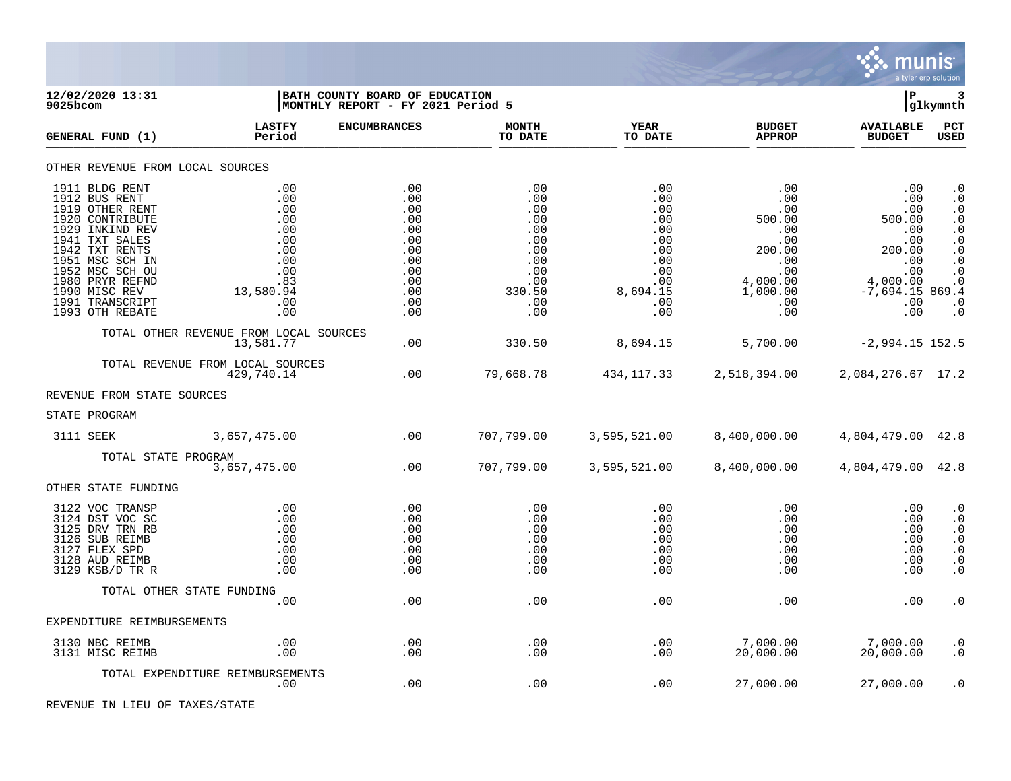

| 12/02/2020 13:31<br>9025bcom                                                                                                                                                                                                                 |                                                                                               | BATH COUNTY BOARD OF EDUCATION<br>MONTHLY REPORT - FY 2021 Period 5                     |                                                                                            |                                                                                                   |                                                                                                         | ∣P                                                                                                              | 3<br> glkymnth                                                                                                                                           |
|----------------------------------------------------------------------------------------------------------------------------------------------------------------------------------------------------------------------------------------------|-----------------------------------------------------------------------------------------------|-----------------------------------------------------------------------------------------|--------------------------------------------------------------------------------------------|---------------------------------------------------------------------------------------------------|---------------------------------------------------------------------------------------------------------|-----------------------------------------------------------------------------------------------------------------|----------------------------------------------------------------------------------------------------------------------------------------------------------|
| GENERAL FUND (1)                                                                                                                                                                                                                             | <b>LASTFY</b><br>Period                                                                       | <b>ENCUMBRANCES</b>                                                                     | <b>MONTH</b><br>TO DATE                                                                    | <b>YEAR</b><br>TO DATE                                                                            | <b>BUDGET</b><br><b>APPROP</b>                                                                          | <b>AVAILABLE</b><br><b>BUDGET</b>                                                                               | <b>PCT</b><br>USED                                                                                                                                       |
| OTHER REVENUE FROM LOCAL SOURCES                                                                                                                                                                                                             |                                                                                               |                                                                                         |                                                                                            |                                                                                                   |                                                                                                         |                                                                                                                 |                                                                                                                                                          |
| 1911 BLDG RENT<br>1912 BUS RENT<br>1919 OTHER RENT<br>1920 CONTRIBUTE<br>1929 INKIND REV<br>1941 TXT SALES<br>1942 TXT RENTS<br>1951 MSC SCH IN<br>1952 MSC SCH OU<br>1980 PRYR REFND<br>1990 MISC REV<br>1991 TRANSCRIPT<br>1993 OTH REBATE | .00<br>.00<br>.00<br>.00<br>.00<br>.00<br>.00<br>.00<br>.00<br>.83<br>13,580.94<br>.00<br>.00 | .00<br>.00<br>.00<br>.00<br>.00<br>.00<br>.00<br>.00<br>.00<br>.00<br>.00<br>.00<br>.00 | .00<br>.00<br>.00<br>.00<br>.00<br>.00<br>.00<br>.00<br>.00<br>.00<br>330.50<br>.00<br>.00 | .00<br>.00<br>.00<br>.00<br>.00<br>.00<br>.00<br>$.00 \,$<br>.00<br>.00<br>8,694.15<br>.00<br>.00 | .00<br>.00<br>.00<br>500.00<br>.00<br>.00<br>200.00<br>.00<br>.00<br>4,000.00<br>1,000.00<br>.00<br>.00 | .00<br>.00<br>.00<br>500.00<br>.00<br>.00<br>200.00<br>.00<br>.00<br>4,000.00<br>$-7,694.15869.4$<br>.00<br>.00 | $\cdot$ 0<br>$\cdot$ 0<br>$\cdot$ 0<br>$\cdot$ 0<br>$\cdot$ 0<br>$\cdot$ 0<br>$\cdot$ 0<br>$\cdot$ 0<br>$\cdot$ 0<br>$\cdot$ 0<br>$\cdot$ 0<br>$\cdot$ 0 |
|                                                                                                                                                                                                                                              | TOTAL OTHER REVENUE FROM LOCAL SOURCES<br>13,581.77                                           | .00                                                                                     | 330.50                                                                                     | 8,694.15                                                                                          | 5,700.00                                                                                                | $-2,994.15$ 152.5                                                                                               |                                                                                                                                                          |
|                                                                                                                                                                                                                                              | TOTAL REVENUE FROM LOCAL SOURCES<br>429,740.14                                                | .00                                                                                     | 79,668.78                                                                                  | 434,117.33                                                                                        | 2,518,394.00                                                                                            | 2,084,276.67 17.2                                                                                               |                                                                                                                                                          |
| REVENUE FROM STATE SOURCES                                                                                                                                                                                                                   |                                                                                               |                                                                                         |                                                                                            |                                                                                                   |                                                                                                         |                                                                                                                 |                                                                                                                                                          |
| STATE PROGRAM                                                                                                                                                                                                                                |                                                                                               |                                                                                         |                                                                                            |                                                                                                   |                                                                                                         |                                                                                                                 |                                                                                                                                                          |
| 3111 SEEK                                                                                                                                                                                                                                    | 3,657,475.00                                                                                  | .00                                                                                     | 707,799.00                                                                                 | 3,595,521.00                                                                                      | 8,400,000.00                                                                                            | 4,804,479.00 42.8                                                                                               |                                                                                                                                                          |
|                                                                                                                                                                                                                                              | TOTAL STATE PROGRAM<br>3,657,475.00                                                           | .00                                                                                     | 707,799.00                                                                                 | 3,595,521.00                                                                                      | 8,400,000.00                                                                                            | 4,804,479.00 42.8                                                                                               |                                                                                                                                                          |
| OTHER STATE FUNDING                                                                                                                                                                                                                          |                                                                                               |                                                                                         |                                                                                            |                                                                                                   |                                                                                                         |                                                                                                                 |                                                                                                                                                          |
| 3122 VOC TRANSP<br>3124 DST VOC SC<br>3125 DRV TRN RB<br>3126 SUB REIMB<br>3127 FLEX SPD<br>3128 AUD REIMB<br>3129 KSB/D TR R                                                                                                                | .00<br>.00<br>.00<br>.00<br>.00<br>.00<br>.00                                                 | .00<br>.00<br>.00<br>.00<br>.00<br>.00<br>.00                                           | $.00 \,$<br>.00<br>.00<br>.00<br>$.00 \,$<br>.00<br>.00                                    | .00<br>.00<br>.00<br>.00<br>.00<br>.00<br>.00                                                     | .00<br>.00<br>.00<br>.00<br>.00<br>.00<br>.00                                                           | .00<br>.00<br>.00<br>.00<br>.00<br>.00<br>.00                                                                   | $\cdot$ 0<br>$\cdot$ 0<br>$\cdot$ 0<br>$\cdot$ 0<br>$\cdot$ 0<br>. $\boldsymbol{0}$<br>$\cdot$ 0                                                         |
|                                                                                                                                                                                                                                              | TOTAL OTHER STATE FUNDING                                                                     |                                                                                         |                                                                                            |                                                                                                   |                                                                                                         |                                                                                                                 |                                                                                                                                                          |
| EXPENDITURE REIMBURSEMENTS                                                                                                                                                                                                                   | .00                                                                                           | .00                                                                                     | .00                                                                                        | .00                                                                                               | .00                                                                                                     | .00                                                                                                             | $\cdot$ 0                                                                                                                                                |
|                                                                                                                                                                                                                                              |                                                                                               |                                                                                         |                                                                                            |                                                                                                   |                                                                                                         |                                                                                                                 |                                                                                                                                                          |
| 3130 NBC REIMB<br>3131 MISC REIMB                                                                                                                                                                                                            | $.00 \,$<br>.00                                                                               | .00<br>.00                                                                              | .00<br>.00                                                                                 | .00<br>.00                                                                                        | 7,000.00<br>20,000.00                                                                                   | 7,000.00<br>20,000.00                                                                                           | $\cdot$ 0<br>$\cdot$ 0                                                                                                                                   |
|                                                                                                                                                                                                                                              | TOTAL EXPENDITURE REIMBURSEMENTS<br>$.00 \,$                                                  | .00                                                                                     | .00                                                                                        | .00                                                                                               | 27,000.00                                                                                               | 27,000.00                                                                                                       | . 0                                                                                                                                                      |

REVENUE IN LIEU OF TAXES/STATE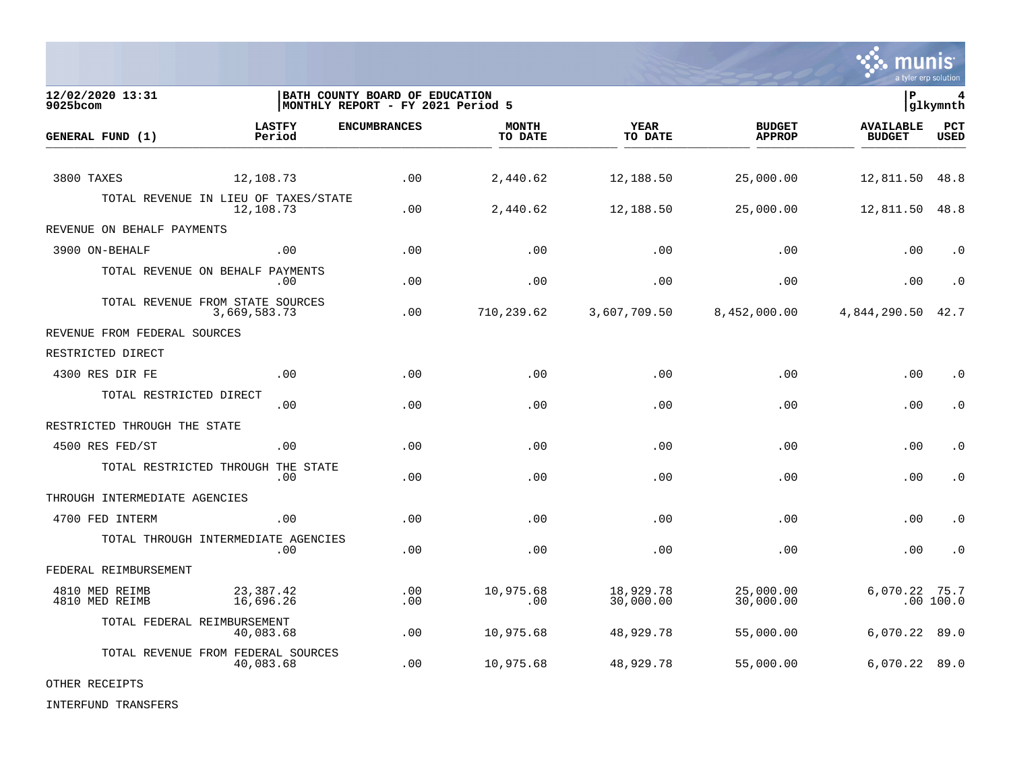

**12/02/2020 13:31 |BATH COUNTY BOARD OF EDUCATION |P 4** MONTHLY REPORT - FY 2021 Period 5 **LASTFY ENCUMBRANCES MONTH YEAR BUDGET AVAILABLE PCT GENERAL FUND (1) Period TO DATE TO DATE APPROP BUDGET USED** TO DATE THE RELIGION CONDUCT TO DATE THE RELIGION CONDUCT TO DATE THE RELIGION OF THE RELIGION OF THE RELIGION OF THE RELIGION OF THE RELIGION OF THE RELIGION OF THE RELIGION OF THE RELIGION OF THE RELIGION OF THE RELIGION 3800 TAXES 12,108.73 .00 2,440.62 12,188.50 25,000.00 12,811.50 48.8 TOTAL REVENUE IN LIEU OF TAXES/STATE<br>12.108.73 12,108.73 .00 2,440.62 12,188.50 25,000.00 12,811.50 48.8 REVENUE ON BEHALF PAYMENTS 3900 ON-BEHALF .00 .00 .00 .00 .00 .00 .0 TOTAL REVENUE ON BEHALF PAYMENTS .00 .00 .00 .00 .00 .00 .0 TOTAL REVENUE FROM STATE SOURCES<br>3.669.583.73 3,669,583.73 .00 710,239.62 3,607,709.50 8,452,000.00 4,844,290.50 42.7 REVENUE FROM FEDERAL SOURCES RESTRICTED DIRECT 4300 RES DIR FE .00 .00 .00 .00 .00 .00 .0 TOTAL RESTRICTED DIRECT .00 .00 .00 .00 .00 .00 .0 RESTRICTED THROUGH THE STATE 4500 RES FED/ST .00 .00 .00 .00 .00 .00 .0 TOTAL RESTRICTED THROUGH THE STATE .00 .00 .00 .00 .00 .00 .0 THROUGH INTERMEDIATE AGENCIES 4700 FED INTERM .00 .00 .00 .00 .00 .00 .0 TOTAL THROUGH INTERMEDIATE AGENCIES .00 .00 .00 .00 .00 .00 .0 FEDERAL REIMBURSEMENT 4810 MED REIMB 23,387.42 .00 10,975.68 18,929.78 25,000.00 6,070.22 75.7 4810 MED REIMB 16,696.26 .00 .00 30,000.00 30,000.00 .00 100.0 TOTAL FEDERAL REIMBURSEMENT 40,083.68 .00 10,975.68 48,929.78 55,000.00 6,070.22 89.0 TOTAL REVENUE FROM FEDERAL SOURCES 40,083.68 .00 10,975.68 48,929.78 55,000.00 6,070.22 89.0

OTHER RECEIPTS

INTERFUND TRANSFERS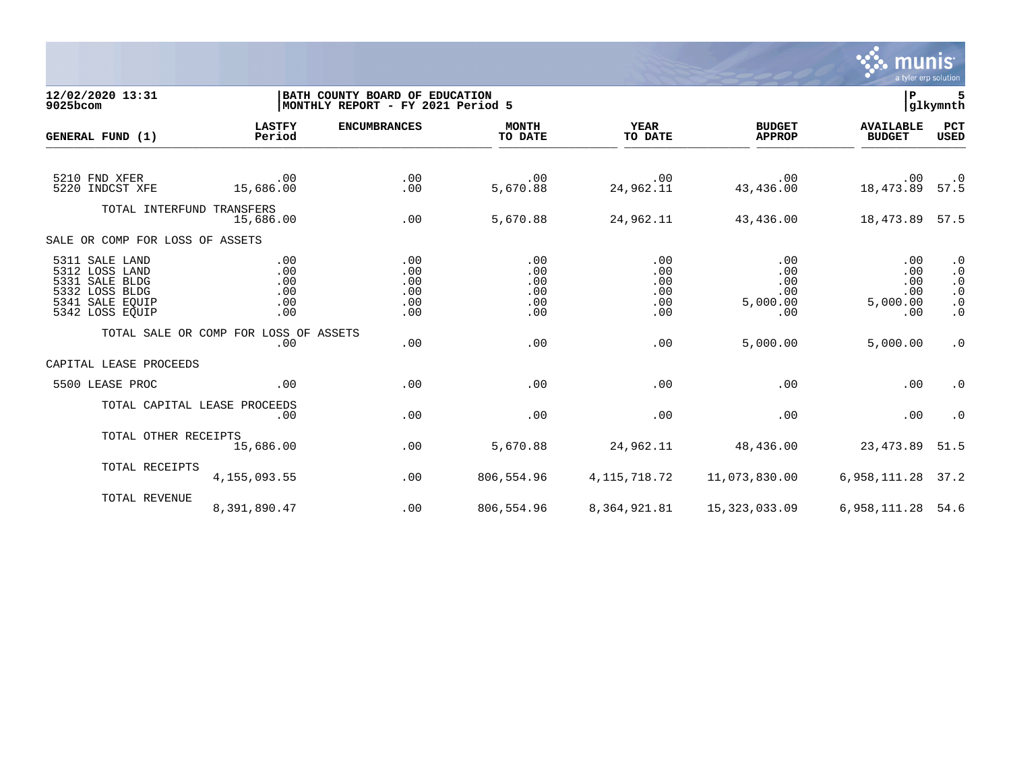

## **12/02/2020 13:31 |BATH COUNTY BOARD OF EDUCATION |P 5 9025bcom |MONTHLY REPORT - FY 2021 Period 5 |glkymnth**

| GENERAL FUND (1)                                                                                           | <b>LASTFY</b><br>Period                      | <b>ENCUMBRANCES</b>                    | <b>MONTH</b><br>TO DATE                | <b>YEAR</b><br>TO DATE                 | <b>BUDGET</b><br><b>APPROP</b>                           | <b>AVAILABLE</b><br><b>BUDGET</b>           | PCT<br>USED                                                                |
|------------------------------------------------------------------------------------------------------------|----------------------------------------------|----------------------------------------|----------------------------------------|----------------------------------------|----------------------------------------------------------|---------------------------------------------|----------------------------------------------------------------------------|
| 5210 FND XFER<br>5220 INDCST XFE                                                                           | $\sim$ 00<br>15,686.00                       | .00<br>.00                             | .00<br>5,670.88                        | $\,$ .00 $\,$<br>24,962.11             | .00<br>43,436.00                                         | 0. 00.<br>57.5 08.473 18                    |                                                                            |
| TOTAL INTERFUND TRANSFERS                                                                                  | 15,686.00                                    | .00                                    | 5,670.88                               | 24,962.11                              | 43,436.00                                                | 18,473.89 57.5                              |                                                                            |
| SALE OR COMP FOR LOSS OF ASSETS                                                                            |                                              |                                        |                                        |                                        |                                                          |                                             |                                                                            |
| 5311 SALE LAND<br>5312 LOSS LAND<br>5331 SALE BLDG<br>5332 LOSS BLDG<br>5341 SALE EOUIP<br>5342 LOSS EQUIP | .00<br>.00<br>.00<br>.00<br>.00<br>.00       | .00<br>.00<br>.00<br>.00<br>.00<br>.00 | .00<br>.00<br>.00<br>.00<br>.00<br>.00 | .00<br>.00<br>.00<br>.00<br>.00<br>.00 | .00<br>.00<br>.00<br>.00<br>5,000.00<br>.00              | .00<br>.00<br>.00<br>.00<br>5,000.00<br>.00 | $\cdot$ 0<br>$\cdot$ 0<br>$\cdot$ 0<br>$\cdot$ 0<br>$\cdot$ 0<br>$\cdot$ 0 |
|                                                                                                            | TOTAL SALE OR COMP FOR LOSS OF ASSETS<br>.00 | .00                                    | .00                                    | .00                                    | 5,000.00                                                 | 5,000.00                                    | $\cdot$ 0                                                                  |
| CAPITAL LEASE PROCEEDS                                                                                     |                                              |                                        |                                        |                                        |                                                          |                                             |                                                                            |
| 5500 LEASE PROC                                                                                            | .00                                          | .00                                    | .00                                    | .00                                    | .00                                                      | .00                                         | $\cdot$ 0                                                                  |
|                                                                                                            | TOTAL CAPITAL LEASE PROCEEDS<br>.00          | .00                                    | .00                                    | .00                                    | .00                                                      | .00                                         | $\cdot$ 0                                                                  |
| TOTAL OTHER RECEIPTS                                                                                       | 15,686.00                                    | .00                                    | 5,670.88                               | 24,962.11                              | 48,436.00                                                | 23,473.89 51.5                              |                                                                            |
| TOTAL RECEIPTS                                                                                             | 4,155,093.55                                 | .00                                    | 806,554.96                             | 4,115,718.72                           | 11,073,830.00                                            | 6, 958, 111. 28 37. 2                       |                                                                            |
| TOTAL REVENUE                                                                                              | 8,391,890.47                                 | .00                                    | 806,554.96                             |                                        | 8, 364, 921.81   15, 323, 033.09   6, 958, 111.28   54.6 |                                             |                                                                            |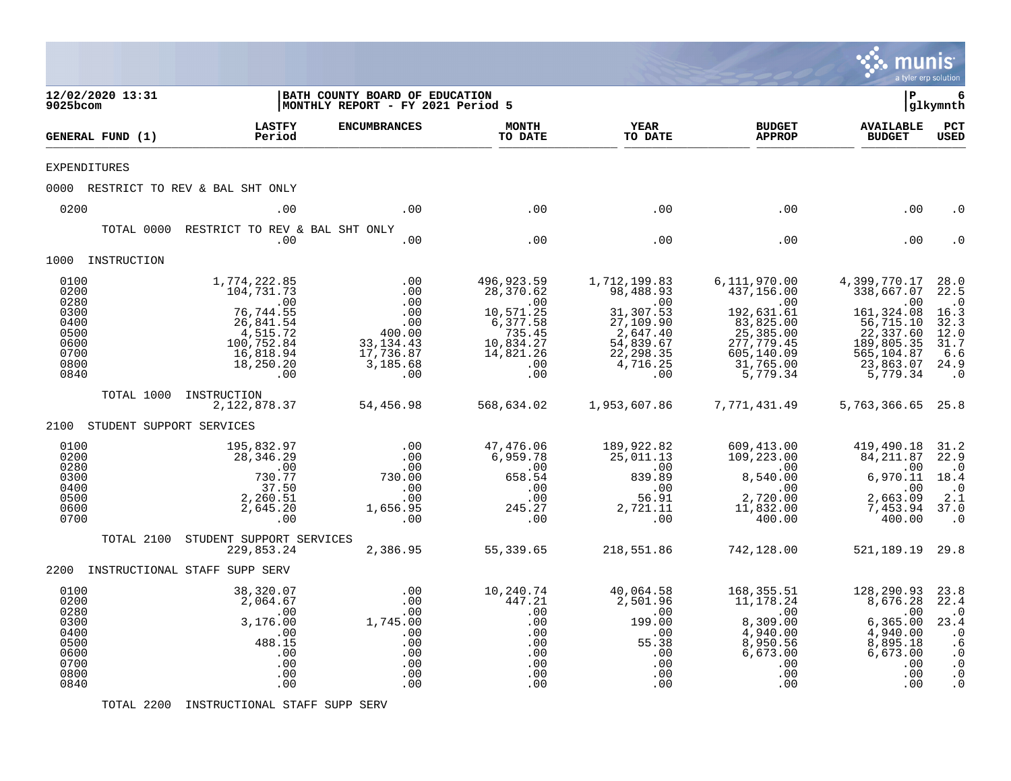|                                                                              |                               |                                                                                                                                             |                                                                                         |                                                                                                           |                                                                                                                            |                                                                                                                                 | munis<br>a tyler erp solution                                                                                                     |                                                                                                                            |
|------------------------------------------------------------------------------|-------------------------------|---------------------------------------------------------------------------------------------------------------------------------------------|-----------------------------------------------------------------------------------------|-----------------------------------------------------------------------------------------------------------|----------------------------------------------------------------------------------------------------------------------------|---------------------------------------------------------------------------------------------------------------------------------|-----------------------------------------------------------------------------------------------------------------------------------|----------------------------------------------------------------------------------------------------------------------------|
| 9025bcom                                                                     | 12/02/2020 13:31              |                                                                                                                                             | BATH COUNTY BOARD OF EDUCATION<br>MONTHLY REPORT - FY 2021 Period 5                     |                                                                                                           |                                                                                                                            |                                                                                                                                 | l P                                                                                                                               | 6<br> glkymnth                                                                                                             |
|                                                                              | GENERAL FUND (1)              | <b>LASTFY</b><br>Period                                                                                                                     | <b>ENCUMBRANCES</b>                                                                     | <b>MONTH</b><br>TO DATE                                                                                   | <b>YEAR</b><br>TO DATE                                                                                                     | <b>BUDGET</b><br><b>APPROP</b>                                                                                                  | <b>AVAILABLE</b><br><b>BUDGET</b>                                                                                                 | PCT<br><b>USED</b>                                                                                                         |
| <b>EXPENDITURES</b>                                                          |                               |                                                                                                                                             |                                                                                         |                                                                                                           |                                                                                                                            |                                                                                                                                 |                                                                                                                                   |                                                                                                                            |
|                                                                              |                               | 0000 RESTRICT TO REV & BAL SHT ONLY                                                                                                         |                                                                                         |                                                                                                           |                                                                                                                            |                                                                                                                                 |                                                                                                                                   |                                                                                                                            |
| 0200                                                                         |                               | .00                                                                                                                                         | .00                                                                                     | .00                                                                                                       | .00                                                                                                                        | .00                                                                                                                             | .00                                                                                                                               | . 0                                                                                                                        |
|                                                                              | TOTAL 0000                    | RESTRICT TO REV & BAL SHT ONLY<br>.00                                                                                                       | .00                                                                                     | .00                                                                                                       | .00                                                                                                                        | .00                                                                                                                             | .00                                                                                                                               |                                                                                                                            |
|                                                                              | 1000 INSTRUCTION              |                                                                                                                                             |                                                                                         |                                                                                                           |                                                                                                                            |                                                                                                                                 |                                                                                                                                   |                                                                                                                            |
| 0100<br>0200<br>0280<br>0300<br>0400<br>0500<br>0600<br>0700<br>0800<br>0840 | TOTAL 1000                    | 1,774,222.85<br>104,731.73<br>$\sim$ 00<br>76,744.55<br>26,841.54<br>4,515.72<br>100,752.84<br>16,818.94<br>18,250.20<br>.00<br>INSTRUCTION | .00<br>.00<br>.00<br>.00<br>.00<br>400.00<br>33, 134.43<br>17,736.87<br>3,185.68<br>.00 | 496,923.59<br>28,370.62<br>.00<br>10,571.25<br>6,377.58<br>735.45<br>10,834.27<br>14,821.26<br>.00<br>.00 | 1,712,199.83<br>98,488.93<br>$\sim$ 00<br>31,307.53<br>27,109.90<br>2,647.40<br>54,839.67<br>22, 298.35<br>4,716.25<br>.00 | 6,111,970.00<br>437,156.00<br>.00<br>192,631.61<br>83,825.00<br>25, 385.00<br>277,779.45<br>605,140.09<br>31,765.00<br>5,779.34 | 4,399,770.17<br>338,667.07<br>.00<br>161, 324.08<br>56, 715.10<br>22, 337.60<br>189,805.35<br>565,104.87<br>23,863.07<br>5,779.34 | 28.0<br>22.5<br>$\cdot$ 0<br>16.3<br>32.3<br>12.0<br>31.7<br>6.6<br>24.9<br>$\cdot$ 0                                      |
|                                                                              |                               | 2,122,878.37                                                                                                                                | 54,456.98                                                                               | 568,634.02                                                                                                | 1,953,607.86                                                                                                               | 7,771,431.49                                                                                                                    | 5,763,366.65 25.8                                                                                                                 |                                                                                                                            |
|                                                                              | 2100 STUDENT SUPPORT SERVICES |                                                                                                                                             |                                                                                         |                                                                                                           |                                                                                                                            |                                                                                                                                 |                                                                                                                                   |                                                                                                                            |
| 0100<br>0200<br>0280<br>0300<br>0400<br>0500<br>0600<br>0700                 |                               | 195,832.97<br>28,346.29<br>.00<br>730.77<br>37.50<br>2,260.51<br>2,645.20<br>.00                                                            | .00<br>.00<br>.00<br>730.00<br>.00<br>.00<br>1,656.95<br>.00                            | 47,476.06<br>6,959.78<br>.00<br>658.54<br>.00<br>.00<br>245.27<br>.00                                     | 189,922.82<br>25,011.13<br>.00<br>839.89<br>.00<br>56.91<br>2,721.11<br>.00                                                | 609,413.00<br>109,223.00<br>$\sim$ 00<br>8,540.00<br>.00<br>2,720.00<br>11,832.00<br>400.00                                     | 419,490.18<br>84,211.87<br>.00<br>6,970.11<br>.00<br>2,663.09<br>7,453.94<br>400.00                                               | 31.2<br>22.9<br>$\cdot$ 0<br>18.4<br>$\cdot$ <sup>0</sup><br>2.1<br>37.0<br>$\cdot$ 0                                      |
|                                                                              | TOTAL 2100                    | STUDENT SUPPORT SERVICES<br>229,853.24                                                                                                      | 2,386.95                                                                                | 55,339.65                                                                                                 | 218,551.86                                                                                                                 | 742,128.00                                                                                                                      | 521, 189. 19 29. 8                                                                                                                |                                                                                                                            |
|                                                                              |                               | 2200 INSTRUCTIONAL STAFF SUPP SERV                                                                                                          |                                                                                         |                                                                                                           |                                                                                                                            |                                                                                                                                 |                                                                                                                                   |                                                                                                                            |
| 0100<br>0200<br>0280<br>0300<br>0400<br>0500<br>0600<br>0700<br>0800<br>0840 |                               | 38,320.07<br>2,064.67<br>.00<br>3,176.00<br>.00<br>488.15<br>.00<br>.00<br>.00<br>.00                                                       | .00<br>.00<br>.00<br>1,745.00<br>.00<br>.00<br>.00<br>.00<br>.00<br>.00                 | 10,240.74<br>447.21<br>.00<br>.00<br>.00<br>.00<br>.00<br>.00<br>.00<br>.00                               | 40,064.58<br>2,501.96<br>.00<br>199.00<br>.00<br>55.38<br>.00<br>.00<br>.00<br>.00                                         | 168,355.51<br>11,178.24<br>.00<br>8,309.00<br>4,940.00<br>8,950.56<br>6,673.00<br>.00<br>.00<br>.00                             | 128,290.93<br>8,676.28<br>.00<br>6,365.00<br>4,940.00<br>8,895.18<br>6,673.00<br>.00<br>.00<br>.00                                | 23.8<br>22.4<br>$\cdot$ 0<br>23.4<br>$\overline{\phantom{0}}$ .0<br>.6<br>$\cdot$ 0<br>$\cdot$ 0<br>$\cdot$ 0<br>$\cdot$ 0 |

TOTAL 2200 INSTRUCTIONAL STAFF SUPP SERV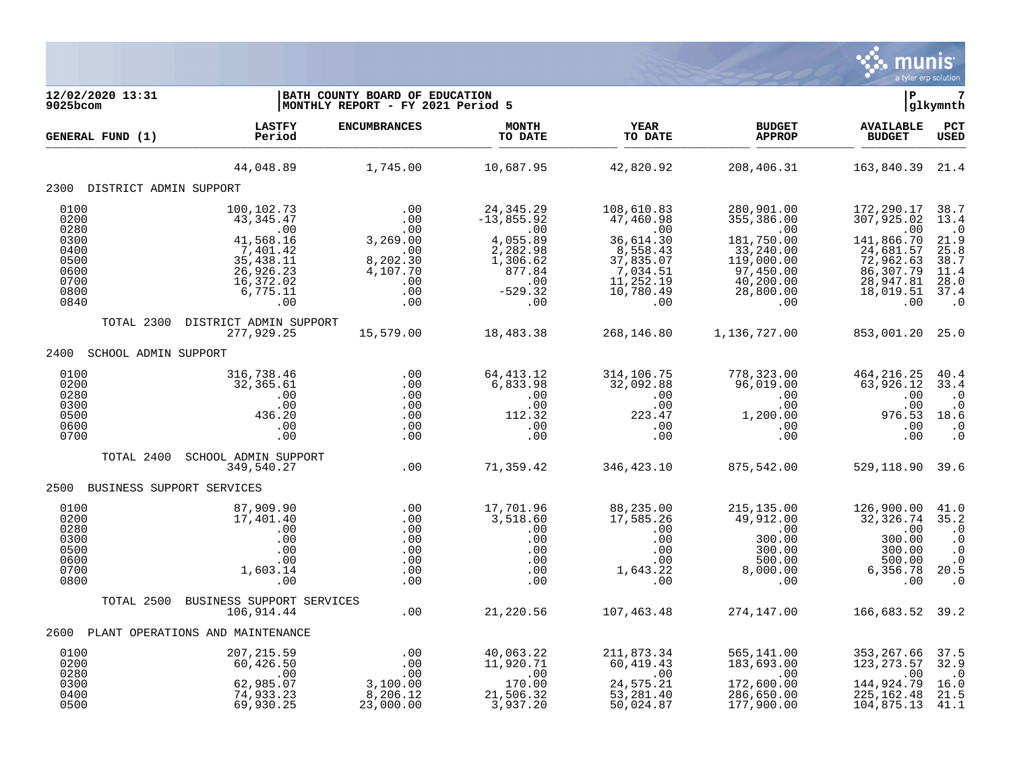

| 12/02/2020 13:31<br>$9025$ bcom                                      |                                                                                                                | BATH COUNTY BOARD OF EDUCATION<br>MONTHLY REPORT - FY 2021 Period 5        |                                                                                                      |                                                                                                            |                                                                                                                 | l P                                                                                                             | glkymnth                                                                              |
|----------------------------------------------------------------------|----------------------------------------------------------------------------------------------------------------|----------------------------------------------------------------------------|------------------------------------------------------------------------------------------------------|------------------------------------------------------------------------------------------------------------|-----------------------------------------------------------------------------------------------------------------|-----------------------------------------------------------------------------------------------------------------|---------------------------------------------------------------------------------------|
| GENERAL FUND (1)                                                     | <b>LASTFY</b><br>Period                                                                                        | <b>ENCUMBRANCES</b>                                                        | <b>MONTH</b><br>TO DATE                                                                              | <b>YEAR</b><br>TO DATE                                                                                     | <b>BUDGET</b><br><b>APPROP</b>                                                                                  | <b>AVAILABLE</b><br><b>BUDGET</b>                                                                               | PCT<br><b>USED</b>                                                                    |
|                                                                      | 44,048.89                                                                                                      | 1,745.00                                                                   | 10,687.95                                                                                            | 42,820.92                                                                                                  | 208,406.31                                                                                                      | 163,840.39 21.4                                                                                                 |                                                                                       |
| 2300 DISTRICT ADMIN SUPPORT                                          |                                                                                                                |                                                                            |                                                                                                      |                                                                                                            |                                                                                                                 |                                                                                                                 |                                                                                       |
| 0100<br>0200<br>0280<br>0300<br>0400<br>0500<br>0600<br>0700<br>0800 | 100,102.73<br>43, 345. 47<br>.00<br>41,568.16<br>7,401.42<br>35, 438. 11<br>26,926.23<br>16,372.02<br>6,775.11 | .00<br>.00<br>.00<br>3,269.00<br>.00<br>8,202.30<br>4,107.70<br>.00<br>.00 | 24, 345. 29<br>$-13,855.92$<br>.00<br>4,055.89<br>2,282.98<br>1,306.62<br>877.84<br>.00<br>$-529.32$ | 108,610.83<br>47,460.98<br>.00<br>36,614.30<br>8,558.43<br>37,835.07<br>7,034.51<br>11,252.19<br>10,780.49 | 280,901.00<br>355,386.00<br>.00<br>181,750.00<br>33,240.00<br>119,000.00<br>97,450.00<br>40,200.00<br>28,800.00 | 172,290.17<br>307,925.02<br>.00<br>141,866.70<br>24,681.57<br>72,962.63<br>86, 307.79<br>28,947.81<br>18,019.51 | 38.7<br>13.4<br>$\cdot$ 0<br>21.9<br>25.8<br>38.7<br>11.4<br>28.0<br>37.4             |
| 0840                                                                 | .00                                                                                                            | .00                                                                        | .00                                                                                                  | .00                                                                                                        | .00                                                                                                             | .00                                                                                                             | $\cdot$ 0                                                                             |
| TOTAL 2300                                                           | DISTRICT ADMIN SUPPORT<br>277,929.25                                                                           | 15,579.00                                                                  | 18,483.38                                                                                            | 268,146.80                                                                                                 | 1,136,727.00                                                                                                    | 853,001.20 25.0                                                                                                 |                                                                                       |
| 2400<br>SCHOOL ADMIN SUPPORT                                         |                                                                                                                |                                                                            |                                                                                                      |                                                                                                            |                                                                                                                 |                                                                                                                 |                                                                                       |
| 0100<br>0200<br>0280<br>0300<br>0500<br>0600<br>0700                 | 316,738.46<br>32,365.61<br>.00<br>.00<br>436.20<br>.00<br>.00                                                  | .00<br>.00<br>.00<br>.00<br>.00<br>.00<br>.00                              | 64, 413. 12<br>6,833.98<br>.00<br>.00<br>112.32<br>.00<br>.00                                        | 314,106.75<br>32,092.88<br>.00<br>.00<br>223.47<br>.00<br>.00                                              | 778,323.00<br>96,019.00<br>.00<br>.00<br>1,200.00<br>.00<br>.00                                                 | 464, 216. 25<br>63,926.12<br>.00<br>.00<br>976.53<br>.00<br>.00                                                 | 40.4<br>33.4<br>$\cdot$ 0<br>$\cdot$ 0<br>18.6<br>$\cdot$ 0<br>$\cdot$ 0              |
| TOTAL 2400                                                           | SCHOOL ADMIN SUPPORT<br>349,540.27                                                                             | .00                                                                        | 71,359.42                                                                                            | 346,423.10                                                                                                 | 875,542.00                                                                                                      | 529, 118.90 39.6                                                                                                |                                                                                       |
| 2500                                                                 | BUSINESS SUPPORT SERVICES                                                                                      |                                                                            |                                                                                                      |                                                                                                            |                                                                                                                 |                                                                                                                 |                                                                                       |
| 0100<br>0200<br>0280<br>0300<br>0500<br>0600<br>0700<br>0800         | 87,909.90<br>17,401.40<br>.00<br>.00<br>.00<br>.00<br>1,603.14<br>.00                                          | .00<br>.00<br>.00<br>.00<br>.00<br>.00<br>.00<br>.00                       | 17,701.96<br>3,518.60<br>.00<br>.00<br>.00<br>.00<br>.00<br>.00                                      | 88,235.00<br>17,585.26<br>.00<br>.00<br>.00<br>.00<br>1,643.22<br>.00                                      | 215, 135.00<br>49,912.00<br>.00<br>300.00<br>300.00<br>500.00<br>8,000.00<br>.00                                | 126,900.00<br>32,326.74<br>.00<br>300.00<br>300.00<br>500.00<br>6,356.78<br>.00                                 | 41.0<br>35.2<br>$\cdot$ 0<br>$\cdot$ 0<br>$\cdot$ 0<br>$\cdot$ 0<br>20.5<br>$\cdot$ 0 |
| TOTAL 2500                                                           | BUSINESS SUPPORT SERVICES<br>106,914.44                                                                        | .00                                                                        | 21,220.56                                                                                            | 107,463.48                                                                                                 | 274,147.00                                                                                                      | 166,683.52 39.2                                                                                                 |                                                                                       |
| 2600                                                                 | PLANT OPERATIONS AND MAINTENANCE                                                                               |                                                                            |                                                                                                      |                                                                                                            |                                                                                                                 |                                                                                                                 |                                                                                       |
| 0100                                                                 | 207, 215.59                                                                                                    | .00                                                                        | 40,063.22                                                                                            | 211,873.34                                                                                                 | 565,141.00                                                                                                      | 353, 267.66                                                                                                     | 37.5                                                                                  |
| 0200<br>0280<br>0300<br>0400<br>0500                                 | 60,426.50<br>.00<br>62,985.07<br>74,933.23<br>69,930.25                                                        | .00<br>.00<br>3,100.00<br>8, 206.12<br>23,000.00                           | 11,920.71<br>.00<br>170.00<br>21,506.32<br>3,937.20                                                  | 60,419.43<br>.00<br>24,575.21<br>53,281.40<br>50,024.87                                                    | 183,693.00<br>.00<br>172,600.00<br>286,650.00<br>177,900.00                                                     | 123, 273.57<br>.00<br>144,924.79<br>225, 162.48<br>104,875.13                                                   | 32.9<br>$\cdot$ 0<br>16.0<br>21.5<br>41.1                                             |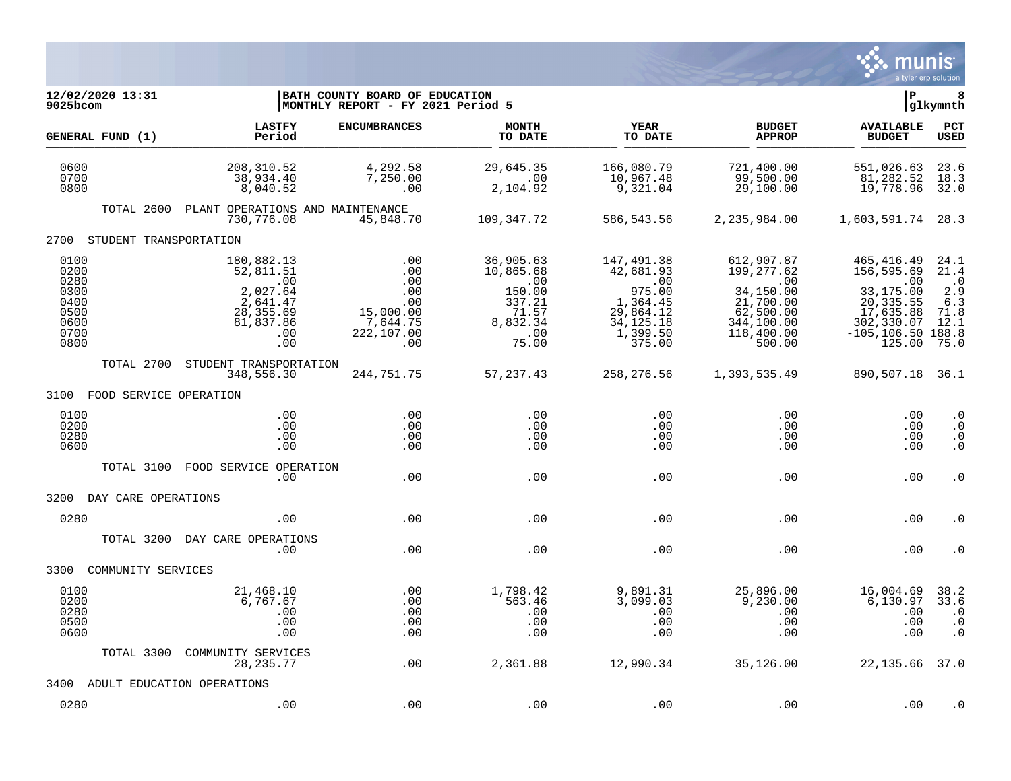

| 12/02/2020 13:31<br>9025bcom                                         |                                                                                                | BATH COUNTY BOARD OF EDUCATION<br>MONTHLY REPORT - FY 2021 Period 5           |                                                                                        |                                                                                                                                 |                                                                                                              | ∣P                                                                                                                      | 8<br>glkymnth                                                    |
|----------------------------------------------------------------------|------------------------------------------------------------------------------------------------|-------------------------------------------------------------------------------|----------------------------------------------------------------------------------------|---------------------------------------------------------------------------------------------------------------------------------|--------------------------------------------------------------------------------------------------------------|-------------------------------------------------------------------------------------------------------------------------|------------------------------------------------------------------|
| GENERAL FUND (1)                                                     | <b>LASTFY</b><br>Period                                                                        | <b>ENCUMBRANCES</b>                                                           | <b>MONTH</b><br>TO DATE                                                                | YEAR<br>TO DATE                                                                                                                 | <b>BUDGET</b><br><b>APPROP</b>                                                                               | <b>AVAILABLE</b><br><b>BUDGET</b>                                                                                       | <b>PCT</b><br><b>USED</b>                                        |
| 0600<br>0700<br>0800                                                 | 208, 310.52<br>38,934.40<br>8,040.52                                                           | 4,292.58<br>7,250.00<br>.00                                                   | 29,645.35<br>.00<br>2,104.92                                                           | 166,080.79<br>10,967.48<br>9,321.04                                                                                             | 721,400.00<br>99,500.00<br>29,100.00                                                                         | 551,026.63<br>81,282.52<br>19,778.96                                                                                    | 23.6<br>18.3<br>32.0                                             |
| TOTAL 2600                                                           | PLANT OPERATIONS AND MAINTENANCE<br>730,776.08                                                 | 45,848.70                                                                     | 109,347.72                                                                             | 586,543.56                                                                                                                      | 2,235,984.00                                                                                                 | 1,603,591.74                                                                                                            | 28.3                                                             |
| 2700 STUDENT TRANSPORTATION                                          |                                                                                                |                                                                               |                                                                                        |                                                                                                                                 |                                                                                                              |                                                                                                                         |                                                                  |
| 0100<br>0200<br>0280<br>0300<br>0400<br>0500<br>0600<br>0700<br>0800 | 180,882.13<br>52,811.51<br>.00<br>2,027.64<br>2,641.47<br>28,355.69<br>81,837.86<br>.00<br>.00 | .00<br>.00<br>.00<br>.00<br>.00<br>15,000.00<br>7,644.75<br>222,107.00<br>.00 | 36,905.63<br>10,865.68<br>.00<br>150.00<br>337.21<br>71.57<br>8,832.34<br>.00<br>75.00 | 147,491.38<br>42,681.93<br>$\overline{\phantom{0}}$ .00<br>975.00<br>1,364.45<br>29,864.12<br>34, 125. 18<br>1,399.50<br>375.00 | 612,907.87<br>199,277.62<br>.00<br>34,150.00<br>21,700.00<br>62,500.00<br>344,100.00<br>118,400.00<br>500.00 | 465,416.49<br>156,595.69<br>.00<br>33,175.00<br>20, 335.55<br>17,635.88<br>302,330.07<br>$-105, 106.50$ 188.8<br>125.00 | 24.1<br>21.4<br>$\cdot$ .0<br>2.9<br>6.3<br>71.8<br>12.1<br>75.0 |
| TOTAL 2700                                                           | STUDENT TRANSPORTATION<br>348,556.30                                                           | 244,751.75                                                                    | 57,237.43                                                                              | 258,276.56                                                                                                                      | 1,393,535.49                                                                                                 | 890,507.18 36.1                                                                                                         |                                                                  |
| 3100 FOOD SERVICE OPERATION                                          |                                                                                                |                                                                               |                                                                                        |                                                                                                                                 |                                                                                                              |                                                                                                                         |                                                                  |
| 0100<br>0200<br>0280<br>0600                                         | .00<br>.00<br>.00<br>.00                                                                       | .00<br>.00<br>.00<br>.00                                                      | .00<br>.00<br>.00<br>.00                                                               | .00<br>.00<br>.00<br>.00                                                                                                        | .00<br>.00<br>.00<br>.00                                                                                     | .00<br>.00<br>.00<br>.00                                                                                                | $\cdot$ 0<br>$\cdot$ 0<br>$\cdot$ 0<br>. $\boldsymbol{0}$        |
| TOTAL 3100                                                           | FOOD SERVICE OPERATION<br>.00                                                                  | .00                                                                           | .00                                                                                    | .00                                                                                                                             | .00                                                                                                          | .00                                                                                                                     | $\cdot$ 0                                                        |
| 3200<br>DAY CARE OPERATIONS                                          |                                                                                                |                                                                               |                                                                                        |                                                                                                                                 |                                                                                                              |                                                                                                                         |                                                                  |
| 0280                                                                 | .00                                                                                            | .00                                                                           | .00                                                                                    | .00                                                                                                                             | .00                                                                                                          | .00                                                                                                                     | . 0                                                              |
| TOTAL 3200                                                           | DAY CARE OPERATIONS<br>.00                                                                     | .00                                                                           | .00                                                                                    | .00                                                                                                                             | .00                                                                                                          | .00                                                                                                                     | . 0                                                              |
| COMMUNITY SERVICES<br>3300                                           |                                                                                                |                                                                               |                                                                                        |                                                                                                                                 |                                                                                                              |                                                                                                                         |                                                                  |
| 0100<br>0200<br>0280<br>0500<br>0600                                 | 21,468.10<br>6,767.67<br>.00<br>.00<br>.00                                                     | .00<br>.00<br>.00<br>.00<br>.00                                               | 1,798.42<br>563.46<br>.00<br>.00<br>.00                                                | 9,891.31<br>3,099.03<br>.00<br>.00<br>.00                                                                                       | 25,896.00<br>9,230.00<br>.00<br>.00<br>.00                                                                   | 16,004.69<br>6,130.97<br>.00<br>.00<br>.00                                                                              | 38.2<br>33.6<br>$\cdot$ 0<br>$\cdot$ 0<br>$\cdot$ 0              |
| TOTAL 3300                                                           | COMMUNITY SERVICES<br>28, 235. 77                                                              | .00                                                                           | 2,361.88                                                                               | 12,990.34                                                                                                                       | 35,126.00                                                                                                    | 22, 135.66 37.0                                                                                                         |                                                                  |
| 3400                                                                 | ADULT EDUCATION OPERATIONS                                                                     |                                                                               |                                                                                        |                                                                                                                                 |                                                                                                              |                                                                                                                         |                                                                  |
| 0280                                                                 | .00                                                                                            | .00                                                                           | .00                                                                                    | .00                                                                                                                             | .00                                                                                                          | .00                                                                                                                     | . 0                                                              |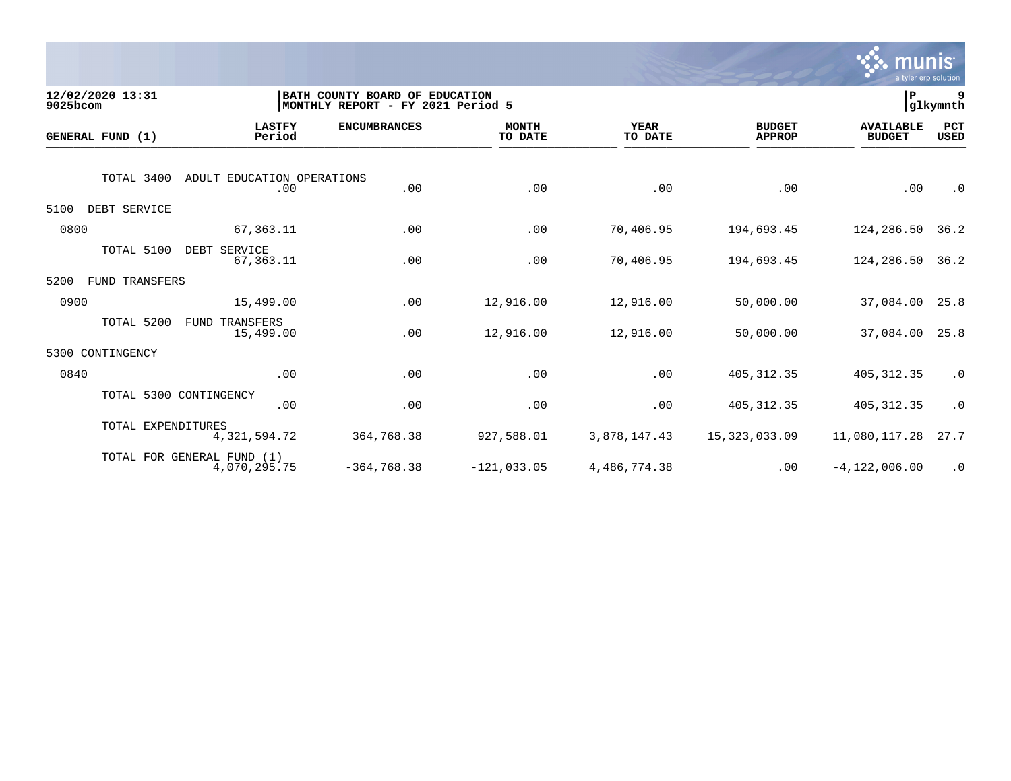

| 9025bcom | 12/02/2020 13:31           |                                   | BATH COUNTY BOARD OF EDUCATION<br>MONTHLY REPORT - FY 2021 Period 5 |                         |                        |                                | ∣P                                | 9<br>glkymnth      |
|----------|----------------------------|-----------------------------------|---------------------------------------------------------------------|-------------------------|------------------------|--------------------------------|-----------------------------------|--------------------|
|          | GENERAL FUND (1)           | <b>LASTFY</b><br>Period           | <b>ENCUMBRANCES</b>                                                 | <b>MONTH</b><br>TO DATE | <b>YEAR</b><br>TO DATE | <b>BUDGET</b><br><b>APPROP</b> | <b>AVAILABLE</b><br><b>BUDGET</b> | PCT<br><b>USED</b> |
|          | TOTAL 3400                 | ADULT EDUCATION OPERATIONS<br>.00 | .00                                                                 | .00                     | .00                    | .00                            | .00                               | $\cdot$ 0          |
| 5100     | DEBT SERVICE               |                                   |                                                                     |                         |                        |                                |                                   |                    |
| 0800     |                            | 67,363.11                         | .00                                                                 | .00                     | 70,406.95              | 194,693.45                     | 124,286.50                        | 36.2               |
|          | TOTAL 5100                 | DEBT SERVICE<br>67,363.11         | .00                                                                 | .00                     | 70,406.95              | 194,693.45                     | 124,286.50                        | 36.2               |
| 5200     | <b>FUND TRANSFERS</b>      |                                   |                                                                     |                         |                        |                                |                                   |                    |
| 0900     |                            | 15,499.00                         | .00                                                                 | 12,916.00               | 12,916.00              | 50,000.00                      | 37,084.00                         | 25.8               |
|          | TOTAL 5200<br>FUND         | TRANSFERS<br>15,499.00            | .00                                                                 | 12,916.00               | 12,916.00              | 50,000.00                      | 37,084.00                         | 25.8               |
| 5300     | CONTINGENCY                |                                   |                                                                     |                         |                        |                                |                                   |                    |
| 0840     |                            | .00                               | .00                                                                 | .00                     | .00                    | 405, 312.35                    | 405, 312.35                       | $\cdot$ 0          |
|          | TOTAL 5300 CONTINGENCY     | .00                               | .00                                                                 | .00                     | .00                    | 405, 312.35                    | 405, 312.35                       | $\cdot$ 0          |
|          | TOTAL EXPENDITURES         | 4,321,594.72                      | 364,768.38                                                          | 927,588.01              | 3,878,147.43           | 15, 323, 033.09                | 11,080,117.28                     | 27.7               |
|          | TOTAL FOR GENERAL FUND (1) | 4,070,295.75                      | $-364,768.38$                                                       | $-121,033.05$           | 4,486,774.38           | .00                            | $-4, 122, 006.00$                 | $\cdot$ 0          |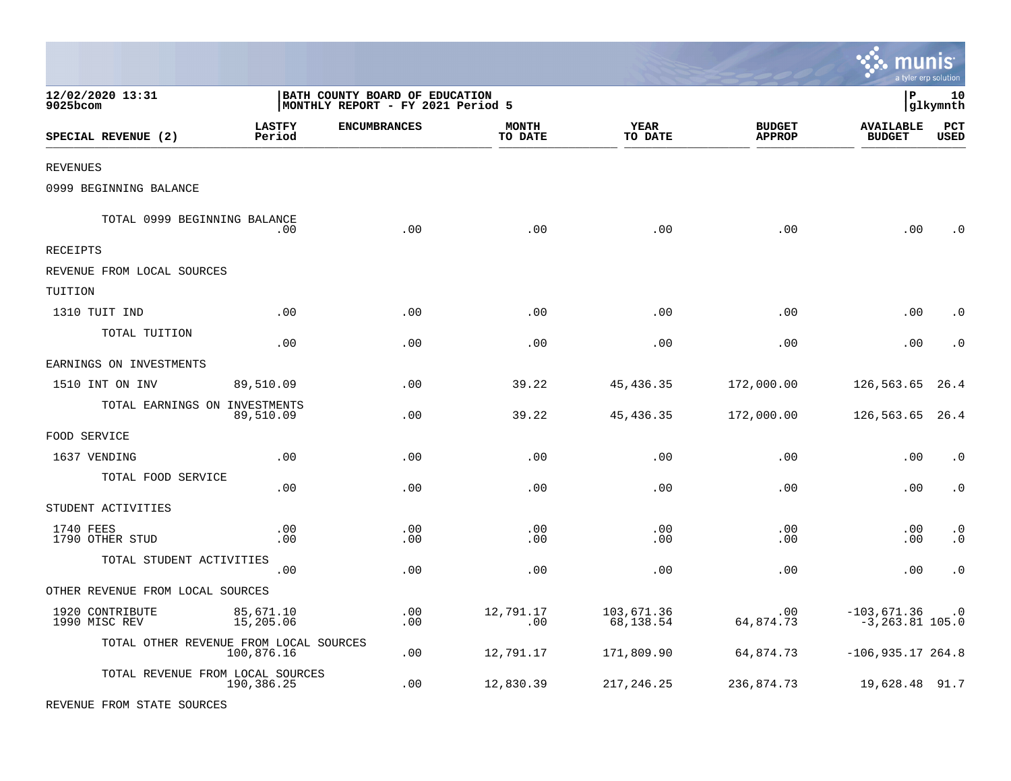|                                        |                         |                                                                     |                         |                         |                                | <b>oo</b> mums<br>a tyler erp solution |                        |
|----------------------------------------|-------------------------|---------------------------------------------------------------------|-------------------------|-------------------------|--------------------------------|----------------------------------------|------------------------|
| 12/02/2020 13:31<br>9025bcom           |                         | BATH COUNTY BOARD OF EDUCATION<br>MONTHLY REPORT - FY 2021 Period 5 |                         |                         |                                | l P                                    | 10<br> glkymnth        |
| SPECIAL REVENUE (2)                    | <b>LASTFY</b><br>Period | <b>ENCUMBRANCES</b>                                                 | <b>MONTH</b><br>TO DATE | YEAR<br>TO DATE         | <b>BUDGET</b><br><b>APPROP</b> | <b>AVAILABLE</b><br><b>BUDGET</b>      | PCT<br>USED            |
| <b>REVENUES</b>                        |                         |                                                                     |                         |                         |                                |                                        |                        |
| 0999 BEGINNING BALANCE                 |                         |                                                                     |                         |                         |                                |                                        |                        |
| TOTAL 0999 BEGINNING BALANCE           | .00                     | .00                                                                 | .00                     | .00                     | .00                            | .00                                    | . 0                    |
| RECEIPTS                               |                         |                                                                     |                         |                         |                                |                                        |                        |
| REVENUE FROM LOCAL SOURCES             |                         |                                                                     |                         |                         |                                |                                        |                        |
| TUITION                                |                         |                                                                     |                         |                         |                                |                                        |                        |
| 1310 TUIT IND                          | .00                     | .00                                                                 | .00                     | .00                     | .00                            | .00                                    | $\cdot$ 0              |
| TOTAL TUITION                          | .00                     | .00                                                                 | .00                     | .00                     | .00                            | .00                                    | $\cdot$ 0              |
| EARNINGS ON INVESTMENTS                |                         |                                                                     |                         |                         |                                |                                        |                        |
| 1510 INT ON INV                        | 89,510.09               | .00                                                                 | 39.22                   | 45,436.35               | 172,000.00                     | 126,563.65                             | 26.4                   |
| TOTAL EARNINGS ON INVESTMENTS          | 89,510.09               | .00                                                                 | 39.22                   | 45,436.35               | 172,000.00                     | 126,563.65                             | 26.4                   |
| FOOD SERVICE                           |                         |                                                                     |                         |                         |                                |                                        |                        |
| 1637 VENDING                           | .00                     | .00                                                                 | .00                     | .00                     | .00                            | .00                                    | $\cdot$ 0              |
| TOTAL FOOD SERVICE                     | .00                     | .00                                                                 | .00                     | .00                     | .00                            | .00                                    | $\cdot$ 0              |
| STUDENT ACTIVITIES                     |                         |                                                                     |                         |                         |                                |                                        |                        |
| 1740 FEES<br>1790 OTHER STUD           | .00<br>.00              | .00<br>.00                                                          | .00<br>.00              | .00<br>.00              | .00<br>.00                     | .00<br>.00                             | $\cdot$ 0<br>$\cdot$ 0 |
| TOTAL STUDENT ACTIVITIES               | .00                     | .00                                                                 | .00                     | .00                     | .00                            | .00                                    | $\boldsymbol{\cdot}$ 0 |
| OTHER REVENUE FROM LOCAL SOURCES       |                         |                                                                     |                         |                         |                                |                                        |                        |
| 1920 CONTRIBUTE<br>1990 MISC REV       | 85,671.10<br>15,205.06  | .00<br>.00                                                          | 12,791.17<br>.00        | 103,671.36<br>68,138.54 | .00<br>64,874.73               | $-103,671.36$<br>$-3, 263.81$ 105.0    | $\cdot$ 0              |
| TOTAL OTHER REVENUE FROM LOCAL SOURCES | 100,876.16              | .00                                                                 | 12,791.17               | 171,809.90              | 64,874.73                      | $-106,935.17,264.8$                    |                        |
| TOTAL REVENUE FROM LOCAL SOURCES       | 190,386.25              | .00                                                                 | 12,830.39               | 217,246.25              | 236,874.73                     | 19,628.48 91.7                         |                        |

 $\ddot{\cdot}$  munic

REVENUE FROM STATE SOURCES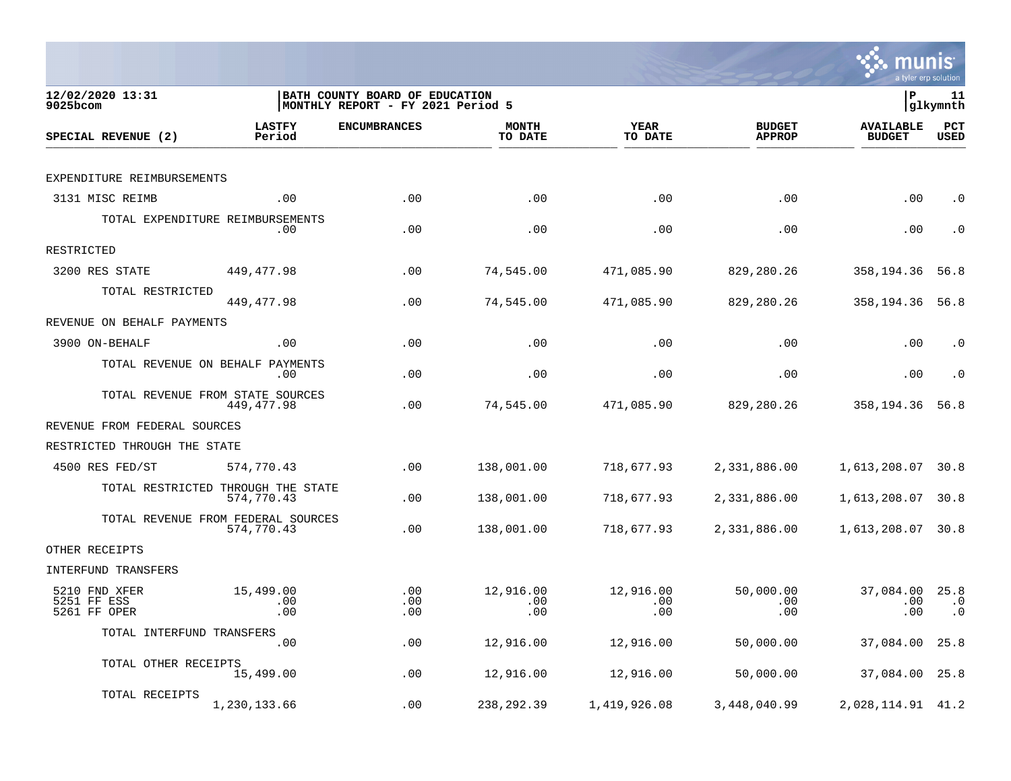

| 12/02/2020 13:31<br>9025bcom                 |                                                  | BATH COUNTY BOARD OF EDUCATION<br>MONTHLY REPORT - FY 2021 Period 5 |                         |                         |                                | lР                                | 11<br> glkymnth                |
|----------------------------------------------|--------------------------------------------------|---------------------------------------------------------------------|-------------------------|-------------------------|--------------------------------|-----------------------------------|--------------------------------|
| SPECIAL REVENUE (2)                          | <b>LASTFY</b><br>Period                          | <b>ENCUMBRANCES</b>                                                 | <b>MONTH</b><br>TO DATE | <b>YEAR</b><br>TO DATE  | <b>BUDGET</b><br><b>APPROP</b> | <b>AVAILABLE</b><br><b>BUDGET</b> | PCT<br><b>USED</b>             |
|                                              |                                                  |                                                                     |                         |                         |                                |                                   |                                |
| EXPENDITURE REIMBURSEMENTS                   |                                                  |                                                                     |                         |                         |                                |                                   |                                |
| 3131 MISC REIMB                              | .00                                              | .00                                                                 | .00                     | .00                     | .00                            | .00                               | . $\boldsymbol{0}$             |
|                                              | TOTAL EXPENDITURE REIMBURSEMENTS<br>.00          | .00                                                                 | .00                     | .00                     | .00                            | .00                               | . 0                            |
| RESTRICTED                                   |                                                  |                                                                     |                         |                         |                                |                                   |                                |
| 3200 RES STATE                               | 449,477.98                                       | .00                                                                 | 74,545.00               | 471,085.90              | 829,280.26                     | 358,194.36                        | 56.8                           |
| TOTAL RESTRICTED                             | 449, 477.98                                      | .00                                                                 | 74,545.00               | 471,085.90              | 829,280.26                     | 358,194.36                        | 56.8                           |
| REVENUE ON BEHALF PAYMENTS                   |                                                  |                                                                     |                         |                         |                                |                                   |                                |
| 3900 ON-BEHALF                               | .00                                              | .00                                                                 | .00                     | .00                     | .00                            | .00                               | $\cdot$ 0                      |
|                                              | TOTAL REVENUE ON BEHALF PAYMENTS<br>.00          | .00                                                                 | .00                     | .00                     | .00                            | .00                               | $\cdot$ 0                      |
|                                              | TOTAL REVENUE FROM STATE SOURCES<br>449,477.98   | .00                                                                 | 74,545.00               | 471,085.90              | 829,280.26                     | 358,194.36                        | 56.8                           |
| REVENUE FROM FEDERAL SOURCES                 |                                                  |                                                                     |                         |                         |                                |                                   |                                |
| RESTRICTED THROUGH THE STATE                 |                                                  |                                                                     |                         |                         |                                |                                   |                                |
| 4500 RES FED/ST                              | 574,770.43                                       | .00                                                                 | 138,001.00              | 718,677.93              | 2,331,886.00                   | 1,613,208.07                      | 30.8                           |
|                                              | TOTAL RESTRICTED THROUGH THE STATE<br>574,770.43 | .00                                                                 | 138,001.00              | 718,677.93              | 2,331,886.00                   | 1,613,208.07                      | 30.8                           |
|                                              | TOTAL REVENUE FROM FEDERAL SOURCES<br>574,770.43 | .00                                                                 | 138,001.00              | 718,677.93              | 2,331,886.00                   | 1,613,208.07                      | 30.8                           |
| OTHER RECEIPTS                               |                                                  |                                                                     |                         |                         |                                |                                   |                                |
| INTERFUND TRANSFERS                          |                                                  |                                                                     |                         |                         |                                |                                   |                                |
| 5210 FND XFER<br>5251 FF ESS<br>5261 FF OPER | 15,499.00<br>.00<br>.00                          | .00<br>.00<br>.00                                                   | 12,916.00<br>.00<br>.00 | 12,916.00<br>.00<br>.00 | 50,000.00<br>.00<br>.00        | 37,084.00<br>.00<br>.00           | 25.8<br>$\cdot$ 0<br>$\cdot$ 0 |
| TOTAL INTERFUND TRANSFERS                    |                                                  |                                                                     |                         |                         |                                |                                   |                                |
|                                              | .00                                              | .00                                                                 | 12,916.00               | 12,916.00               | 50,000.00                      | 37,084.00                         | 25.8                           |
| TOTAL OTHER RECEIPTS                         | 15,499.00                                        | .00                                                                 | 12,916.00               | 12,916.00               | 50,000.00                      | 37,084.00                         | 25.8                           |
| TOTAL RECEIPTS                               | 1,230,133.66                                     | .00                                                                 | 238, 292.39             | 1,419,926.08            | 3,448,040.99                   | 2,028,114.91 41.2                 |                                |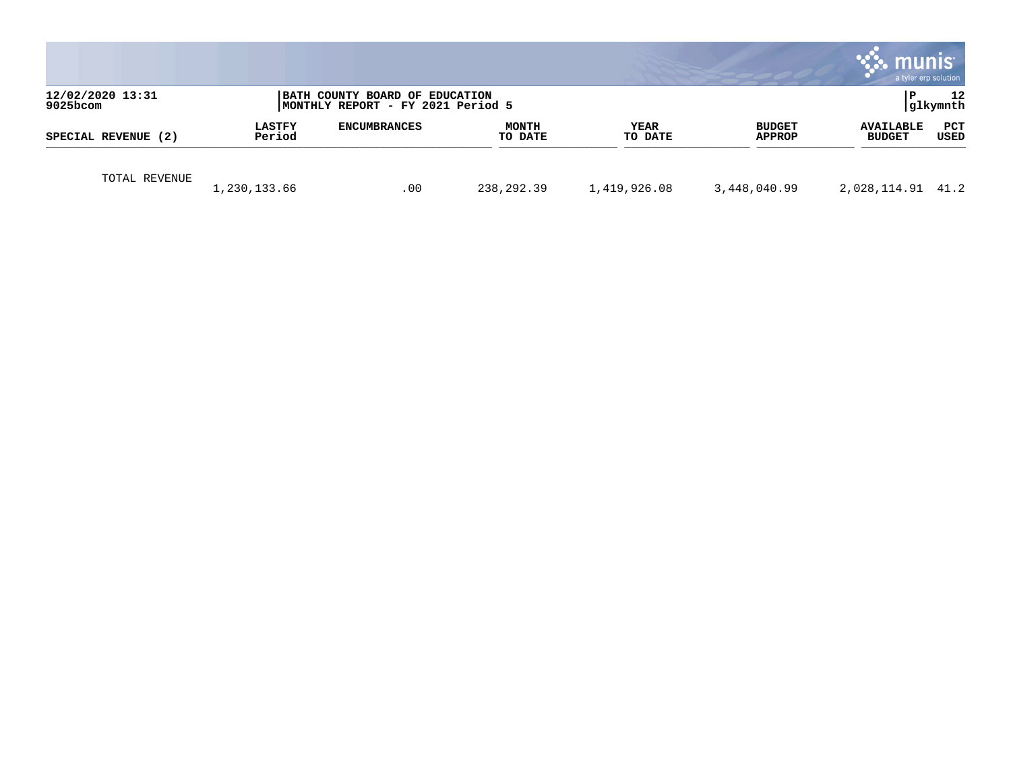|                                 |                         |                                                                      |                         |                        |                                | munis<br>a tyler erp solution     |                    |
|---------------------------------|-------------------------|----------------------------------------------------------------------|-------------------------|------------------------|--------------------------------|-----------------------------------|--------------------|
| 12/02/2020 13:31<br>$9025$ bcom |                         | BATH COUNTY BOARD OF EDUCATION<br> MONTHLY REPORT - FY 2021 Period 5 |                         |                        |                                | l P                               | 12<br> glkymnth    |
| SPECIAL REVENUE (2)             | <b>LASTFY</b><br>Period | <b>ENCUMBRANCES</b>                                                  | <b>MONTH</b><br>TO DATE | <b>YEAR</b><br>TO DATE | <b>BUDGET</b><br><b>APPROP</b> | <b>AVAILABLE</b><br><b>BUDGET</b> | PCT<br><b>USED</b> |
| TOTAL REVENUE                   | 1,230,133.66            | .00                                                                  | 238,292.39              | 1,419,926.08           | 3,448,040.99                   | 2,028,114.91 41.2                 |                    |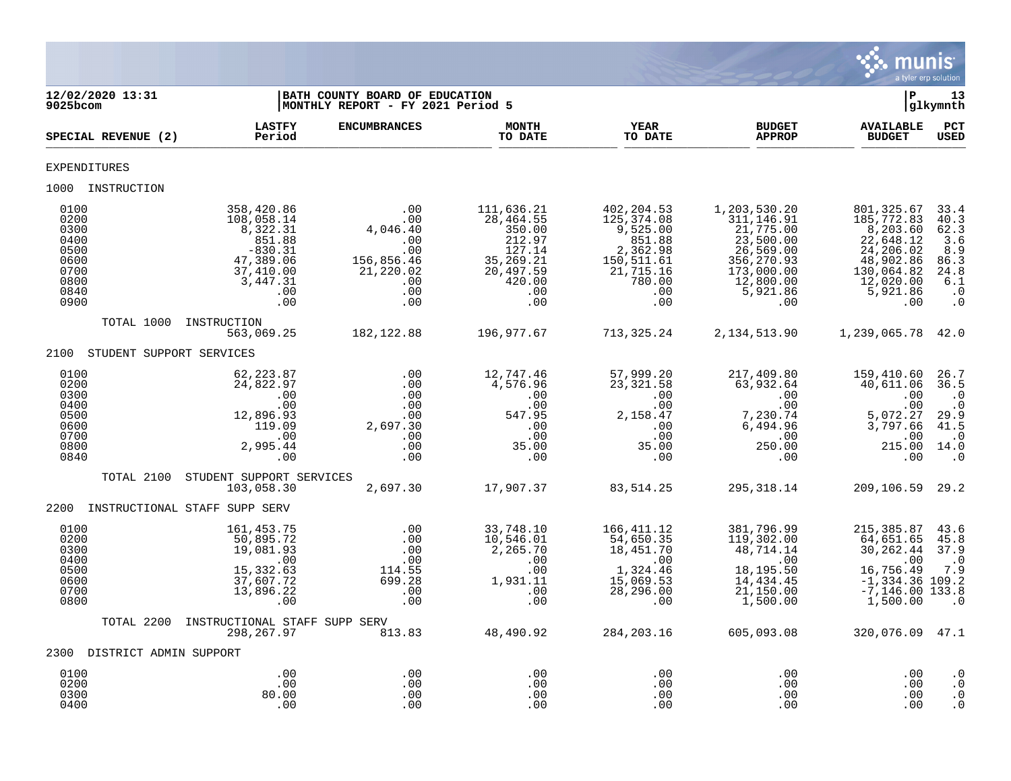

| 12/02/2020 13:31<br>9025bcom                                                 |                                                                                                                 | BATH COUNTY BOARD OF EDUCATION<br>MONTHLY REPORT - FY 2021 Period 5                  |                                                                                                         |                                                                                                               |                                                                                                                                 |                                                                                                                           | 13<br>glkymnth                                                                                     |
|------------------------------------------------------------------------------|-----------------------------------------------------------------------------------------------------------------|--------------------------------------------------------------------------------------|---------------------------------------------------------------------------------------------------------|---------------------------------------------------------------------------------------------------------------|---------------------------------------------------------------------------------------------------------------------------------|---------------------------------------------------------------------------------------------------------------------------|----------------------------------------------------------------------------------------------------|
| SPECIAL REVENUE (2)                                                          | <b>LASTFY</b><br>Period                                                                                         | <b>ENCUMBRANCES</b>                                                                  | <b>MONTH</b><br>TO DATE                                                                                 | <b>YEAR</b><br>TO DATE                                                                                        | <b>BUDGET</b><br><b>APPROP</b>                                                                                                  | <b>AVAILABLE</b><br><b>BUDGET</b>                                                                                         | $_{\tt PCT}$<br><b>USED</b>                                                                        |
| EXPENDITURES                                                                 |                                                                                                                 |                                                                                      |                                                                                                         |                                                                                                               |                                                                                                                                 |                                                                                                                           |                                                                                                    |
| 1000 INSTRUCTION                                                             |                                                                                                                 |                                                                                      |                                                                                                         |                                                                                                               |                                                                                                                                 |                                                                                                                           |                                                                                                    |
| 0100<br>0200<br>0300<br>0400<br>0500<br>0600<br>0700<br>0800<br>0840<br>0900 | 358,420.86<br>108,058.14<br>8,322.31<br>851.88<br>$-830.31$<br>47,389.06<br>37,410.00<br>3,447.31<br>.00<br>.00 | .00<br>$4,046.40$<br>$00.00$<br>0.00<br>156,856.46<br>21,220.02<br>.00<br>.00<br>.00 | 111,636.21<br>28,464.55<br>350.00<br>212.97<br>127.14<br>35,269.21<br>20,497.59<br>420.00<br>.00<br>.00 | 402,204.53<br>125,374.08<br>9,525.00<br>851.88<br>2,362.98<br>150,511.61<br>21,715.16<br>780.00<br>.00<br>.00 | 1,203,530.20<br>311, 146.91<br>21,775.00<br>23,500.00<br>26,569.00<br>356, 270.93<br>173,000.00<br>12,800.00<br>5,921.86<br>.00 | 801,325.67<br>185,772.83<br>8,203.60<br>22,648.12<br>24,206.02<br>48,902.86<br>130,064.82<br>12,020.00<br>5,921.86<br>.00 | 33.4<br>$\frac{40.3}{62.3}$<br>3.6<br>8.9<br>86.3<br>24.8<br>6.1<br>$\cdot$ 0<br>$\cdot$ 0         |
| TOTAL 1000                                                                   | INSTRUCTION<br>563,069.25                                                                                       | 182, 122.88                                                                          | 196,977.67                                                                                              | 713,325.24                                                                                                    | 2, 134, 513.90                                                                                                                  | 1,239,065.78 42.0                                                                                                         |                                                                                                    |
| 2100 STUDENT SUPPORT SERVICES                                                |                                                                                                                 |                                                                                      |                                                                                                         |                                                                                                               |                                                                                                                                 |                                                                                                                           |                                                                                                    |
| 0100<br>0200<br>0300<br>0400<br>0500<br>0600<br>0700<br>0800<br>0840         | 62, 223.87<br>24,822.97<br>.00<br>.00<br>12,896.93<br>119.09<br>.00<br>2,995.44<br>.00                          | .00<br>.00<br>.00<br>.00<br>.00<br>2,697.30<br>.00<br>.00<br>.00                     | 12,747.46<br>4,576.96<br>.00<br>.00<br>547.95<br>.00<br>.00<br>35.00<br>.00                             | 57,999.20<br>23, 321.58<br>.00<br>.00<br>2,158.47<br>.00<br>.00<br>35.00<br>.00                               | 217,409.80<br>63,932.64<br>.00<br>.00<br>7,230.74<br>$6,494.96$ .00<br>250.00<br>.00                                            | 159,410.60<br>40,611.06<br>.00<br>.00<br>5,072.27<br>3,797.66<br>.00<br>215.00 14.0<br>.00                                | 26.7<br>36.5<br>$\cdot$ 0<br>$\cdot$ 0<br>29.9<br>41.5<br>$\overline{\phantom{0}}$ .0<br>$\cdot$ 0 |
| TOTAL 2100                                                                   | STUDENT SUPPORT SERVICES<br>103,058.30                                                                          | 2,697.30                                                                             | 17,907.37                                                                                               | 83,514.25                                                                                                     | 295,318.14                                                                                                                      | 209,106.59 29.2                                                                                                           |                                                                                                    |
| 2200 INSTRUCTIONAL STAFF SUPP SERV                                           |                                                                                                                 |                                                                                      |                                                                                                         |                                                                                                               |                                                                                                                                 |                                                                                                                           |                                                                                                    |
| 0100<br>0200<br>0300<br>0400<br>0500<br>0600<br>0700<br>0800                 | 161, 453. 75<br>50,895.72<br>19,081.93<br>.00<br>15,332.63<br>37,607.72<br>13,896.22<br>.00                     | $\frac{0}{2}$<br>.00<br>.00<br>114.55<br>699.28<br>.00<br>.00                        | 33,748.10<br>10,546.01<br>2,265.70<br>.00<br>$1,931$<br>.00<br>.00                                      | 166, 411.12<br>54,650.35<br>18,451.70<br>.00<br>1,324.46<br>15,069.53<br>28,296.00<br>.00                     | 381,796.99<br>119,302.00<br>48,714.14<br>.00<br>18,195.50<br>14,434.45<br>21,150.00<br>1,500.00                                 | 215, 385.87<br>64,651.65<br>30, 262.44<br>.00<br>16,756.49<br>$-1,334.36$ 109.2<br>$-7,146.00$ 133.8<br>1,500.00          | 43.6<br>45.8<br>37.9<br>$\cdot$ 0<br>7.9<br>$\cdot$ 0                                              |
| TOTAL 2200                                                                   | INSTRUCTIONAL STAFF SUPP SERV<br>298, 267.97                                                                    | 813.83                                                                               | 48,490.92                                                                                               | 284, 203. 16                                                                                                  | 605,093.08                                                                                                                      | 320,076.09 47.1                                                                                                           |                                                                                                    |
| 2300 DISTRICT ADMIN SUPPORT                                                  |                                                                                                                 |                                                                                      |                                                                                                         |                                                                                                               |                                                                                                                                 |                                                                                                                           |                                                                                                    |
| 0100<br>0200<br>0300<br>0400                                                 | .00<br>.00<br>80.00<br>.00                                                                                      | .00<br>.00<br>.00<br>$.00$                                                           | .00<br>.00<br>.00<br>.00                                                                                | .00<br>.00<br>.00<br>.00                                                                                      | .00<br>.00<br>.00<br>.00                                                                                                        | .00<br>.00<br>.00<br>.00                                                                                                  | $\cdot$ 0<br>$\cdot$ 0<br>$\cdot$ 0<br>$\cdot$ 0                                                   |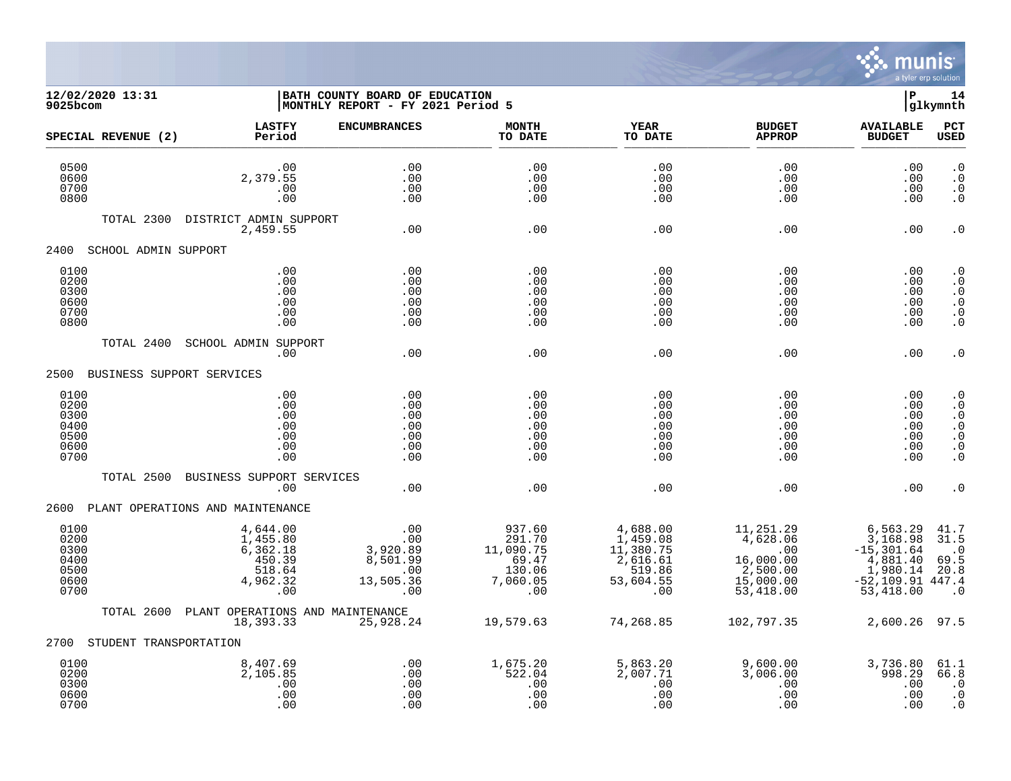

## **12/02/2020 13:31 |BATH COUNTY BOARD OF EDUCATION |P 14 9025bcom |MONTHLY REPORT - FY 2021 Period 5 |glkymnth**

| SPECIAL REVENUE (2)                                  | <b>LASTFY</b><br>Period                                                 | <b>ENCUMBRANCES</b>                                                  | <b>MONTH</b><br>TO DATE                                             | <b>YEAR</b><br>TO DATE                                                      | <b>BUDGET</b><br><b>APPROP</b>                                                              | <b>AVAILABLE</b><br><b>BUDGET</b>                                                                 | PCT<br><b>USED</b>                                                                                   |
|------------------------------------------------------|-------------------------------------------------------------------------|----------------------------------------------------------------------|---------------------------------------------------------------------|-----------------------------------------------------------------------------|---------------------------------------------------------------------------------------------|---------------------------------------------------------------------------------------------------|------------------------------------------------------------------------------------------------------|
| 0500<br>0600<br>0700<br>0800                         | .00<br>2,379.55<br>.00<br>.00                                           | .00<br>.00<br>.00<br>.00                                             | .00<br>.00<br>.00<br>.00                                            | .00<br>.00<br>.00<br>.00                                                    | .00<br>.00<br>.00<br>.00                                                                    | .00<br>.00<br>.00<br>.00                                                                          | $\cdot$ 0<br>$\cdot$ 0<br>$\cdot$ 0<br>$\cdot$ 0                                                     |
| TOTAL 2300                                           | DISTRICT ADMIN SUPPORT<br>2,459.55                                      | .00                                                                  | .00                                                                 | .00                                                                         | .00                                                                                         | .00                                                                                               | $\cdot$ 0                                                                                            |
| 2400<br>SCHOOL ADMIN SUPPORT                         |                                                                         |                                                                      |                                                                     |                                                                             |                                                                                             |                                                                                                   |                                                                                                      |
| 0100<br>0200<br>0300<br>0600<br>0700<br>0800         | .00<br>.00<br>.00<br>.00<br>.00<br>.00                                  | .00<br>.00<br>.00<br>.00<br>.00<br>.00                               | .00<br>.00<br>.00<br>.00<br>.00<br>.00                              | .00<br>.00<br>.00<br>.00<br>.00<br>.00                                      | .00<br>.00<br>.00<br>.00<br>.00<br>.00                                                      | .00<br>.00<br>.00<br>.00<br>.00<br>.00                                                            | $\cdot$ 0<br>$\cdot$ 0<br>$\cdot$ 0<br>$\cdot$ 0<br>$\cdot$ 0<br>$\cdot$ 0                           |
| TOTAL 2400                                           | SCHOOL ADMIN SUPPORT<br>.00                                             | .00                                                                  | .00                                                                 | .00                                                                         | .00                                                                                         | .00                                                                                               | $\cdot$ 0                                                                                            |
| 2500<br>BUSINESS SUPPORT SERVICES                    |                                                                         |                                                                      |                                                                     |                                                                             |                                                                                             |                                                                                                   |                                                                                                      |
| 0100<br>0200<br>0300<br>0400<br>0500<br>0600<br>0700 | .00<br>.00<br>.00<br>.00<br>.00<br>.00<br>.00                           | .00<br>.00<br>.00<br>.00<br>.00<br>.00<br>.00                        | .00<br>.00<br>.00<br>.00<br>.00<br>.00<br>.00                       | .00<br>.00<br>.00<br>.00<br>.00<br>.00<br>.00                               | .00<br>.00<br>.00<br>.00<br>.00<br>.00<br>.00                                               | .00<br>.00<br>.00<br>.00<br>.00<br>.00<br>.00                                                     | $\cdot$ 0<br>$\cdot$ 0<br>$\cdot$ 0<br>$\cdot$ 0<br>$\cdot$ 0<br>$\boldsymbol{\cdot}$ 0<br>$\cdot$ 0 |
| TOTAL 2500                                           | BUSINESS SUPPORT SERVICES<br>.00                                        | .00                                                                  | .00                                                                 | .00                                                                         | .00                                                                                         | .00                                                                                               | . 0                                                                                                  |
|                                                      | 2600 PLANT OPERATIONS AND MAINTENANCE                                   |                                                                      |                                                                     |                                                                             |                                                                                             |                                                                                                   |                                                                                                      |
| 0100<br>0200<br>0300<br>0400<br>0500<br>0600<br>0700 | 4,644.00<br>1,455.80<br>6,362.18<br>450.39<br>518.64<br>4,962.32<br>.00 | .00<br>.00<br>3,920.89<br>8,501.99<br>.00<br>13,505.36<br>$00 \cdot$ | 937.60<br>291.70<br>11,090.75<br>69.47<br>130.06<br>7,060.05<br>.00 | 4,688.00<br>1,459.08<br>11,380.75<br>2,616.61<br>519.86<br>53,604.55<br>.00 | 11,251.29<br>4,628.06<br>$\overline{00}$<br>16,000.00<br>2,500.00<br>15,000.00<br>53,418.00 | 6,563.29<br>3,168.98<br>$-15, 301.64$<br>4,881.40<br>1,980.14<br>$-52, 109.91$ 447.4<br>53,418.00 | 41.7<br>31.5<br>$\cdot$ 0<br>69.5<br>20.8<br>$\cdot$ 0                                               |
| TOTAL 2600                                           | PLANT OPERATIONS AND MAINTENANCE<br>18,393.33                           | 25,928.24                                                            | 19,579.63                                                           | 74,268.85                                                                   | 102,797.35                                                                                  | 2,600.26                                                                                          | 97.5                                                                                                 |
| STUDENT TRANSPORTATION<br>2700                       |                                                                         |                                                                      |                                                                     |                                                                             |                                                                                             |                                                                                                   |                                                                                                      |
| 0100<br>0200<br>0300<br>0600<br>0700                 | 8,407.69<br>2,105.85<br>.00<br>.00<br>.00                               | .00<br>.00<br>.00<br>.00<br>.00                                      | 1,675.20<br>522.04<br>.00<br>.00<br>.00                             | 5,863.20<br>2,007.71<br>.00<br>.00<br>.00                                   | 9,600.00<br>3,006.00<br>.00<br>.00<br>.00                                                   | 3,736.80<br>998.29<br>.00<br>.00<br>.00                                                           | 61.1<br>66.8<br>$\cdot$ 0<br>$\cdot$ 0<br>$\cdot$ 0                                                  |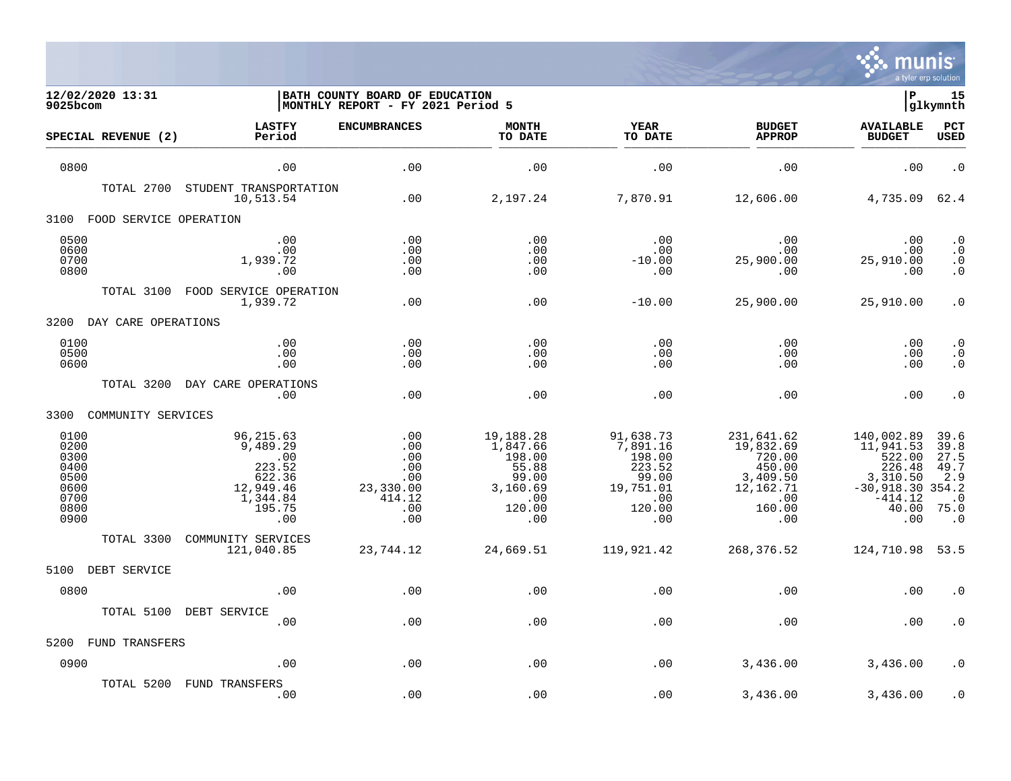

| 12/02/2020 13:31<br>9025bcom                                         |                                                                                             | BATH COUNTY BOARD OF EDUCATION<br>MONTHLY REPORT - FY 2021 Period 5  |                                                                                       |                                                                                         |                                                                                              | ΙP                                                                                                   | 15<br>glkymnth                                                                |
|----------------------------------------------------------------------|---------------------------------------------------------------------------------------------|----------------------------------------------------------------------|---------------------------------------------------------------------------------------|-----------------------------------------------------------------------------------------|----------------------------------------------------------------------------------------------|------------------------------------------------------------------------------------------------------|-------------------------------------------------------------------------------|
| SPECIAL REVENUE (2)                                                  | <b>LASTFY</b><br>Period                                                                     | <b>ENCUMBRANCES</b>                                                  | <b>MONTH</b><br>TO DATE                                                               | <b>YEAR</b><br>TO DATE                                                                  | <b>BUDGET</b><br><b>APPROP</b>                                                               | <b>AVAILABLE</b><br><b>BUDGET</b>                                                                    | PCT<br><b>USED</b>                                                            |
| 0800                                                                 | .00                                                                                         | .00                                                                  | .00                                                                                   | .00                                                                                     | .00                                                                                          | .00                                                                                                  | $\cdot$ 0                                                                     |
| TOTAL 2700                                                           | STUDENT TRANSPORTATION<br>10,513.54                                                         | .00                                                                  | 2,197.24                                                                              | 7,870.91                                                                                | 12,606.00                                                                                    | 4,735.09                                                                                             | 62.4                                                                          |
| 3100<br>FOOD SERVICE OPERATION                                       |                                                                                             |                                                                      |                                                                                       |                                                                                         |                                                                                              |                                                                                                      |                                                                               |
| 0500<br>0600<br>0700<br>0800                                         | .00<br>.00<br>1,939.72<br>.00                                                               | .00<br>.00<br>.00<br>.00                                             | .00<br>.00<br>.00<br>.00                                                              | .00<br>.00<br>$-10.00$<br>.00                                                           | .00<br>.00<br>25,900.00<br>.00                                                               | .00<br>.00<br>25,910.00<br>.00                                                                       | $\cdot$ 0<br>$\boldsymbol{\cdot}$ 0<br>$\cdot$ 0<br>$\cdot$ 0                 |
| TOTAL 3100                                                           | FOOD SERVICE OPERATION<br>1,939.72                                                          | .00                                                                  | .00                                                                                   | $-10.00$                                                                                | 25,900.00                                                                                    | 25,910.00                                                                                            | $\cdot$ 0                                                                     |
| 3200<br>DAY CARE OPERATIONS                                          |                                                                                             |                                                                      |                                                                                       |                                                                                         |                                                                                              |                                                                                                      |                                                                               |
| 0100<br>0500<br>0600                                                 | .00<br>.00<br>.00                                                                           | .00<br>.00<br>.00                                                    | .00<br>.00<br>.00                                                                     | .00<br>.00<br>.00                                                                       | .00<br>.00<br>.00                                                                            | .00<br>.00<br>.00                                                                                    | $\cdot$ 0<br>$\cdot$ 0<br>$\cdot$ 0                                           |
| TOTAL 3200                                                           | DAY CARE OPERATIONS<br>.00                                                                  | .00                                                                  | .00                                                                                   | .00                                                                                     | .00                                                                                          | .00                                                                                                  | $\cdot$ 0                                                                     |
| COMMUNITY SERVICES<br>3300                                           |                                                                                             |                                                                      |                                                                                       |                                                                                         |                                                                                              |                                                                                                      |                                                                               |
| 0100<br>0200<br>0300<br>0400<br>0500<br>0600<br>0700<br>0800<br>0900 | 96, 215.63<br>9,489.29<br>.00<br>223.52<br>622.36<br>12,949.46<br>1,344.84<br>195.75<br>.00 | .00<br>.00<br>.00<br>.00<br>.00<br>23,330.00<br>414.12<br>.00<br>.00 | 19,188.28<br>1,847.66<br>198.00<br>55.88<br>99.00<br>3,160.69<br>.00<br>120.00<br>.00 | 91,638.73<br>7,891.16<br>198.00<br>223.52<br>99.00<br>19,751.01<br>.00<br>120.00<br>.00 | 231,641.62<br>19,832.69<br>720.00<br>450.00<br>3,409.50<br>12,162.71<br>.00<br>160.00<br>.00 | 140,002.89<br>11,941.53<br>522.00<br>226.48<br>3,310.50<br>$-30,918.30$<br>$-414.12$<br>40.00<br>.00 | 39.6<br>39.8<br>27.5<br>49.7<br>2.9<br>354.2<br>$\Omega$<br>75.0<br>$\cdot$ 0 |
| TOTAL 3300                                                           | COMMUNITY SERVICES<br>121,040.85                                                            | 23,744.12                                                            | 24,669.51                                                                             | 119,921.42                                                                              | 268,376.52                                                                                   | 124,710.98                                                                                           | 53.5                                                                          |
| 5100<br>DEBT SERVICE                                                 |                                                                                             |                                                                      |                                                                                       |                                                                                         |                                                                                              |                                                                                                      |                                                                               |
| 0800                                                                 | .00                                                                                         | .00                                                                  | .00                                                                                   | .00                                                                                     | .00                                                                                          | .00                                                                                                  | $\cdot$ 0                                                                     |
| TOTAL 5100                                                           | DEBT SERVICE<br>.00                                                                         | .00                                                                  | .00                                                                                   | .00                                                                                     | .00                                                                                          | .00                                                                                                  | $\cdot$ 0                                                                     |
| 5200<br><b>FUND TRANSFERS</b>                                        |                                                                                             |                                                                      |                                                                                       |                                                                                         |                                                                                              |                                                                                                      |                                                                               |
| 0900                                                                 | .00                                                                                         | .00                                                                  | .00                                                                                   | .00                                                                                     | 3,436.00                                                                                     | 3,436.00                                                                                             | $\cdot$ 0                                                                     |
| TOTAL 5200                                                           | FUND TRANSFERS<br>.00                                                                       | .00                                                                  | .00                                                                                   | .00                                                                                     | 3,436.00                                                                                     | 3,436.00                                                                                             | $\cdot$ 0                                                                     |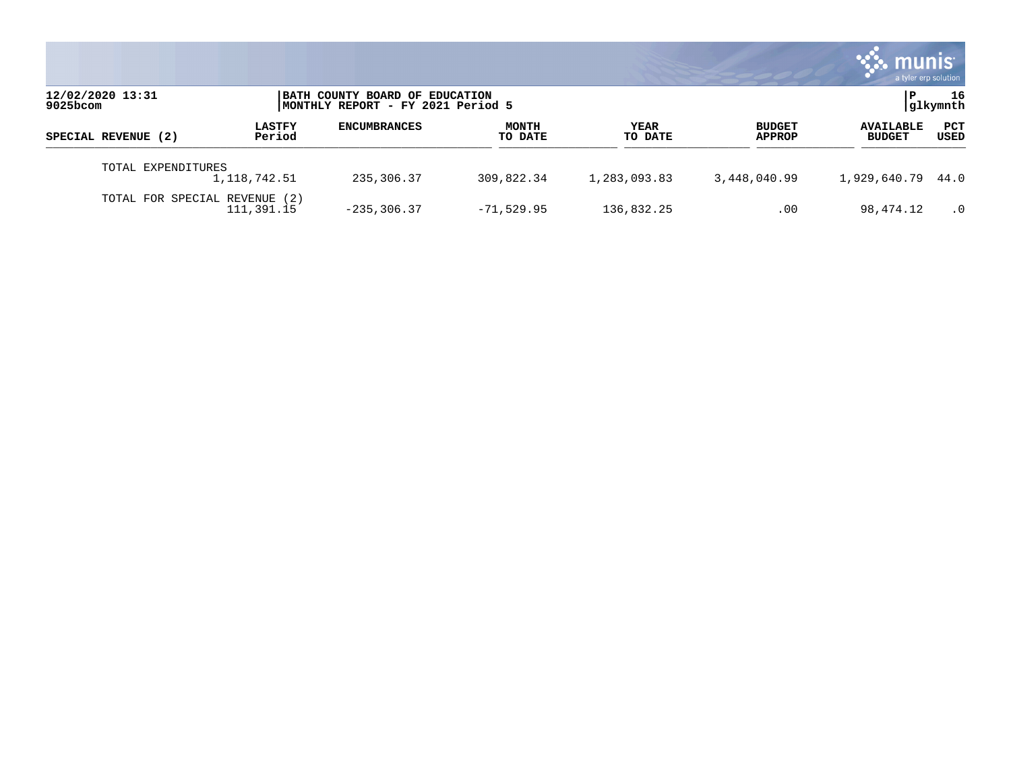|                               |                         |                                                                      |                         |                 |                         | munis<br>a tyler erp solution     |                |
|-------------------------------|-------------------------|----------------------------------------------------------------------|-------------------------|-----------------|-------------------------|-----------------------------------|----------------|
| 12/02/2020 13:31<br>9025bcom  |                         | BATH COUNTY BOARD OF EDUCATION<br> MONTHLY REPORT - FY 2021 Period 5 |                         |                 |                         |                                   | 16<br>glkymnth |
| SPECIAL REVENUE (2)           | <b>LASTFY</b><br>Period | <b>ENCUMBRANCES</b>                                                  | <b>MONTH</b><br>TO DATE | YEAR<br>TO DATE | <b>BUDGET</b><br>APPROP | <b>AVAILABLE</b><br><b>BUDGET</b> | PCT<br>USED    |
| TOTAL EXPENDITURES            | 1,118,742.51            | 235,306.37                                                           | 309,822.34              | 1,283,093.83    | 3,448,040.99            | 1,929,640.79 44.0                 |                |
| TOTAL FOR SPECIAL REVENUE (2) | 111,391.15              | $-235, 306.37$                                                       | $-71,529.95$            | 136,832.25      | $.00 \,$                | 98,474.12                         | $\cdot$ 0      |

 $\mathcal{L}^{\text{max}}$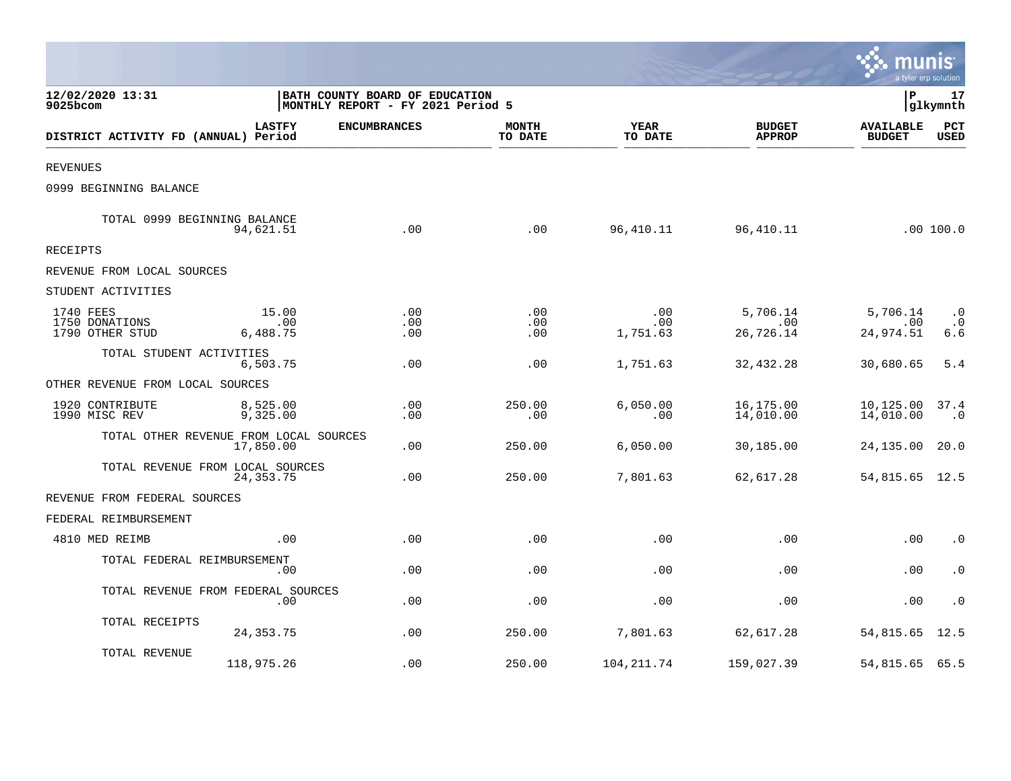|                                                |                          |                                                                     |                         |                        |                                | munis<br>a tyler erp solution     |                               |
|------------------------------------------------|--------------------------|---------------------------------------------------------------------|-------------------------|------------------------|--------------------------------|-----------------------------------|-------------------------------|
| 12/02/2020 13:31<br>9025bcom                   |                          | BATH COUNTY BOARD OF EDUCATION<br>MONTHLY REPORT - FY 2021 Period 5 |                         |                        |                                | l P                               | 17<br> glkymnth               |
| DISTRICT ACTIVITY FD (ANNUAL) Period           | <b>LASTFY</b>            | <b>ENCUMBRANCES</b>                                                 | <b>MONTH</b><br>TO DATE | <b>YEAR</b><br>TO DATE | <b>BUDGET</b><br><b>APPROP</b> | <b>AVAILABLE</b><br><b>BUDGET</b> | PCT<br><b>USED</b>            |
| <b>REVENUES</b>                                |                          |                                                                     |                         |                        |                                |                                   |                               |
| 0999 BEGINNING BALANCE                         |                          |                                                                     |                         |                        |                                |                                   |                               |
| TOTAL 0999 BEGINNING BALANCE                   | 94,621.51                | .00                                                                 | .00                     | 96,410.11              | 96, 410.11                     |                                   | .00 100.0                     |
| <b>RECEIPTS</b>                                |                          |                                                                     |                         |                        |                                |                                   |                               |
| REVENUE FROM LOCAL SOURCES                     |                          |                                                                     |                         |                        |                                |                                   |                               |
| STUDENT ACTIVITIES                             |                          |                                                                     |                         |                        |                                |                                   |                               |
| 1740 FEES<br>1750 DONATIONS<br>1790 OTHER STUD | 15.00<br>.00<br>6,488.75 | .00<br>.00<br>.00                                                   | .00<br>.00<br>.00       | .00<br>.00<br>1,751.63 | 5,706.14<br>.00<br>26,726.14   | 5,706.14<br>.00<br>24,974.51      | $\cdot$ 0<br>$\cdot$ 0<br>6.6 |
| TOTAL STUDENT ACTIVITIES                       | 6,503.75                 | .00                                                                 | .00                     | 1,751.63               | 32,432.28                      | 30,680.65                         | 5.4                           |
| OTHER REVENUE FROM LOCAL SOURCES               |                          |                                                                     |                         |                        |                                |                                   |                               |
| 1920 CONTRIBUTE<br>1990 MISC REV               | 8,525.00<br>9,325.00     | .00<br>.00                                                          | 250.00<br>.00           | 6.050.00<br>.00        | 16,175.00<br>14,010.00         | 10,125.00<br>14,010.00            | 37.4<br>$\cdot$ 0             |
| TOTAL OTHER REVENUE FROM LOCAL SOURCES         | 17,850.00                | .00                                                                 | 250.00                  | 6,050.00               | 30,185.00                      | 24,135.00                         | 20.0                          |
| TOTAL REVENUE FROM LOCAL SOURCES               | 24, 353. 75              | .00                                                                 | 250.00                  | 7,801.63               | 62,617.28                      | 54,815.65 12.5                    |                               |
| REVENUE FROM FEDERAL SOURCES                   |                          |                                                                     |                         |                        |                                |                                   |                               |
| FEDERAL REIMBURSEMENT                          |                          |                                                                     |                         |                        |                                |                                   |                               |
| 4810 MED REIMB                                 | .00                      | .00                                                                 | .00                     | .00                    | .00                            | .00                               | $\cdot$ 0                     |
| TOTAL FEDERAL REIMBURSEMENT                    | .00                      | .00                                                                 | .00                     | .00                    | .00                            | .00                               | $\cdot$ 0                     |
| TOTAL REVENUE FROM FEDERAL SOURCES             | .00                      | .00                                                                 | .00                     | .00                    | .00                            | .00                               | $\cdot$ 0                     |
| TOTAL RECEIPTS                                 | 24, 353. 75              | .00                                                                 | 250.00                  | 7,801.63               | 62,617.28                      | 54,815.65                         | 12.5                          |
| TOTAL REVENUE                                  | 118,975.26               | .00                                                                 | 250.00                  | 104, 211.74            | 159,027.39                     | 54,815.65 65.5                    |                               |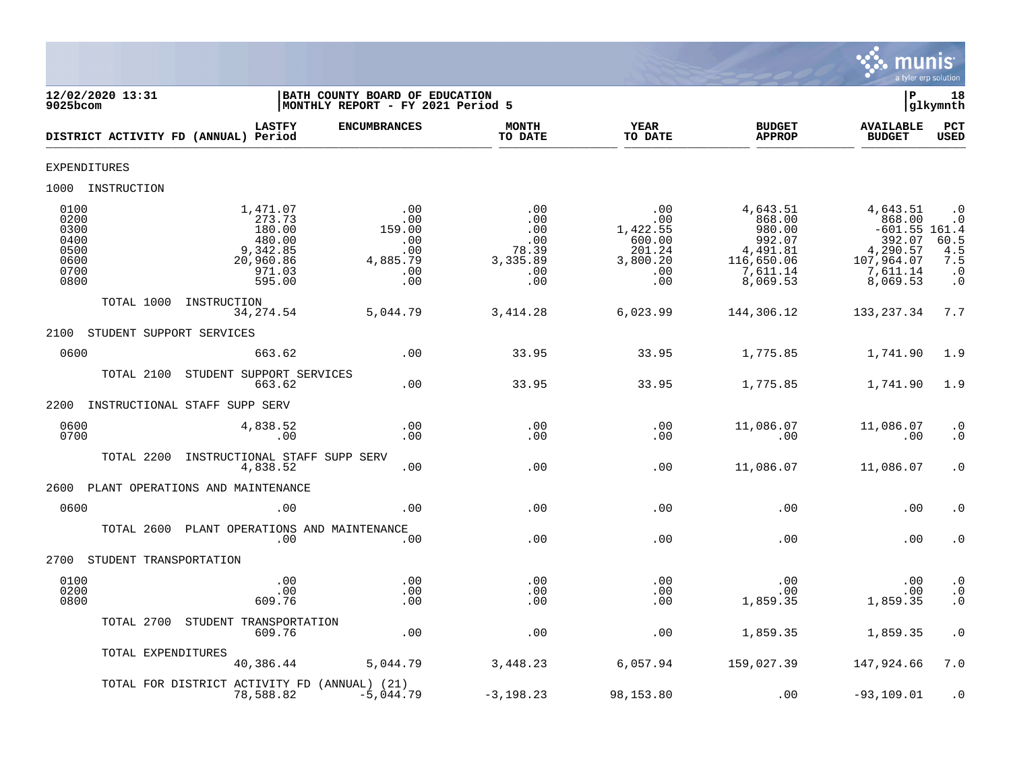

| 12/02/2020 13:31<br>9025bcom                                 |                                                                                     | BATH COUNTY BOARD OF EDUCATION<br>MONTHLY REPORT - FY 2021 Period 5 |                                                             |                                                                      |                                                                                          | Þ                                                                                                 | 18<br>glkymnth                                                           |
|--------------------------------------------------------------|-------------------------------------------------------------------------------------|---------------------------------------------------------------------|-------------------------------------------------------------|----------------------------------------------------------------------|------------------------------------------------------------------------------------------|---------------------------------------------------------------------------------------------------|--------------------------------------------------------------------------|
|                                                              | <b>LASTFY</b><br>DISTRICT ACTIVITY FD (ANNUAL) Period                               | <b>ENCUMBRANCES</b>                                                 | <b>MONTH</b><br>TO DATE                                     | <b>YEAR</b><br>TO DATE                                               | <b>BUDGET</b><br><b>APPROP</b>                                                           | <b>AVAILABLE</b><br><b>BUDGET</b>                                                                 | <b>PCT</b><br>USED                                                       |
| <b>EXPENDITURES</b>                                          |                                                                                     |                                                                     |                                                             |                                                                      |                                                                                          |                                                                                                   |                                                                          |
| 1000 INSTRUCTION                                             |                                                                                     |                                                                     |                                                             |                                                                      |                                                                                          |                                                                                                   |                                                                          |
| 0100<br>0200<br>0300<br>0400<br>0500<br>0600<br>0700<br>0800 | 1,471.07<br>273.73<br>180.00<br>480.00<br>9,342.85<br>20,960.86<br>971.03<br>595.00 | .00<br>.00<br>159.00<br>.00<br>.00<br>4,885.79<br>.00<br>.00        | .00<br>.00<br>.00<br>.00<br>78.39<br>3,335.89<br>.00<br>.00 | .00<br>.00<br>1,422.55<br>600.00<br>201.24<br>3,800.20<br>.00<br>.00 | 4,643.51<br>868.00<br>980.00<br>992.07<br>4,491.81<br>116,650.06<br>7,611.14<br>8,069.53 | 4,643.51<br>868.00<br>$-601.55$ 161.4<br>392.07<br>4,290.57<br>107,964.07<br>7,611.14<br>8,069.53 | $\cdot$ 0<br>$\cdot$ 0<br>$60.5$<br>4.5<br>7.5<br>$\cdot$ 0<br>$\cdot$ 0 |
| TOTAL 1000                                                   | INSTRUCTION<br>34, 274.54                                                           | 5,044.79                                                            | 3, 414.28                                                   | 6,023.99                                                             | 144,306.12                                                                               | 133, 237.34                                                                                       | 7.7                                                                      |
| 2100                                                         | STUDENT SUPPORT SERVICES                                                            |                                                                     |                                                             |                                                                      |                                                                                          |                                                                                                   |                                                                          |
| 0600                                                         | 663.62                                                                              | .00                                                                 | 33.95                                                       | 33.95                                                                | 1,775.85                                                                                 | 1,741.90                                                                                          | 1.9                                                                      |
| TOTAL 2100                                                   | STUDENT SUPPORT SERVICES<br>663.62                                                  | .00                                                                 | 33.95                                                       | 33.95                                                                | 1,775.85                                                                                 | 1,741.90                                                                                          | 1.9                                                                      |
| 2200                                                         | INSTRUCTIONAL STAFF SUPP SERV                                                       |                                                                     |                                                             |                                                                      |                                                                                          |                                                                                                   |                                                                          |
| 0600<br>0700                                                 | 4,838.52<br>.00                                                                     | .00<br>.00                                                          | .00<br>.00                                                  | .00<br>.00                                                           | 11,086.07<br>.00                                                                         | 11,086.07<br>.00                                                                                  | $\cdot$ 0<br>$\cdot$ 0                                                   |
| TOTAL 2200                                                   | INSTRUCTIONAL STAFF SUPP SERV<br>4,838.52                                           | .00                                                                 | .00                                                         | .00                                                                  | 11,086.07                                                                                | 11,086.07                                                                                         | $\cdot$ 0                                                                |
| 2600                                                         | PLANT OPERATIONS AND MAINTENANCE                                                    |                                                                     |                                                             |                                                                      |                                                                                          |                                                                                                   |                                                                          |
| 0600                                                         | .00                                                                                 | .00                                                                 | .00                                                         | .00                                                                  | .00                                                                                      | .00                                                                                               | $\cdot$ 0                                                                |
| TOTAL 2600                                                   | PLANT OPERATIONS AND MAINTENANCE<br>.00                                             | .00                                                                 | .00                                                         | .00                                                                  | .00                                                                                      | .00                                                                                               | $\cdot$ 0                                                                |
| 2700                                                         | STUDENT TRANSPORTATION                                                              |                                                                     |                                                             |                                                                      |                                                                                          |                                                                                                   |                                                                          |
| 0100<br>0200<br>0800                                         | .00<br>.00<br>609.76                                                                | .00<br>.00<br>.00                                                   | .00<br>.00<br>.00                                           | .00<br>.00<br>.00                                                    | .00<br>.00<br>1,859.35                                                                   | $.00 \,$<br>.00<br>1,859.35                                                                       | $\cdot$ 0<br>$\cdot$ 0<br>$\cdot$ 0                                      |
| TOTAL 2700                                                   | STUDENT TRANSPORTATION<br>609.76                                                    | .00                                                                 | .00                                                         | .00                                                                  | 1,859.35                                                                                 | 1,859.35                                                                                          | $\cdot$ 0                                                                |
|                                                              | TOTAL EXPENDITURES<br>40,386.44                                                     | 5,044.79                                                            | 3,448.23                                                    | 6,057.94                                                             | 159,027.39                                                                               | 147,924.66                                                                                        | 7.0                                                                      |
|                                                              | TOTAL FOR DISTRICT ACTIVITY FD (ANNUAL) (21)<br>78,588.82                           | $-5,044.79$                                                         | $-3,198.23$                                                 | 98,153.80                                                            | .00                                                                                      | $-93, 109.01$                                                                                     | $\cdot$ 0                                                                |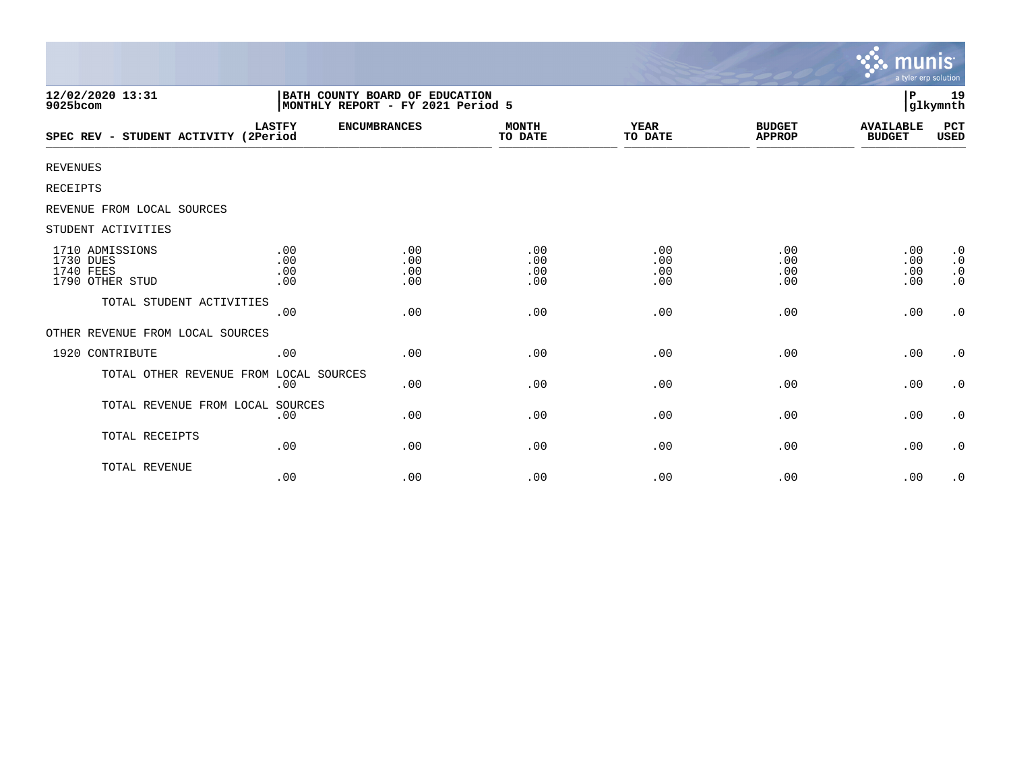|                                                                     |                          |                                                                     |                          |                          |                                | munıs<br>a tyler erp solution     |                                                               |
|---------------------------------------------------------------------|--------------------------|---------------------------------------------------------------------|--------------------------|--------------------------|--------------------------------|-----------------------------------|---------------------------------------------------------------|
| 12/02/2020 13:31<br>9025bcom                                        |                          | BATH COUNTY BOARD OF EDUCATION<br>MONTHLY REPORT - FY 2021 Period 5 |                          |                          |                                | P                                 | 19<br>glkymnth                                                |
| SPEC REV - STUDENT ACTIVITY (2Period                                | <b>LASTFY</b>            | <b>ENCUMBRANCES</b>                                                 | <b>MONTH</b><br>TO DATE  | <b>YEAR</b><br>TO DATE   | <b>BUDGET</b><br><b>APPROP</b> | <b>AVAILABLE</b><br><b>BUDGET</b> | PCT<br>USED                                                   |
| <b>REVENUES</b>                                                     |                          |                                                                     |                          |                          |                                |                                   |                                                               |
| <b>RECEIPTS</b>                                                     |                          |                                                                     |                          |                          |                                |                                   |                                                               |
| REVENUE FROM LOCAL SOURCES                                          |                          |                                                                     |                          |                          |                                |                                   |                                                               |
| STUDENT ACTIVITIES                                                  |                          |                                                                     |                          |                          |                                |                                   |                                                               |
| 1710 ADMISSIONS<br>1730 DUES<br><b>1740 FEES</b><br>1790 OTHER STUD | .00<br>.00<br>.00<br>.00 | .00<br>.00<br>.00<br>.00                                            | .00<br>.00<br>.00<br>.00 | .00<br>.00<br>.00<br>.00 | .00<br>.00<br>.00<br>.00       | .00<br>.00<br>.00<br>.00          | $\cdot$ 0<br>$\boldsymbol{\cdot}$ 0<br>$\cdot$ 0<br>$\cdot$ 0 |
| TOTAL STUDENT ACTIVITIES                                            | .00                      | .00                                                                 | .00                      | .00                      | .00                            | .00                               | $\cdot$ 0                                                     |
| OTHER REVENUE FROM LOCAL SOURCES                                    |                          |                                                                     |                          |                          |                                |                                   |                                                               |
| 1920 CONTRIBUTE                                                     | .00                      | .00                                                                 | .00                      | .00                      | .00                            | .00                               | $\cdot$ 0                                                     |
| TOTAL OTHER REVENUE FROM LOCAL SOURCES                              | .00                      | .00                                                                 | .00                      | .00                      | .00                            | .00                               | $\cdot$ 0                                                     |
| TOTAL REVENUE FROM LOCAL SOURCES                                    | .00                      | .00                                                                 | .00                      | .00                      | .00                            | .00                               | $\cdot$ 0                                                     |
| TOTAL RECEIPTS                                                      | .00                      | .00                                                                 | .00                      | .00                      | .00                            | .00                               | $\cdot$ 0                                                     |
| TOTAL REVENUE                                                       | .00                      | .00                                                                 | .00                      | .00                      | .00                            | .00                               | $\cdot$ 0                                                     |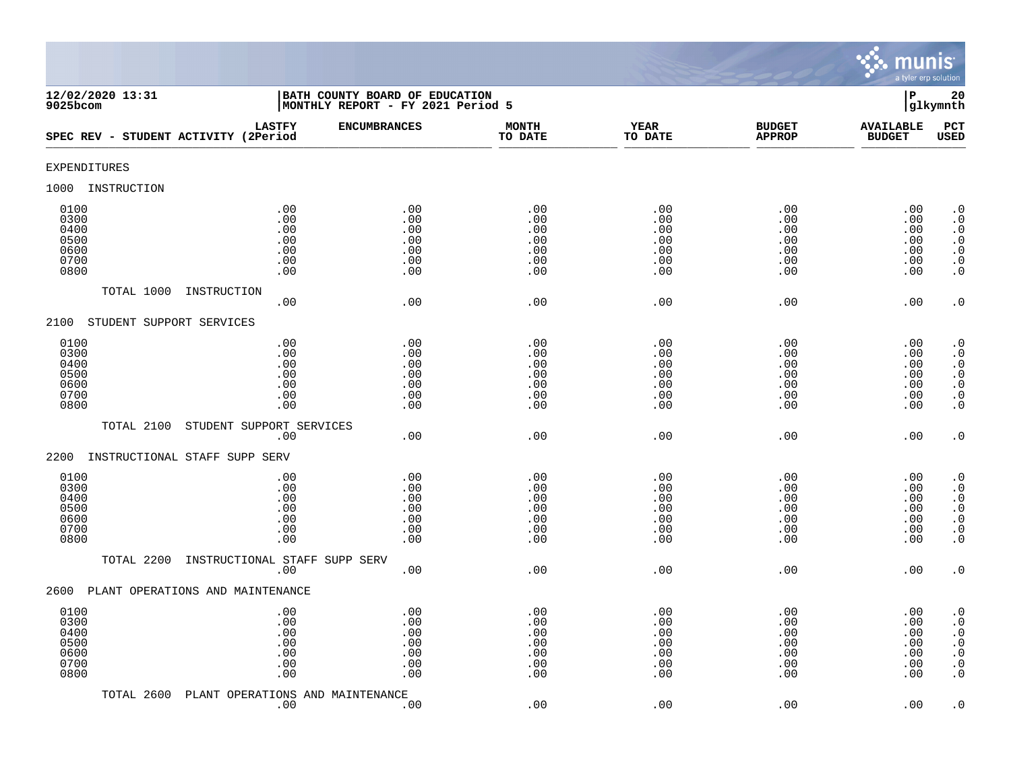

| 12/02/2020 13:31<br>9025bcom                         |                                               | BATH COUNTY BOARD OF EDUCATION<br>MONTHLY REPORT - FY 2021 Period 5 |                                               |                                               |                                               | $\mathbf P$                                   | 20<br>glkymnth                                                                                                                                |
|------------------------------------------------------|-----------------------------------------------|---------------------------------------------------------------------|-----------------------------------------------|-----------------------------------------------|-----------------------------------------------|-----------------------------------------------|-----------------------------------------------------------------------------------------------------------------------------------------------|
| SPEC REV - STUDENT ACTIVITY (2Period                 | <b>LASTFY</b>                                 | <b>ENCUMBRANCES</b>                                                 | <b>MONTH</b><br>TO DATE                       | <b>YEAR</b><br>TO DATE                        | <b>BUDGET</b><br><b>APPROP</b>                | <b>AVAILABLE</b><br><b>BUDGET</b>             | PCT<br><b>USED</b>                                                                                                                            |
| EXPENDITURES                                         |                                               |                                                                     |                                               |                                               |                                               |                                               |                                                                                                                                               |
| INSTRUCTION<br>1000                                  |                                               |                                                                     |                                               |                                               |                                               |                                               |                                                                                                                                               |
| 0100<br>0300<br>0400<br>0500<br>0600<br>0700<br>0800 | .00<br>.00<br>.00<br>.00<br>.00<br>.00<br>.00 | .00<br>.00<br>.00<br>.00<br>.00<br>.00<br>.00                       | .00<br>.00<br>.00<br>.00<br>.00<br>.00<br>.00 | .00<br>.00<br>.00<br>.00<br>.00<br>.00<br>.00 | .00<br>.00<br>.00<br>.00<br>.00<br>.00<br>.00 | .00<br>.00<br>.00<br>.00<br>.00<br>.00<br>.00 | $\cdot$ 0<br>$\boldsymbol{\cdot}$ 0<br>$\cdot$ 0<br>$\begin{smallmatrix} 0.1 \\ 0.1 \end{smallmatrix}$<br>$\boldsymbol{\cdot}$ 0<br>$\cdot$ 0 |
| TOTAL 1000                                           | INSTRUCTION<br>.00                            | .00                                                                 | .00                                           | .00                                           | .00                                           | .00                                           | $\cdot$ 0                                                                                                                                     |
| 2100<br>STUDENT SUPPORT SERVICES                     |                                               |                                                                     |                                               |                                               |                                               |                                               |                                                                                                                                               |
| 0100<br>0300<br>0400<br>0500<br>0600<br>0700<br>0800 | .00<br>.00<br>.00<br>.00<br>.00<br>.00<br>.00 | .00<br>.00<br>.00<br>.00<br>.00<br>.00<br>.00                       | .00<br>.00<br>.00<br>.00<br>.00<br>.00<br>.00 | .00<br>.00<br>.00<br>.00<br>.00<br>.00<br>.00 | .00<br>.00<br>.00<br>.00<br>.00<br>.00<br>.00 | .00<br>.00<br>.00<br>.00<br>.00<br>.00<br>.00 | $\begin{smallmatrix} 0.1 \\ 0.1 \end{smallmatrix}$<br>$\cdot$ 0<br>$\begin{array}{c} 0.0 \\ 0.0 \\ 0.0 \end{array}$<br>$\cdot$ 0              |
| TOTAL 2100                                           | STUDENT SUPPORT SERVICES<br>.00               | .00                                                                 | .00                                           | .00                                           | .00                                           | .00                                           | $\cdot$ 0                                                                                                                                     |
| INSTRUCTIONAL STAFF SUPP SERV<br>2200                |                                               |                                                                     |                                               |                                               |                                               |                                               |                                                                                                                                               |
| 0100<br>0300<br>0400<br>0500<br>0600<br>0700<br>0800 | .00<br>.00<br>.00<br>.00<br>.00<br>.00<br>.00 | .00<br>.00<br>.00<br>.00<br>.00<br>.00<br>.00                       | .00<br>.00<br>.00<br>.00<br>.00<br>.00<br>.00 | .00<br>.00<br>.00<br>.00<br>.00<br>.00<br>.00 | .00<br>.00<br>.00<br>.00<br>.00<br>.00<br>.00 | .00<br>.00<br>.00<br>.00<br>.00<br>.00<br>.00 | $\cdot$ 0<br>$\ddot{0}$<br>$\boldsymbol{\cdot}$ 0<br>$\overline{0}$<br>$\ddot{\theta}$<br>$\cdot$ 0<br>$\overline{0}$ .                       |
| TOTAL 2200                                           | INSTRUCTIONAL STAFF SUPP SERV<br>.00          | .00                                                                 | .00                                           | .00                                           | .00                                           | .00                                           | $\cdot$ 0                                                                                                                                     |
| 2600<br>PLANT OPERATIONS AND MAINTENANCE             |                                               |                                                                     |                                               |                                               |                                               |                                               |                                                                                                                                               |
| 0100<br>0300<br>0400<br>0500<br>0600<br>0700<br>0800 | .00<br>.00<br>.00<br>.00<br>.00<br>.00<br>.00 | .00<br>.00<br>.00<br>.00<br>.00<br>.00<br>.00                       | .00<br>.00<br>.00<br>.00<br>.00<br>.00<br>.00 | .00<br>.00<br>.00<br>.00<br>.00<br>.00<br>.00 | .00<br>.00<br>.00<br>.00<br>.00<br>.00<br>.00 | .00<br>.00<br>.00<br>.00<br>.00<br>.00<br>.00 | $\cdot$ 0<br>$\cdot$ 0<br>$\boldsymbol{\cdot}$ 0<br>$\ddot{0}$<br>$\boldsymbol{\cdot}$ 0<br>$\boldsymbol{\cdot}$ 0<br>$\cdot$ 0               |
| TOTAL 2600                                           | PLANT OPERATIONS AND MAINTENANCE<br>.00       | .00                                                                 | .00                                           | .00                                           | .00                                           | .00                                           | $\cdot$ 0                                                                                                                                     |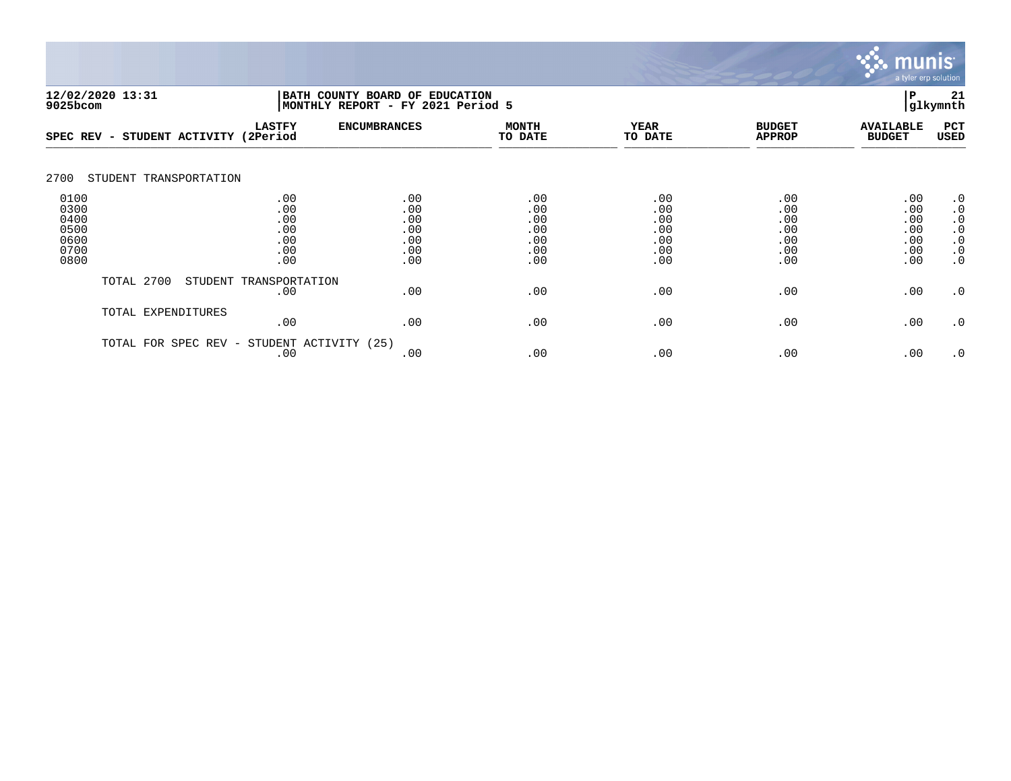

| 12/02/2020 13:31<br>9025bcom                         |                        |                                               | BATH COUNTY BOARD OF EDUCATION<br> MONTHLY REPORT - FY 2021 Period 5 | P<br>glkymnth                                 |                                               |                                               |                                               |                                                                                         |  |
|------------------------------------------------------|------------------------|-----------------------------------------------|----------------------------------------------------------------------|-----------------------------------------------|-----------------------------------------------|-----------------------------------------------|-----------------------------------------------|-----------------------------------------------------------------------------------------|--|
| SPEC REV -                                           | STUDENT ACTIVITY       | <b>LASTFY</b><br>(2Period                     | <b>ENCUMBRANCES</b>                                                  | <b>MONTH</b><br>TO DATE                       | <b>YEAR</b><br>TO DATE                        | <b>BUDGET</b><br><b>APPROP</b>                | <b>AVAILABLE</b><br><b>BUDGET</b>             | PCT<br><b>USED</b>                                                                      |  |
| 2700                                                 | STUDENT TRANSPORTATION |                                               |                                                                      |                                               |                                               |                                               |                                               |                                                                                         |  |
| 0100<br>0300<br>0400<br>0500<br>0600<br>0700<br>0800 |                        | .00<br>.00<br>.00<br>.00<br>.00<br>.00<br>.00 | .00<br>.00<br>.00<br>.00<br>.00<br>.00<br>.00                        | .00<br>.00<br>.00<br>.00<br>.00<br>.00<br>.00 | .00<br>.00<br>.00<br>.00<br>.00<br>.00<br>.00 | .00<br>.00<br>.00<br>.00<br>.00<br>.00<br>.00 | .00<br>.00<br>.00<br>.00<br>.00<br>.00<br>.00 | $\cdot$ 0<br>$\cdot$ 0<br>$\cdot$ 0<br>$\cdot$ 0<br>$\cdot$ 0<br>$\cdot$ 0<br>$\cdot$ 0 |  |
|                                                      | TOTAL 2700             | STUDENT TRANSPORTATION<br>.00                 | .00                                                                  | .00                                           | .00                                           | .00                                           | .00                                           | $\cdot$ 0                                                                               |  |
|                                                      | TOTAL EXPENDITURES     | .00                                           | .00                                                                  | .00                                           | .00                                           | .00                                           | .00                                           | $\cdot$ 0                                                                               |  |
|                                                      | TOTAL FOR SPEC REV -   | STUDENT ACTIVITY (25)<br>.00                  | .00                                                                  | .00                                           | .00                                           | .00                                           | .00                                           | $\cdot$ 0                                                                               |  |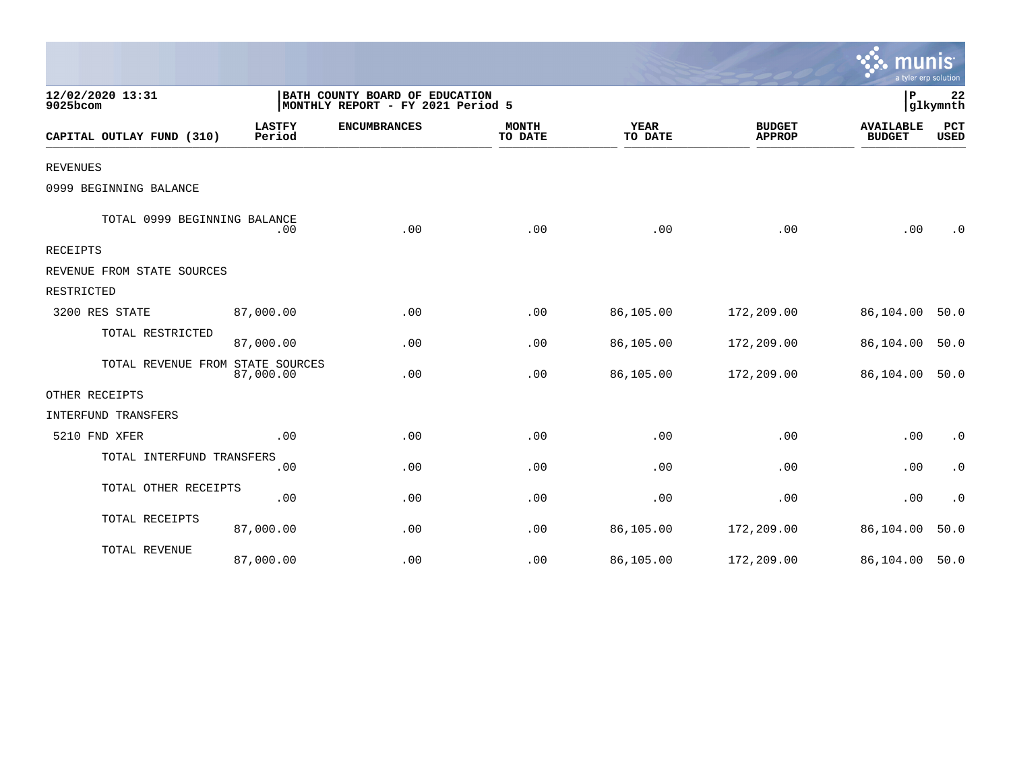|                                  |                         |                                                                     |                         |                        |                                | a tyler erp solution              |                |
|----------------------------------|-------------------------|---------------------------------------------------------------------|-------------------------|------------------------|--------------------------------|-----------------------------------|----------------|
| 12/02/2020 13:31<br>9025bcom     |                         | BATH COUNTY BOARD OF EDUCATION<br>MONTHLY REPORT - FY 2021 Period 5 |                         |                        |                                | P                                 | 22<br>glkymnth |
| CAPITAL OUTLAY FUND (310)        | <b>LASTFY</b><br>Period | <b>ENCUMBRANCES</b>                                                 | <b>MONTH</b><br>TO DATE | <b>YEAR</b><br>TO DATE | <b>BUDGET</b><br><b>APPROP</b> | <b>AVAILABLE</b><br><b>BUDGET</b> | PCT<br>USED    |
| <b>REVENUES</b>                  |                         |                                                                     |                         |                        |                                |                                   |                |
| 0999 BEGINNING BALANCE           |                         |                                                                     |                         |                        |                                |                                   |                |
| TOTAL 0999 BEGINNING BALANCE     | .00                     | .00                                                                 | .00                     | .00                    | .00                            | .00                               | $\cdot$ 0      |
| RECEIPTS                         |                         |                                                                     |                         |                        |                                |                                   |                |
| REVENUE FROM STATE SOURCES       |                         |                                                                     |                         |                        |                                |                                   |                |
| RESTRICTED                       |                         |                                                                     |                         |                        |                                |                                   |                |
| 3200 RES STATE                   | 87,000.00               | .00                                                                 | .00                     | 86,105.00              | 172,209.00                     | 86,104.00                         | 50.0           |
| TOTAL RESTRICTED                 | 87,000.00               | .00                                                                 | .00                     | 86,105.00              | 172,209.00                     | 86,104.00                         | 50.0           |
| TOTAL REVENUE FROM STATE SOURCES | 87,000.00               | .00                                                                 | .00                     | 86,105.00              | 172,209.00                     | 86,104.00                         | 50.0           |
| OTHER RECEIPTS                   |                         |                                                                     |                         |                        |                                |                                   |                |
| INTERFUND TRANSFERS              |                         |                                                                     |                         |                        |                                |                                   |                |
| 5210 FND XFER                    | .00                     | .00                                                                 | .00                     | .00                    | .00                            | .00                               | $\cdot$ 0      |
| TOTAL INTERFUND TRANSFERS        | .00                     | .00                                                                 | .00                     | .00                    | .00                            | .00                               | $\cdot$ 0      |
| TOTAL OTHER RECEIPTS             | .00                     | .00                                                                 | .00                     | .00                    | .00                            | .00                               | $\cdot$ 0      |
| TOTAL RECEIPTS                   | 87,000.00               | .00                                                                 | .00                     | 86,105.00              | 172,209.00                     | 86,104.00                         | 50.0           |
| TOTAL REVENUE                    | 87,000.00               | .00                                                                 | .00                     | 86,105.00              | 172,209.00                     | 86,104.00 50.0                    |                |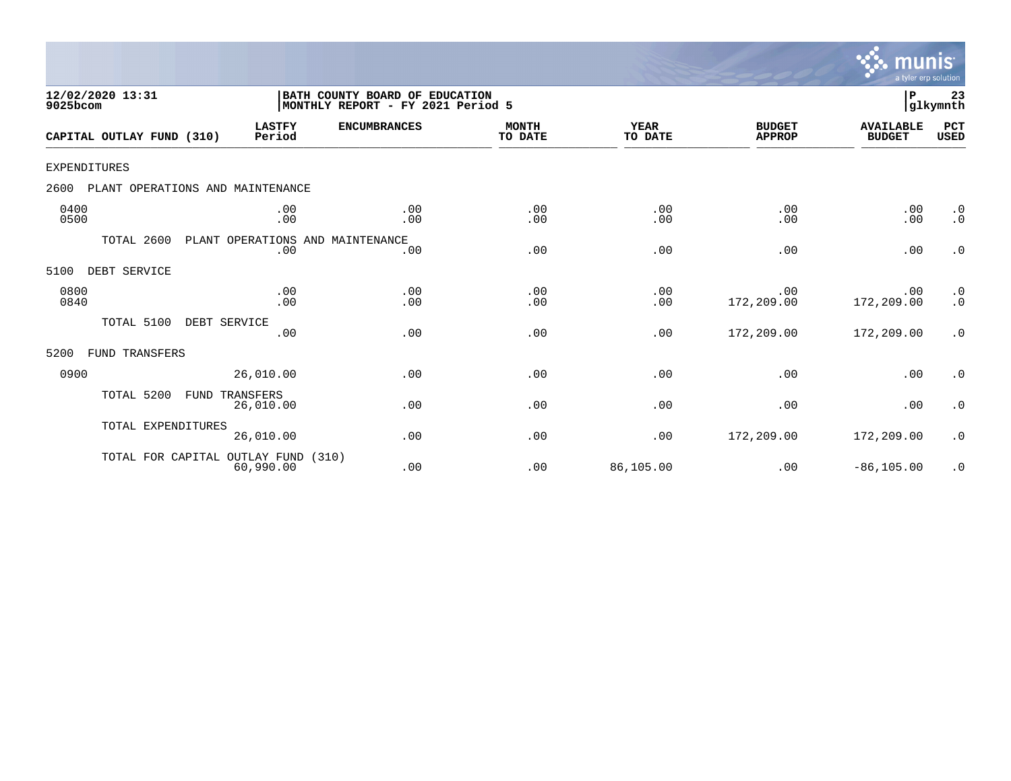

| 12/02/2020 13:31<br>9025bcom |                           |                                            | BATH COUNTY BOARD OF EDUCATION<br>MONTHLY REPORT - FY 2021 Period 5 |                         |                        |                                | P                                 | 23<br>glkymnth         |
|------------------------------|---------------------------|--------------------------------------------|---------------------------------------------------------------------|-------------------------|------------------------|--------------------------------|-----------------------------------|------------------------|
|                              | CAPITAL OUTLAY FUND (310) | <b>LASTFY</b><br>Period                    | <b>ENCUMBRANCES</b>                                                 | <b>MONTH</b><br>TO DATE | <b>YEAR</b><br>TO DATE | <b>BUDGET</b><br><b>APPROP</b> | <b>AVAILABLE</b><br><b>BUDGET</b> | PCT<br><b>USED</b>     |
| <b>EXPENDITURES</b>          |                           |                                            |                                                                     |                         |                        |                                |                                   |                        |
| 2600                         |                           | PLANT OPERATIONS AND MAINTENANCE           |                                                                     |                         |                        |                                |                                   |                        |
| 0400<br>0500                 |                           | .00<br>.00                                 | .00<br>.00                                                          | .00<br>.00              | .00<br>.00             | .00<br>.00                     | .00<br>.00                        | $\cdot$ 0<br>$\cdot$ 0 |
|                              | TOTAL 2600                | PLANT OPERATIONS AND MAINTENANCE<br>.00    | .00                                                                 | .00                     | .00                    | .00                            | .00                               | $\cdot$ 0              |
| 5100                         | DEBT SERVICE              |                                            |                                                                     |                         |                        |                                |                                   |                        |
| 0800<br>0840                 |                           | .00<br>.00                                 | .00<br>.00                                                          | .00<br>.00              | .00<br>.00             | .00<br>172,209.00              | .00<br>172,209.00                 | $\cdot$ 0<br>$\cdot$ 0 |
|                              | TOTAL 5100                | DEBT SERVICE<br>.00                        | .00                                                                 | .00                     | .00                    | 172,209.00                     | 172,209.00                        | $\cdot$ 0              |
| 5200                         | FUND TRANSFERS            |                                            |                                                                     |                         |                        |                                |                                   |                        |
| 0900                         |                           | 26,010.00                                  | .00                                                                 | .00                     | .00                    | .00                            | .00                               | $\cdot$ 0              |
|                              | TOTAL 5200<br>FUND        | TRANSFERS<br>26,010.00                     | .00                                                                 | .00                     | .00                    | .00                            | .00                               | $\cdot$ 0              |
|                              | TOTAL EXPENDITURES        | 26,010.00                                  | .00                                                                 | .00                     | .00                    | 172,209.00                     | 172,209.00                        | $\cdot$ 0              |
|                              |                           | TOTAL FOR CAPITAL OUTLAY FUND<br>60,990.00 | (310)<br>.00                                                        | .00                     | 86,105.00              | .00                            | $-86, 105.00$                     | $\cdot$ 0              |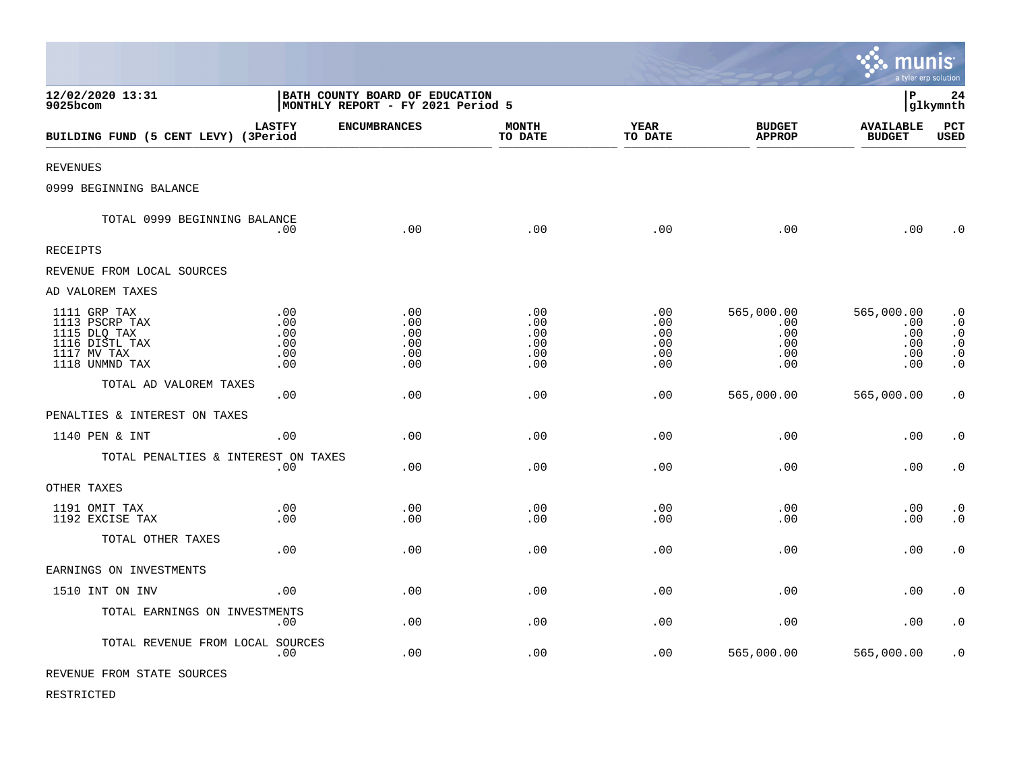|                                                                                                   |                                                                     |                                        |                                        |                                        |                                               | mu<br>a tyler erp solution                    | INIS                                                                                    |
|---------------------------------------------------------------------------------------------------|---------------------------------------------------------------------|----------------------------------------|----------------------------------------|----------------------------------------|-----------------------------------------------|-----------------------------------------------|-----------------------------------------------------------------------------------------|
| 12/02/2020 13:31<br>9025bcom                                                                      | BATH COUNTY BOARD OF EDUCATION<br>MONTHLY REPORT - FY 2021 Period 5 |                                        |                                        |                                        |                                               | l P<br>24<br>glkymnth                         |                                                                                         |
| BUILDING FUND (5 CENT LEVY) (3Period                                                              | <b>LASTFY</b>                                                       | <b>ENCUMBRANCES</b>                    | <b>MONTH</b><br>TO DATE                | <b>YEAR</b><br>TO DATE                 | <b>BUDGET</b><br><b>APPROP</b>                | <b>AVAILABLE</b><br><b>BUDGET</b>             | PCT<br><b>USED</b>                                                                      |
| <b>REVENUES</b>                                                                                   |                                                                     |                                        |                                        |                                        |                                               |                                               |                                                                                         |
| 0999 BEGINNING BALANCE                                                                            |                                                                     |                                        |                                        |                                        |                                               |                                               |                                                                                         |
| TOTAL 0999 BEGINNING BALANCE                                                                      | .00                                                                 | .00                                    | .00                                    | .00                                    | .00                                           | .00                                           | $\cdot$ 0                                                                               |
| RECEIPTS                                                                                          |                                                                     |                                        |                                        |                                        |                                               |                                               |                                                                                         |
| REVENUE FROM LOCAL SOURCES                                                                        |                                                                     |                                        |                                        |                                        |                                               |                                               |                                                                                         |
| AD VALOREM TAXES                                                                                  |                                                                     |                                        |                                        |                                        |                                               |                                               |                                                                                         |
| 1111 GRP TAX<br>1113 PSCRP TAX<br>1115 DLQ TAX<br>1116 DISTL TAX<br>1117 MV TAX<br>1118 UNMND TAX | .00<br>.00.<br>.00<br>.00<br>.00<br>.00                             | .00<br>.00<br>.00<br>.00<br>.00<br>.00 | .00<br>.00<br>.00<br>.00<br>.00<br>.00 | .00<br>.00<br>.00<br>.00<br>.00<br>.00 | 565,000.00<br>.00<br>.00<br>.00<br>.00<br>.00 | 565,000.00<br>.00<br>.00<br>.00<br>.00<br>.00 | $\cdot$ 0<br>$\cdot$ 0<br>$\cdot$ 0<br>$\boldsymbol{\cdot}$ 0<br>$\cdot$ 0<br>$\cdot$ 0 |
| TOTAL AD VALOREM TAXES                                                                            | .00                                                                 | .00                                    | .00                                    | .00                                    | 565,000.00                                    | 565,000.00                                    | $\cdot$ 0                                                                               |
| PENALTIES & INTEREST ON TAXES                                                                     |                                                                     |                                        |                                        |                                        |                                               |                                               |                                                                                         |
| 1140 PEN & INT                                                                                    | .00                                                                 | .00                                    | .00                                    | .00                                    | .00                                           | .00                                           | $\cdot$ 0                                                                               |
| TOTAL PENALTIES & INTEREST ON TAXES                                                               | .00                                                                 | .00                                    | .00                                    | .00                                    | .00                                           | .00                                           | $\boldsymbol{\cdot}$ 0                                                                  |
| OTHER TAXES                                                                                       |                                                                     |                                        |                                        |                                        |                                               |                                               |                                                                                         |
| 1191 OMIT TAX<br>1192 EXCISE TAX                                                                  | .00<br>.00                                                          | .00<br>.00                             | .00<br>.00                             | .00<br>.00                             | .00<br>.00                                    | .00<br>.00                                    | $\cdot$ 0<br>$\cdot$ 0                                                                  |
| TOTAL OTHER TAXES                                                                                 | .00                                                                 | .00                                    | .00                                    | .00                                    | .00                                           | .00                                           | $\cdot$ 0                                                                               |
| EARNINGS ON INVESTMENTS                                                                           |                                                                     |                                        |                                        |                                        |                                               |                                               |                                                                                         |
| 1510 INT ON INV                                                                                   | .00                                                                 | .00                                    | .00                                    | .00                                    | .00                                           | .00                                           | $\cdot$ 0                                                                               |
| TOTAL EARNINGS ON INVESTMENTS                                                                     | .00                                                                 | .00                                    | .00                                    | .00                                    | .00                                           | .00                                           | $\cdot$ 0                                                                               |
| TOTAL REVENUE FROM LOCAL SOURCES                                                                  | .00                                                                 | .00                                    | .00                                    | .00                                    | 565,000.00                                    | 565,000.00                                    | $\cdot$ 0                                                                               |
| REVENUE FROM STATE SOURCES                                                                        |                                                                     |                                        |                                        |                                        |                                               |                                               |                                                                                         |

 $\mathcal{L}$ 

RESTRICTED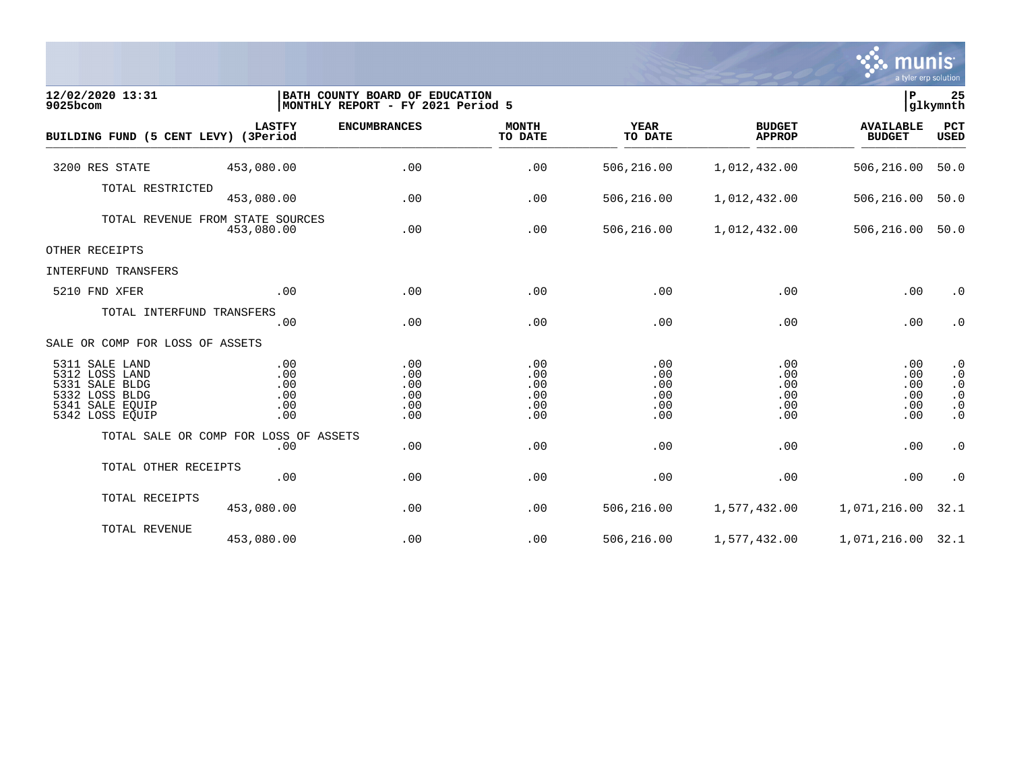

| 12/02/2020 13:31<br>9025bcom                                                                               |                                                | BATH COUNTY BOARD OF EDUCATION<br>MONTHLY REPORT - FY 2021 Period 5 |                                        |                                        |                                        | ∣P<br>glkymnth                         |                                                                            |
|------------------------------------------------------------------------------------------------------------|------------------------------------------------|---------------------------------------------------------------------|----------------------------------------|----------------------------------------|----------------------------------------|----------------------------------------|----------------------------------------------------------------------------|
| BUILDING FUND (5 CENT LEVY) (3Period                                                                       | <b>LASTFY</b>                                  | <b>ENCUMBRANCES</b>                                                 | <b>MONTH</b><br>TO DATE                | <b>YEAR</b><br>TO DATE                 | <b>BUDGET</b><br><b>APPROP</b>         | <b>AVAILABLE</b><br><b>BUDGET</b>      | PCT<br><b>USED</b>                                                         |
| 3200 RES STATE                                                                                             | 453,080.00                                     | .00                                                                 | .00                                    | 506,216.00                             | 1,012,432.00                           | 506,216.00                             | 50.0                                                                       |
| TOTAL RESTRICTED                                                                                           | 453,080.00                                     | .00                                                                 | .00                                    | 506,216.00                             | 1,012,432.00                           | 506,216.00                             | 50.0                                                                       |
|                                                                                                            | TOTAL REVENUE FROM STATE SOURCES<br>453,080.00 | .00                                                                 | .00                                    | 506,216.00                             | 1,012,432.00                           | 506,216.00                             | 50.0                                                                       |
| OTHER RECEIPTS                                                                                             |                                                |                                                                     |                                        |                                        |                                        |                                        |                                                                            |
| INTERFUND TRANSFERS                                                                                        |                                                |                                                                     |                                        |                                        |                                        |                                        |                                                                            |
| 5210 FND XFER                                                                                              | .00                                            | .00                                                                 | .00                                    | .00                                    | .00                                    | .00                                    | $\cdot$ 0                                                                  |
| TOTAL INTERFUND TRANSFERS                                                                                  | .00                                            | .00                                                                 | .00                                    | .00                                    | .00                                    | .00                                    | $\cdot$ 0                                                                  |
| SALE OR COMP FOR LOSS OF ASSETS                                                                            |                                                |                                                                     |                                        |                                        |                                        |                                        |                                                                            |
| 5311 SALE LAND<br>5312 LOSS LAND<br>5331 SALE BLDG<br>5332 LOSS BLDG<br>5341 SALE EQUIP<br>5342 LOSS EQUIP | .00<br>.00<br>.00<br>.00<br>.00<br>.00         | .00<br>.00<br>.00<br>.00<br>.00<br>.00                              | .00<br>.00<br>.00<br>.00<br>.00<br>.00 | .00<br>.00<br>.00<br>.00<br>.00<br>.00 | .00<br>.00<br>.00<br>.00<br>.00<br>.00 | .00<br>.00<br>.00<br>.00<br>.00<br>.00 | $\cdot$ 0<br>$\cdot$ 0<br>$\cdot$ 0<br>$\cdot$ 0<br>$\cdot$ 0<br>$\cdot$ 0 |
|                                                                                                            | TOTAL SALE OR COMP FOR LOSS OF ASSETS<br>.00   | .00                                                                 | .00                                    | .00                                    | .00                                    | .00                                    | $\cdot$ 0                                                                  |
| TOTAL OTHER RECEIPTS                                                                                       | .00                                            | .00                                                                 | .00                                    | .00                                    | .00                                    | .00                                    | $\cdot$ 0                                                                  |
| TOTAL RECEIPTS                                                                                             | 453,080.00                                     | .00                                                                 | .00                                    | 506,216.00                             | 1,577,432.00                           | 1,071,216.00                           | 32.1                                                                       |
| TOTAL REVENUE                                                                                              | 453,080.00                                     | .00                                                                 | .00                                    | 506,216.00                             | 1,577,432.00                           | 1,071,216.00 32.1                      |                                                                            |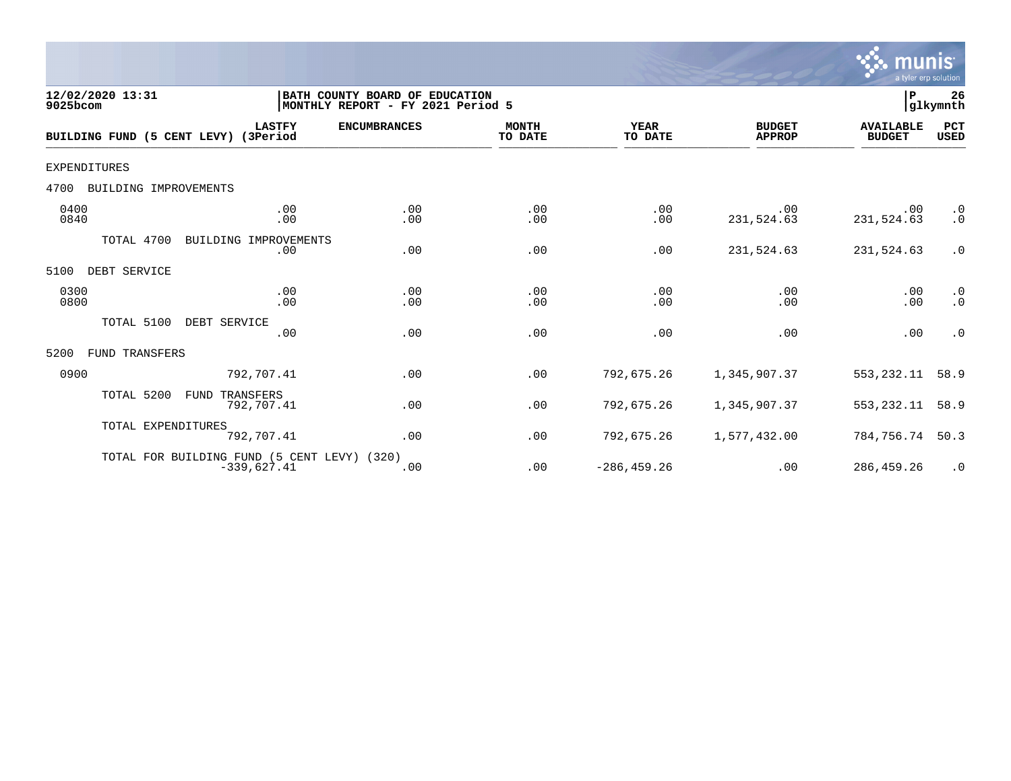

| 12/02/2020 13:31<br>9025bcom         |                                                              | BATH COUNTY BOARD OF EDUCATION<br>MONTHLY REPORT - FY 2021 Period 5 |                         |                        |                                | P                                 | 26<br>glkymnth         |
|--------------------------------------|--------------------------------------------------------------|---------------------------------------------------------------------|-------------------------|------------------------|--------------------------------|-----------------------------------|------------------------|
| BUILDING FUND (5 CENT LEVY) (3Period | <b>LASTFY</b>                                                | <b>ENCUMBRANCES</b>                                                 | <b>MONTH</b><br>TO DATE | <b>YEAR</b><br>TO DATE | <b>BUDGET</b><br><b>APPROP</b> | <b>AVAILABLE</b><br><b>BUDGET</b> | PCT<br><b>USED</b>     |
| <b>EXPENDITURES</b>                  |                                                              |                                                                     |                         |                        |                                |                                   |                        |
| BUILDING IMPROVEMENTS<br>4700        |                                                              |                                                                     |                         |                        |                                |                                   |                        |
| 0400<br>0840                         | .00<br>.00                                                   | .00<br>.00                                                          | .00<br>.00              | .00<br>.00             | .00<br>231,524.63              | .00<br>231,524.63                 | $\cdot$ 0<br>$\cdot$ 0 |
| TOTAL 4700                           | BUILDING IMPROVEMENTS<br>.00                                 | .00                                                                 | .00                     | .00                    | 231,524.63                     | 231,524.63                        | $\cdot$ 0              |
| 5100<br>DEBT SERVICE                 |                                                              |                                                                     |                         |                        |                                |                                   |                        |
| 0300<br>0800                         | .00<br>.00                                                   | .00<br>.00                                                          | .00<br>.00              | .00<br>.00             | .00<br>.00                     | .00<br>.00                        | $\cdot$ 0<br>$\cdot$ 0 |
| TOTAL 5100                           | DEBT SERVICE<br>.00                                          | .00                                                                 | .00                     | .00                    | .00                            | .00                               | $\cdot$ 0              |
| FUND TRANSFERS<br>5200               |                                                              |                                                                     |                         |                        |                                |                                   |                        |
| 0900                                 | 792,707.41                                                   | .00                                                                 | .00                     | 792,675.26             | 1,345,907.37                   | 553, 232.11                       | 58.9                   |
| TOTAL 5200                           | TRANSFERS<br>FUND<br>792,707.41                              | .00                                                                 | .00                     | 792,675.26             | 1,345,907.37                   | 553,232.11                        | 58.9                   |
| TOTAL EXPENDITURES                   | 792,707.41                                                   | .00                                                                 | .00                     | 792,675.26             | 1,577,432.00                   | 784,756.74                        | 50.3                   |
|                                      | TOTAL FOR BUILDING FUND (5 CENT LEVY) (320)<br>$-339,627.41$ | .00                                                                 | .00                     | $-286, 459.26$         | .00                            | 286,459.26                        | $\cdot$ 0              |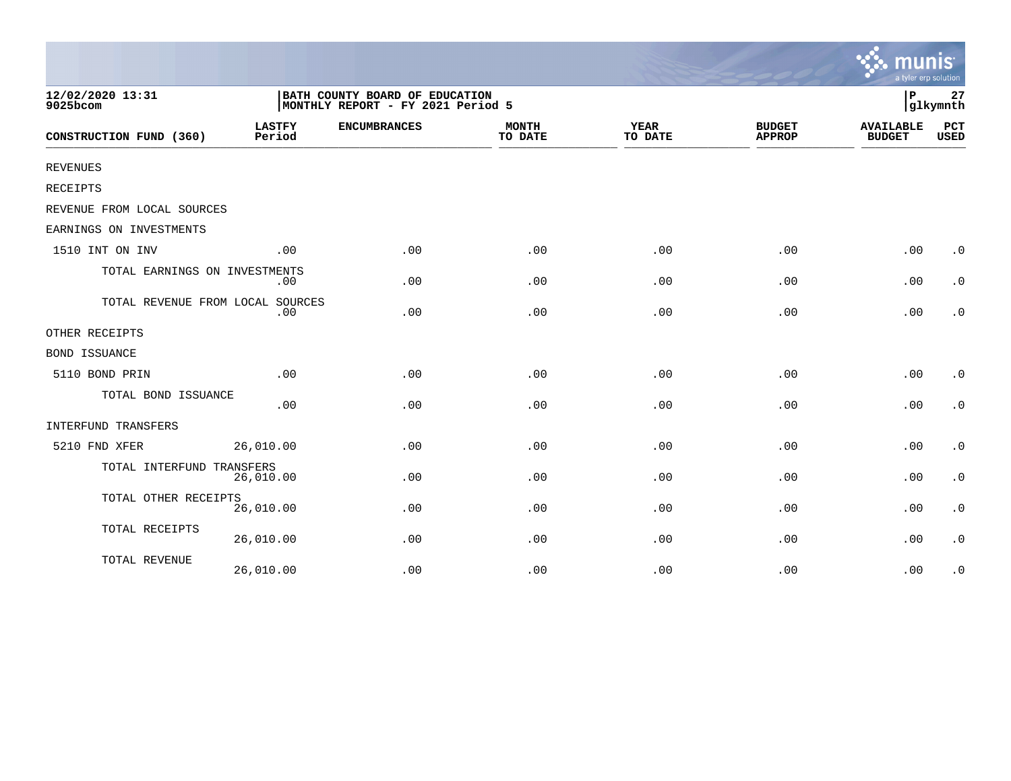|                                  |                                                                     |                     |                         |                        |                                | munis<br>a tyler erp solution     |                |
|----------------------------------|---------------------------------------------------------------------|---------------------|-------------------------|------------------------|--------------------------------|-----------------------------------|----------------|
| 12/02/2020 13:31<br>9025bcom     | BATH COUNTY BOARD OF EDUCATION<br>MONTHLY REPORT - FY 2021 Period 5 |                     |                         |                        |                                | l P                               | 27<br>glkymnth |
| CONSTRUCTION FUND (360)          | <b>LASTFY</b><br>Period                                             | <b>ENCUMBRANCES</b> | <b>MONTH</b><br>TO DATE | <b>YEAR</b><br>TO DATE | <b>BUDGET</b><br><b>APPROP</b> | <b>AVAILABLE</b><br><b>BUDGET</b> | PCT<br>USED    |
| <b>REVENUES</b>                  |                                                                     |                     |                         |                        |                                |                                   |                |
| <b>RECEIPTS</b>                  |                                                                     |                     |                         |                        |                                |                                   |                |
| REVENUE FROM LOCAL SOURCES       |                                                                     |                     |                         |                        |                                |                                   |                |
| EARNINGS ON INVESTMENTS          |                                                                     |                     |                         |                        |                                |                                   |                |
| 1510 INT ON INV                  | .00                                                                 | .00                 | .00                     | .00                    | .00                            | .00                               | $\cdot$ 0      |
| TOTAL EARNINGS ON INVESTMENTS    | .00                                                                 | .00                 | .00                     | .00                    | .00                            | .00                               | $\cdot$ 0      |
| TOTAL REVENUE FROM LOCAL SOURCES | .00                                                                 | .00                 | .00                     | .00                    | .00                            | .00                               | $\cdot$ 0      |
| OTHER RECEIPTS                   |                                                                     |                     |                         |                        |                                |                                   |                |
| <b>BOND ISSUANCE</b>             |                                                                     |                     |                         |                        |                                |                                   |                |
| 5110 BOND PRIN                   | .00                                                                 | .00                 | .00                     | .00                    | .00                            | .00                               | $\cdot$ 0      |
| TOTAL BOND ISSUANCE              | .00                                                                 | .00                 | .00                     | .00                    | .00                            | .00                               | $\cdot$ 0      |
| INTERFUND TRANSFERS              |                                                                     |                     |                         |                        |                                |                                   |                |
| 5210 FND XFER                    | 26,010.00                                                           | .00                 | .00                     | .00                    | .00                            | .00                               | $\cdot$ 0      |
| TOTAL INTERFUND TRANSFERS        | 26,010.00                                                           | .00                 | .00                     | .00                    | .00                            | .00                               | $\cdot$ 0      |
| TOTAL OTHER RECEIPTS             | 26,010.00                                                           | .00                 | .00                     | .00                    | .00                            | .00                               | $\cdot$ 0      |
| TOTAL RECEIPTS                   | 26,010.00                                                           | .00                 | .00                     | .00                    | .00                            | .00                               | $\cdot$ 0      |
| TOTAL REVENUE                    | 26,010.00                                                           | .00                 | .00                     | .00                    | .00                            | .00                               | $\cdot$ 0      |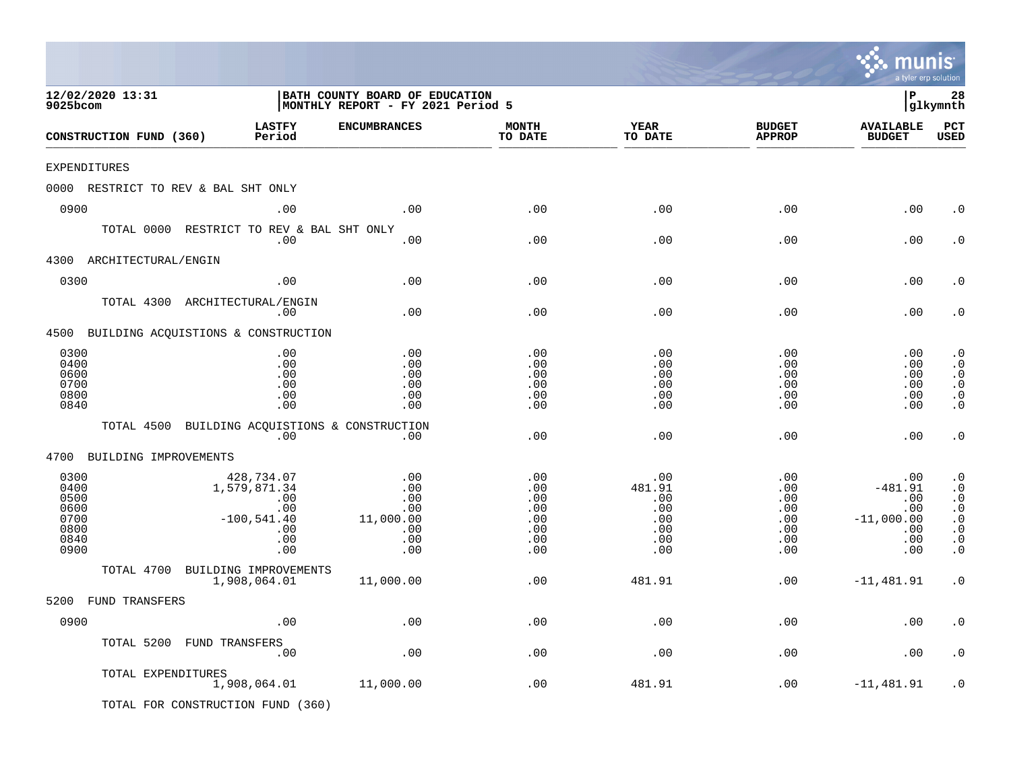|                                                              |                                                                                |                                                                     |                                                      |                                                              |                                                           | mu<br>a tyler erp solution                                          | <b>nis</b>                                                                                           |
|--------------------------------------------------------------|--------------------------------------------------------------------------------|---------------------------------------------------------------------|------------------------------------------------------|--------------------------------------------------------------|-----------------------------------------------------------|---------------------------------------------------------------------|------------------------------------------------------------------------------------------------------|
| 12/02/2020 13:31<br>9025bcom                                 |                                                                                | BATH COUNTY BOARD OF EDUCATION<br>MONTHLY REPORT - FY 2021 Period 5 |                                                      |                                                              |                                                           | l P                                                                 | 28<br>glkymnth                                                                                       |
| CONSTRUCTION FUND (360)                                      | <b>LASTFY</b><br>Period                                                        | <b>ENCUMBRANCES</b>                                                 | <b>MONTH</b><br>TO DATE                              | <b>YEAR</b><br>TO DATE                                       | <b>BUDGET</b><br><b>APPROP</b>                            | <b>AVAILABLE</b><br><b>BUDGET</b>                                   | PCT<br><b>USED</b>                                                                                   |
| EXPENDITURES                                                 |                                                                                |                                                                     |                                                      |                                                              |                                                           |                                                                     |                                                                                                      |
| 0000 RESTRICT TO REV & BAL SHT ONLY                          |                                                                                |                                                                     |                                                      |                                                              |                                                           |                                                                     |                                                                                                      |
| 0900                                                         | .00                                                                            | .00                                                                 | .00                                                  | .00                                                          | .00                                                       | .00                                                                 | . 0                                                                                                  |
| TOTAL 0000                                                   | .00                                                                            | RESTRICT TO REV & BAL SHT ONLY<br>.00                               | .00                                                  | .00                                                          | .00                                                       | .00                                                                 | . 0                                                                                                  |
| 4300<br>ARCHITECTURAL/ENGIN                                  |                                                                                |                                                                     |                                                      |                                                              |                                                           |                                                                     |                                                                                                      |
| 0300                                                         | .00                                                                            | .00                                                                 | .00                                                  | .00                                                          | .00                                                       | .00                                                                 | . 0                                                                                                  |
| TOTAL 4300 ARCHITECTURAL/ENGIN                               | .00                                                                            | .00                                                                 | .00                                                  | .00                                                          | .00                                                       | .00                                                                 | . 0                                                                                                  |
| 4500 BUILDING ACQUISTIONS & CONSTRUCTION                     |                                                                                |                                                                     |                                                      |                                                              |                                                           |                                                                     |                                                                                                      |
| 0300<br>0400<br>0600<br>0700<br>0800<br>0840                 | .00<br>.00<br>.00<br>.00<br>.00<br>.00                                         | .00<br>.00<br>.00<br>.00<br>.00<br>.00                              | .00<br>.00<br>.00<br>.00<br>.00<br>.00               | .00<br>.00<br>.00<br>.00<br>.00<br>.00                       | .00<br>.00<br>.00<br>.00<br>.00<br>.00                    | .00<br>.00<br>.00<br>.00<br>.00<br>.00                              | $\cdot$ 0<br>$\cdot$ 0<br>$\cdot$ 0<br>$\cdot$ 0<br>$\cdot$ 0<br>$\cdot$ 0                           |
| TOTAL 4500                                                   | .00                                                                            | BUILDING ACQUISTIONS & CONSTRUCTION<br>.00                          | .00                                                  | .00                                                          | .00                                                       | .00                                                                 | $\cdot$ 0                                                                                            |
| BUILDING IMPROVEMENTS<br>4700                                |                                                                                |                                                                     |                                                      |                                                              |                                                           |                                                                     |                                                                                                      |
| 0300<br>0400<br>0500<br>0600<br>0700<br>0800<br>0840<br>0900 | 428,734.07<br>1,579,871.34<br>.00<br>.00<br>$-100,541.40$<br>.00<br>.00<br>.00 | .00<br>.00<br>.00<br>.00<br>11,000.00<br>.00<br>.00<br>.00          | .00<br>.00<br>.00<br>.00<br>.00<br>.00<br>.00<br>.00 | .00<br>481.91<br>.00<br>.00<br>.00<br>.00<br>$.00 \,$<br>.00 | .00<br>.00<br>.00<br>.00<br>$.00 \,$<br>.00<br>.00<br>.00 | .00<br>$-481.91$<br>.00<br>.00<br>$-11,000.00$<br>.00<br>.00<br>.00 | $\cdot$ 0<br>$\cdot$ 0<br>$\cdot$ 0<br>$\cdot$ 0<br>$\cdot$ 0<br>$\cdot$ 0<br>$\cdot$ 0<br>$\cdot$ 0 |
| TOTAL 4700                                                   | BUILDING IMPROVEMENTS                                                          |                                                                     |                                                      |                                                              |                                                           |                                                                     |                                                                                                      |
|                                                              | 1,908,064.01                                                                   | 11,000.00                                                           | .00                                                  | 481.91                                                       | .00                                                       | $-11,481.91$                                                        | $\cdot$ 0                                                                                            |
| 5200<br><b>FUND TRANSFERS</b>                                |                                                                                |                                                                     |                                                      |                                                              |                                                           |                                                                     |                                                                                                      |
| 0900                                                         | .00                                                                            | .00                                                                 | .00                                                  | .00                                                          | .00                                                       | .00                                                                 | . $\boldsymbol{0}$                                                                                   |
| TOTAL 5200 FUND TRANSFERS                                    | .00                                                                            | .00                                                                 | .00                                                  | .00                                                          | .00                                                       | .00                                                                 | $\cdot$ 0                                                                                            |
| TOTAL EXPENDITURES                                           | 1,908,064.01                                                                   | 11,000.00                                                           | .00                                                  | 481.91                                                       | .00                                                       | $-11, 481.91$                                                       | . 0                                                                                                  |
| TOTAL FOR CONSTRUCTION FUND (360)                            |                                                                                |                                                                     |                                                      |                                                              |                                                           |                                                                     |                                                                                                      |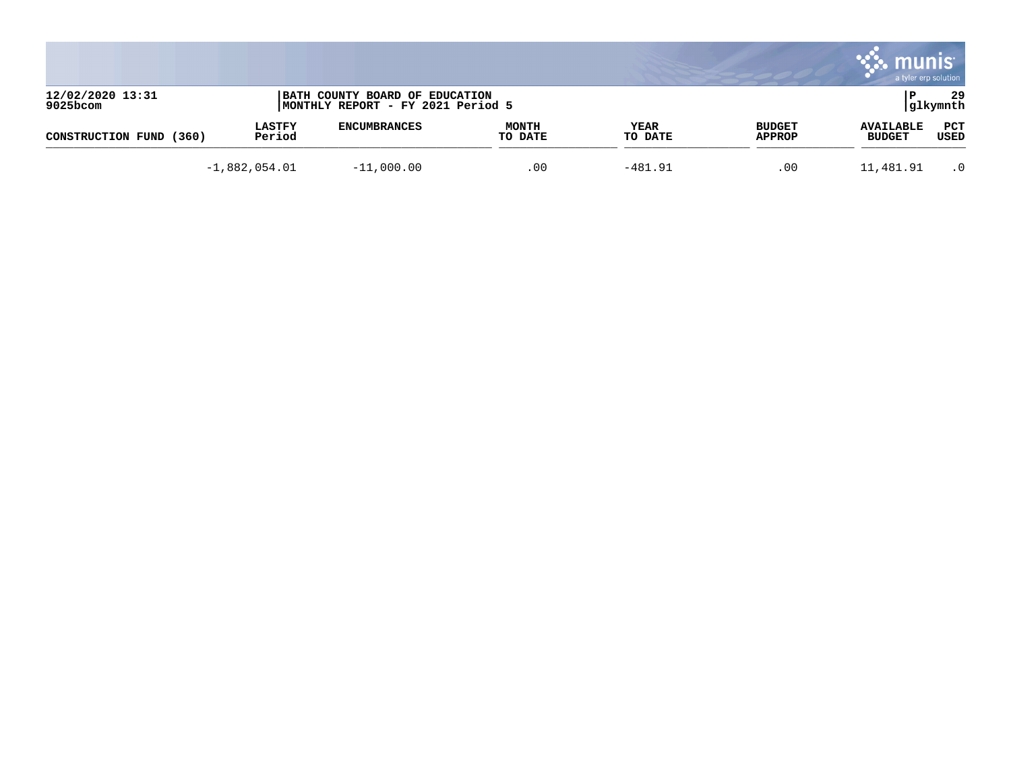|                              |                         |                                                                     |                         |                 |                                | munis<br>a tyler erp solution     |                 |
|------------------------------|-------------------------|---------------------------------------------------------------------|-------------------------|-----------------|--------------------------------|-----------------------------------|-----------------|
| 12/02/2020 13:31<br>9025bcom |                         | BATH COUNTY BOARD OF EDUCATION<br>MONTHLY REPORT - FY 2021 Period 5 |                         |                 |                                |                                   | 29<br> glkymnth |
| (360)<br>CONSTRUCTION FUND   | <b>LASTFY</b><br>Period | <b>ENCUMBRANCES</b>                                                 | <b>MONTH</b><br>TO DATE | YEAR<br>TO DATE | <b>BUDGET</b><br><b>APPROP</b> | <b>AVAILABLE</b><br><b>BUDGET</b> | PCT<br>USED     |
|                              | $-1,882,054.01$         | $-11,000.00$                                                        | .00                     | $-481.91$       | .00                            | 11,481.91                         | $\cdot$ 0       |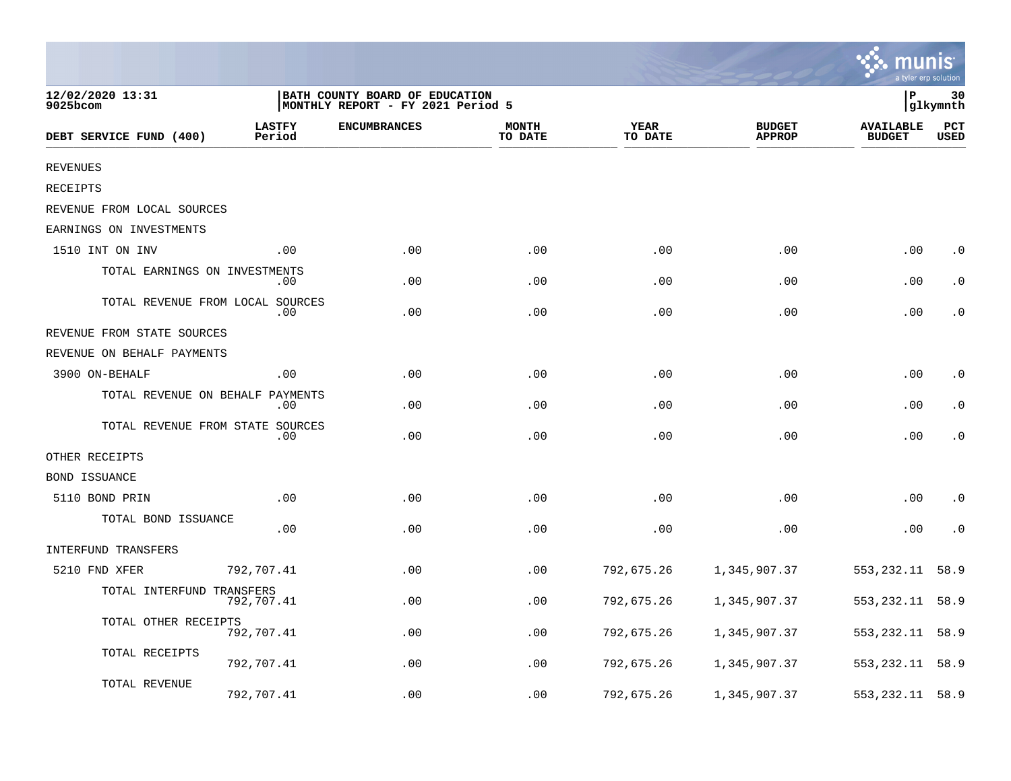|                                  |                         |                                                                     |                         |                        |                                | a tyler erp solution              |                    |
|----------------------------------|-------------------------|---------------------------------------------------------------------|-------------------------|------------------------|--------------------------------|-----------------------------------|--------------------|
| 12/02/2020 13:31<br>9025bcom     |                         | BATH COUNTY BOARD OF EDUCATION<br>MONTHLY REPORT - FY 2021 Period 5 |                         |                        |                                | P                                 | 30<br>glkymnth     |
| DEBT SERVICE FUND (400)          | <b>LASTFY</b><br>Period | <b>ENCUMBRANCES</b>                                                 | <b>MONTH</b><br>TO DATE | <b>YEAR</b><br>TO DATE | <b>BUDGET</b><br><b>APPROP</b> | <b>AVAILABLE</b><br><b>BUDGET</b> | PCT<br><b>USED</b> |
| <b>REVENUES</b>                  |                         |                                                                     |                         |                        |                                |                                   |                    |
| <b>RECEIPTS</b>                  |                         |                                                                     |                         |                        |                                |                                   |                    |
| REVENUE FROM LOCAL SOURCES       |                         |                                                                     |                         |                        |                                |                                   |                    |
| EARNINGS ON INVESTMENTS          |                         |                                                                     |                         |                        |                                |                                   |                    |
| 1510 INT ON INV                  | .00                     | .00                                                                 | .00                     | .00                    | .00                            | .00                               | $\cdot$ 0          |
| TOTAL EARNINGS ON INVESTMENTS    | .00                     | .00                                                                 | .00                     | .00                    | .00                            | .00                               | . 0                |
| TOTAL REVENUE FROM LOCAL SOURCES | .00                     | .00                                                                 | .00                     | .00                    | .00                            | .00                               | . 0                |
| REVENUE FROM STATE SOURCES       |                         |                                                                     |                         |                        |                                |                                   |                    |
| REVENUE ON BEHALF PAYMENTS       |                         |                                                                     |                         |                        |                                |                                   |                    |
| 3900 ON-BEHALF                   | .00                     | .00                                                                 | .00                     | .00                    | .00                            | .00                               | $\cdot$ 0          |
| TOTAL REVENUE ON BEHALF PAYMENTS | .00                     | .00                                                                 | .00                     | .00                    | .00                            | .00                               | . 0                |
| TOTAL REVENUE FROM STATE SOURCES | .00                     | .00                                                                 | .00                     | .00                    | .00                            | .00                               | $\cdot$ 0          |
| OTHER RECEIPTS                   |                         |                                                                     |                         |                        |                                |                                   |                    |
| <b>BOND ISSUANCE</b>             |                         |                                                                     |                         |                        |                                |                                   |                    |
| 5110 BOND PRIN                   | .00                     | .00                                                                 | .00                     | .00                    | .00                            | .00                               | $\cdot$ 0          |
| TOTAL BOND ISSUANCE              | .00                     | .00                                                                 | .00                     | .00                    | .00                            | .00                               | $\cdot$ 0          |
| INTERFUND TRANSFERS              |                         |                                                                     |                         |                        |                                |                                   |                    |
| 5210 FND XFER                    | 792,707.41              | .00                                                                 | .00                     | 792,675.26             | 1,345,907.37                   | 553, 232.11                       | 58.9               |
| TOTAL INTERFUND TRANSFERS        | 792,707.41              | .00                                                                 | .00                     | 792,675.26             | 1,345,907.37                   | 553,232.11                        | 58.9               |
| TOTAL OTHER RECEIPTS             | 792,707.41              | .00                                                                 | .00                     | 792,675.26             | 1,345,907.37                   | 553,232.11                        | 58.9               |
| TOTAL RECEIPTS                   | 792,707.41              | .00                                                                 | .00                     | 792,675.26             | 1,345,907.37                   | 553,232.11                        | 58.9               |
| TOTAL REVENUE                    | 792,707.41              | .00                                                                 | .00                     | 792,675.26             | 1,345,907.37                   | 553,232.11                        | 58.9               |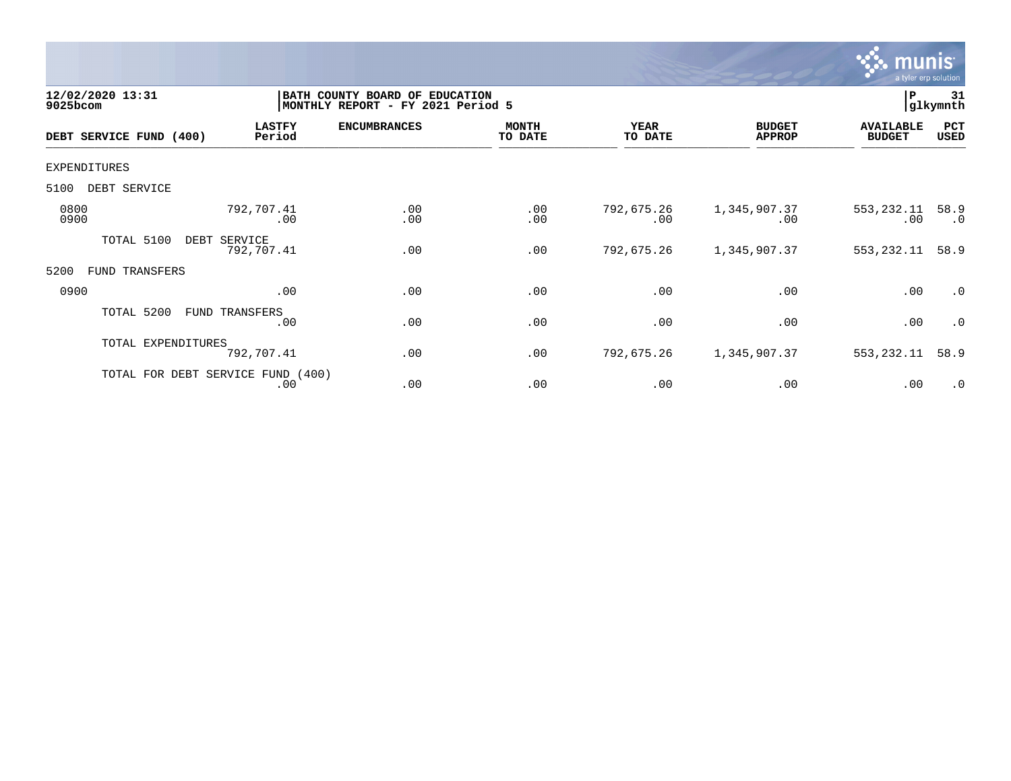

| 12/02/2020 13:31<br>9025bcom |                                          | BATH COUNTY BOARD OF<br><b>EDUCATION</b><br>MONTHLY REPORT - FY 2021 Period 5 |                         |                        |                                | 31<br>ΙP<br>glkymnth              |                    |
|------------------------------|------------------------------------------|-------------------------------------------------------------------------------|-------------------------|------------------------|--------------------------------|-----------------------------------|--------------------|
| DEBT SERVICE FUND<br>(400)   | <b>LASTFY</b><br>Period                  | <b>ENCUMBRANCES</b>                                                           | <b>MONTH</b><br>TO DATE | <b>YEAR</b><br>TO DATE | <b>BUDGET</b><br><b>APPROP</b> | <b>AVAILABLE</b><br><b>BUDGET</b> | PCT<br><b>USED</b> |
| <b>EXPENDITURES</b>          |                                          |                                                                               |                         |                        |                                |                                   |                    |
| DEBT SERVICE<br>5100         |                                          |                                                                               |                         |                        |                                |                                   |                    |
| 0800<br>0900                 | 792,707.41<br>.00                        | .00<br>.00                                                                    | .00<br>.00              | 792,675.26<br>.00      | 1,345,907.37<br>.00            | 553,232.11<br>$.00 \,$            | 58.9<br>$\cdot$ 0  |
| TOTAL 5100                   | DEBT SERVICE<br>792,707.41               | .00                                                                           | .00                     | 792,675.26             | 1,345,907.37                   | 553, 232.11                       | 58.9               |
| 5200<br>FUND TRANSFERS       |                                          |                                                                               |                         |                        |                                |                                   |                    |
| 0900                         | .00                                      | .00                                                                           | .00                     | .00                    | .00                            | .00                               | $\cdot$ 0          |
| TOTAL 5200                   | FUND TRANSFERS<br>.00                    | .00                                                                           | .00                     | .00                    | .00                            | .00                               | $\cdot$ 0          |
| TOTAL EXPENDITURES           | 792,707.41                               | .00                                                                           | .00                     | 792,675.26             | 1,345,907.37                   | 553,232.11                        | 58.9               |
|                              | TOTAL FOR DEBT SERVICE FUND (400)<br>.00 | .00                                                                           | .00                     | .00                    | .00                            | .00                               | $\cdot$ 0          |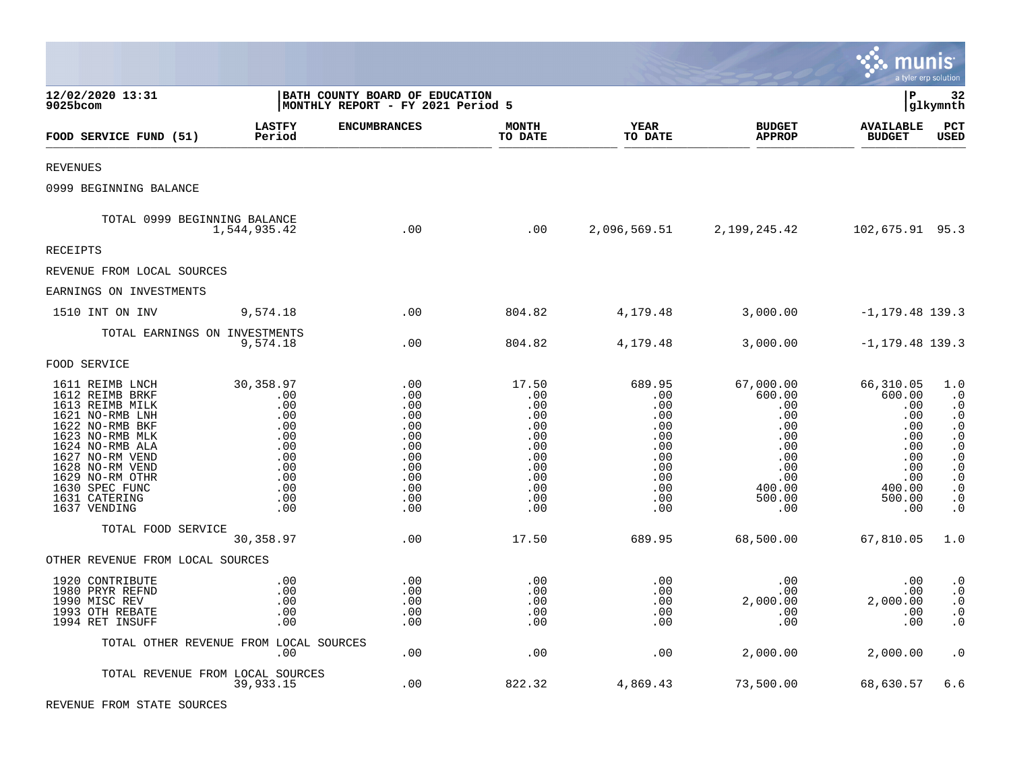|                                                                                                                                                                                                                                               |                                                                                               |                                                                                         |                                                                                           |                                                                                            |                                                                                                                    | munis                                                                                                  | a tyler erp solution                                                                                                                                                                        |
|-----------------------------------------------------------------------------------------------------------------------------------------------------------------------------------------------------------------------------------------------|-----------------------------------------------------------------------------------------------|-----------------------------------------------------------------------------------------|-------------------------------------------------------------------------------------------|--------------------------------------------------------------------------------------------|--------------------------------------------------------------------------------------------------------------------|--------------------------------------------------------------------------------------------------------|---------------------------------------------------------------------------------------------------------------------------------------------------------------------------------------------|
| 12/02/2020 13:31<br>9025bcom                                                                                                                                                                                                                  |                                                                                               | BATH COUNTY BOARD OF EDUCATION<br>MONTHLY REPORT - FY 2021 Period 5                     |                                                                                           |                                                                                            |                                                                                                                    | lР                                                                                                     | 32<br> glkymnth                                                                                                                                                                             |
| FOOD SERVICE FUND (51)                                                                                                                                                                                                                        | <b>LASTFY</b><br>Period                                                                       | <b>ENCUMBRANCES</b>                                                                     | <b>MONTH</b><br>TO DATE                                                                   | YEAR<br>TO DATE                                                                            | <b>BUDGET</b><br><b>APPROP</b>                                                                                     | <b>AVAILABLE</b><br><b>BUDGET</b>                                                                      | PCT<br><b>USED</b>                                                                                                                                                                          |
| <b>REVENUES</b>                                                                                                                                                                                                                               |                                                                                               |                                                                                         |                                                                                           |                                                                                            |                                                                                                                    |                                                                                                        |                                                                                                                                                                                             |
| 0999 BEGINNING BALANCE                                                                                                                                                                                                                        |                                                                                               |                                                                                         |                                                                                           |                                                                                            |                                                                                                                    |                                                                                                        |                                                                                                                                                                                             |
| TOTAL 0999 BEGINNING BALANCE                                                                                                                                                                                                                  | 1,544,935.42                                                                                  | .00                                                                                     | .00                                                                                       |                                                                                            | 2,096,569.51 2,199,245.42                                                                                          | 102,675.91 95.3                                                                                        |                                                                                                                                                                                             |
| RECEIPTS                                                                                                                                                                                                                                      |                                                                                               |                                                                                         |                                                                                           |                                                                                            |                                                                                                                    |                                                                                                        |                                                                                                                                                                                             |
| REVENUE FROM LOCAL SOURCES                                                                                                                                                                                                                    |                                                                                               |                                                                                         |                                                                                           |                                                                                            |                                                                                                                    |                                                                                                        |                                                                                                                                                                                             |
| EARNINGS ON INVESTMENTS                                                                                                                                                                                                                       |                                                                                               |                                                                                         |                                                                                           |                                                                                            |                                                                                                                    |                                                                                                        |                                                                                                                                                                                             |
| 1510 INT ON INV                                                                                                                                                                                                                               | 9,574.18                                                                                      | .00                                                                                     | 804.82                                                                                    | 4,179.48                                                                                   | 3,000.00                                                                                                           | $-1, 179.48$ 139.3                                                                                     |                                                                                                                                                                                             |
| TOTAL EARNINGS ON INVESTMENTS                                                                                                                                                                                                                 | 9,574.18                                                                                      | .00                                                                                     | 804.82                                                                                    | 4,179.48                                                                                   | 3,000.00                                                                                                           | $-1, 179.48$ 139.3                                                                                     |                                                                                                                                                                                             |
| FOOD SERVICE                                                                                                                                                                                                                                  |                                                                                               |                                                                                         |                                                                                           |                                                                                            |                                                                                                                    |                                                                                                        |                                                                                                                                                                                             |
| 1611 REIMB LNCH<br>1612 REIMB BRKF<br>1613 REIMB MILK<br>1621 NO-RMB LNH<br>1622 NO-RMB BKF<br>1623 NO-RMB MLK<br>1624 NO-RMB ALA<br>1627 NO-RM VEND<br>1628 NO-RM VEND<br>1629 NO-RM OTHR<br>1630 SPEC FUNC<br>1631 CATERING<br>1637 VENDING | 30,358.97<br>.00<br>.00<br>.00<br>.00<br>.00<br>.00<br>.00<br>.00<br>.00<br>.00<br>.00<br>.00 | .00<br>.00<br>.00<br>.00<br>.00<br>.00<br>.00<br>.00<br>.00<br>.00<br>.00<br>.00<br>.00 | 17.50<br>.00<br>.00<br>.00<br>.00<br>.00<br>.00<br>.00<br>.00<br>.00<br>.00<br>.00<br>.00 | 689.95<br>.00<br>.00<br>.00<br>.00<br>.00<br>.00<br>.00<br>.00<br>.00<br>.00<br>.00<br>.00 | 67,000.00<br>600.00<br>.00<br>$.00 \ \,$<br>.00<br>$.00 \,$<br>.00<br>.00<br>.00<br>.00<br>400.00<br>500.00<br>.00 | 66,310.05<br>600.00<br>.00<br>.00<br>.00<br>.00<br>.00<br>.00<br>.00<br>.00<br>400.00<br>500.00<br>.00 | 1.0<br>$\cdot$ 0<br>$\cdot$ 0<br>$\cdot$ 0<br>$\cdot$ 0<br>$\ddot{\phantom{0}}$ .0<br>$\boldsymbol{\cdot}$ 0<br>$\cdot$ 0<br>$\cdot$ 0<br>$\cdot$ 0<br>$\ddot{0}$<br>$\cdot$ 0<br>$\cdot$ 0 |
| TOTAL FOOD SERVICE                                                                                                                                                                                                                            | 30,358.97                                                                                     | .00                                                                                     | 17.50                                                                                     | 689.95                                                                                     | 68,500.00                                                                                                          | 67,810.05                                                                                              | 1.0                                                                                                                                                                                         |
| OTHER REVENUE FROM LOCAL SOURCES                                                                                                                                                                                                              |                                                                                               |                                                                                         |                                                                                           |                                                                                            |                                                                                                                    |                                                                                                        |                                                                                                                                                                                             |
| 1920 CONTRIBUTE<br>1980 PRYR REFND<br>1990 MISC REV<br>1993 OTH REBATE<br>1994 RET INSUFF                                                                                                                                                     | .00<br>.00<br>.00<br>.00<br>.00                                                               | .00<br>.00<br>.00<br>.00<br>.00                                                         | .00<br>.00<br>.00<br>.00<br>.00                                                           | .00<br>.00<br>.00<br>.00<br>.00                                                            | $.00 \,$<br>$.00 \,$<br>2,000.00<br>.00<br>.00                                                                     | .00<br>.00<br>2,000.00<br>.00<br>.00                                                                   | $\cdot$ 0<br>$\boldsymbol{\cdot}$ 0<br>$\cdot$ 0<br>$\cdot$ 0<br>$\cdot$ 0                                                                                                                  |
|                                                                                                                                                                                                                                               | TOTAL OTHER REVENUE FROM LOCAL SOURCES<br>$.00 \,$                                            | .00                                                                                     | .00                                                                                       | .00                                                                                        | 2,000.00                                                                                                           | 2,000.00                                                                                               | $\cdot$ 0                                                                                                                                                                                   |
| TOTAL REVENUE FROM LOCAL SOURCES                                                                                                                                                                                                              | 39,933.15                                                                                     | .00                                                                                     | 822.32                                                                                    | 4,869.43                                                                                   | 73,500.00                                                                                                          | 68,630.57                                                                                              | 6.6                                                                                                                                                                                         |

**Contract Contract Contract** 

REVENUE FROM STATE SOURCES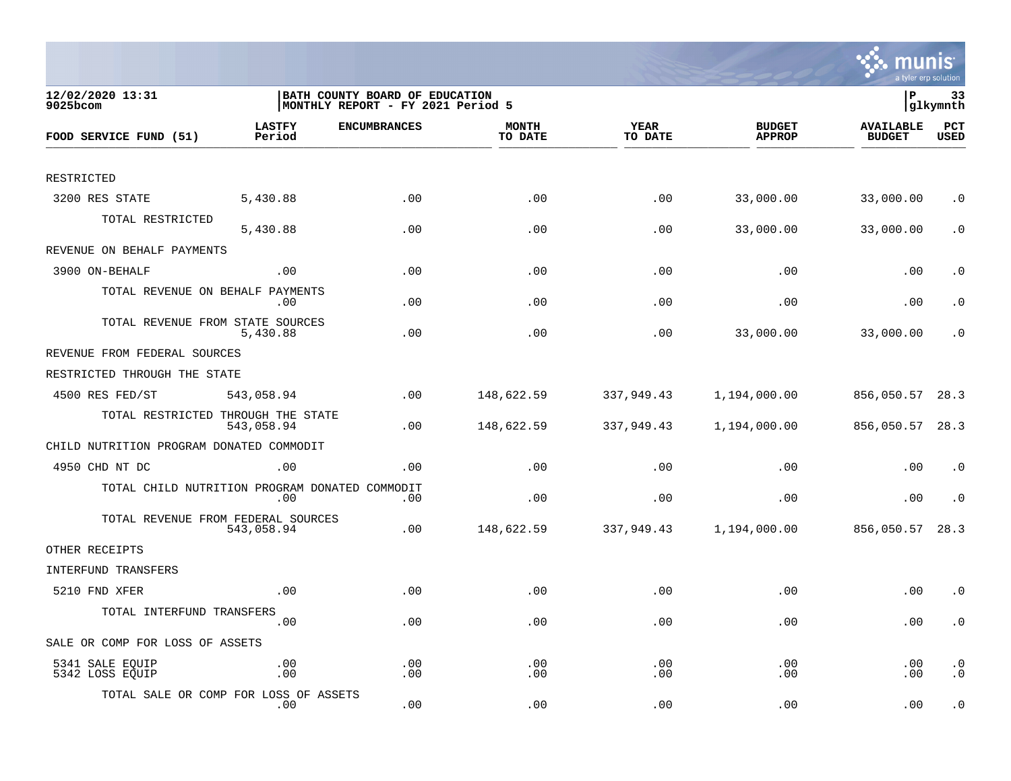

| 12/02/2020 13:31<br>9025bcom                   |                         | BATH COUNTY BOARD OF EDUCATION<br> MONTHLY REPORT - FY 2021 Period 5 |                         |                 |                                | lР                                | 33<br> glkymnth        |
|------------------------------------------------|-------------------------|----------------------------------------------------------------------|-------------------------|-----------------|--------------------------------|-----------------------------------|------------------------|
| FOOD SERVICE FUND (51)                         | <b>LASTFY</b><br>Period | <b>ENCUMBRANCES</b>                                                  | <b>MONTH</b><br>TO DATE | YEAR<br>TO DATE | <b>BUDGET</b><br><b>APPROP</b> | <b>AVAILABLE</b><br><b>BUDGET</b> | PCT<br><b>USED</b>     |
|                                                |                         |                                                                      |                         |                 |                                |                                   |                        |
| RESTRICTED                                     |                         |                                                                      |                         |                 |                                |                                   |                        |
| 3200 RES STATE                                 | 5,430.88                | .00                                                                  | .00                     | .00             | 33,000.00                      | 33,000.00                         | $\cdot$ 0              |
| TOTAL RESTRICTED                               | 5,430.88                | .00                                                                  | .00                     | .00             | 33,000.00                      | 33,000.00                         | $\cdot$ 0              |
| REVENUE ON BEHALF PAYMENTS                     |                         |                                                                      |                         |                 |                                |                                   |                        |
| 3900 ON-BEHALF                                 | .00                     | .00                                                                  | .00                     | .00             | .00                            | .00                               | $\cdot$ 0              |
| TOTAL REVENUE ON BEHALF PAYMENTS               | .00                     | .00                                                                  | .00                     | .00             | .00                            | .00                               | $\cdot$ 0              |
| TOTAL REVENUE FROM STATE SOURCES               | 5,430.88                | .00                                                                  | .00                     | .00             | 33,000.00                      | 33,000.00                         | $\cdot$ 0              |
| REVENUE FROM FEDERAL SOURCES                   |                         |                                                                      |                         |                 |                                |                                   |                        |
| RESTRICTED THROUGH THE STATE                   |                         |                                                                      |                         |                 |                                |                                   |                        |
| 4500 RES FED/ST                                | 543,058.94              | .00                                                                  | 148,622.59              | 337,949.43      | 1,194,000.00                   | 856,050.57                        | 28.3                   |
| TOTAL RESTRICTED THROUGH THE STATE             | 543,058.94              | .00                                                                  | 148,622.59              | 337,949.43      | 1,194,000.00                   | 856,050.57                        | 28.3                   |
| CHILD NUTRITION PROGRAM DONATED COMMODIT       |                         |                                                                      |                         |                 |                                |                                   |                        |
| 4950 CHD NT DC                                 | .00                     | .00                                                                  | .00                     | .00             | .00                            | .00                               | $\cdot$ 0              |
| TOTAL CHILD NUTRITION PROGRAM DONATED COMMODIT | .00                     | .00                                                                  | .00                     | .00             | .00                            | .00                               | $\cdot$ 0              |
| TOTAL REVENUE FROM FEDERAL SOURCES             | 543,058.94              | .00                                                                  | 148,622.59              | 337,949.43      | 1,194,000.00                   | 856,050.57                        | 28.3                   |
| OTHER RECEIPTS                                 |                         |                                                                      |                         |                 |                                |                                   |                        |
| INTERFUND TRANSFERS                            |                         |                                                                      |                         |                 |                                |                                   |                        |
| 5210 FND XFER                                  | .00                     | .00                                                                  | .00                     | .00             | .00                            | .00                               | $\cdot$ 0              |
| TOTAL INTERFUND TRANSFERS                      | .00                     | .00                                                                  | .00                     | .00             | .00                            | .00                               | $\cdot$ 0              |
| SALE OR COMP FOR LOSS OF ASSETS                |                         |                                                                      |                         |                 |                                |                                   |                        |
| 5341 SALE EQUIP<br>5342 LOSS EQUIP             | .00<br>.00              | .00<br>.00                                                           | .00<br>.00              | .00<br>.00      | .00<br>.00                     | .00<br>.00                        | $\cdot$ 0<br>$\cdot$ 0 |
| TOTAL SALE OR COMP FOR LOSS OF ASSETS          | .00                     | .00                                                                  | .00                     | .00             | .00                            | .00                               | $\cdot$ 0              |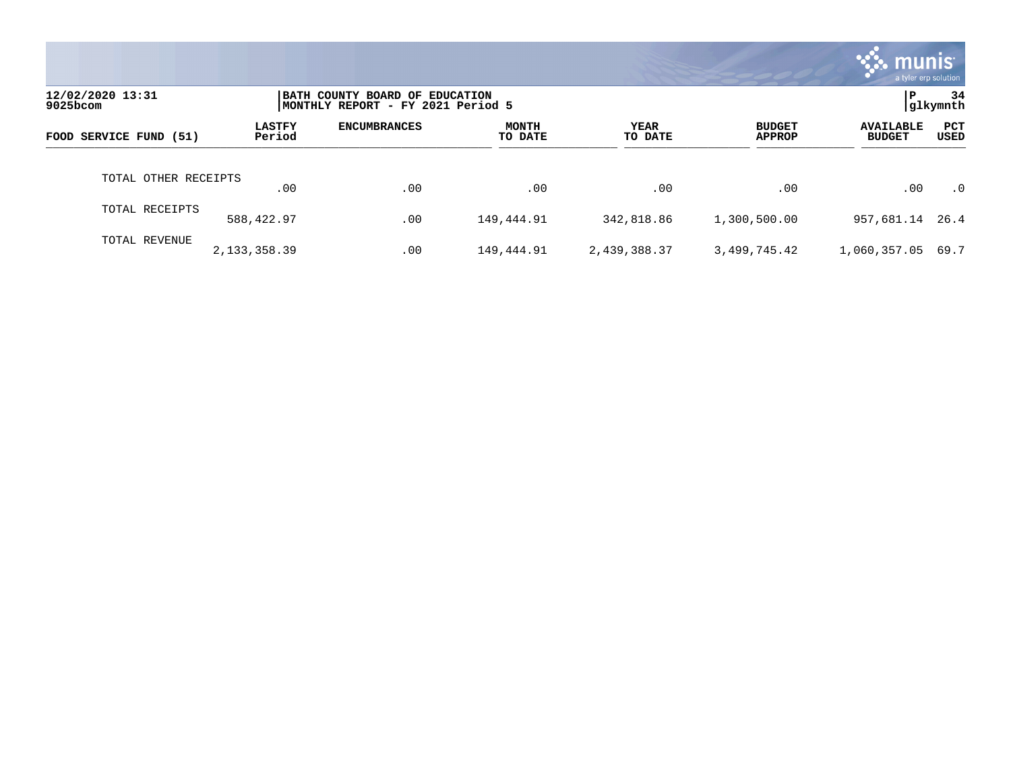|                              |                         |                                                                     |                  |                        |                                | munis'<br>a tyler erp solution    |                |
|------------------------------|-------------------------|---------------------------------------------------------------------|------------------|------------------------|--------------------------------|-----------------------------------|----------------|
| 12/02/2020 13:31<br>9025bcom |                         | BATH COUNTY BOARD OF EDUCATION<br>MONTHLY REPORT - FY 2021 Period 5 |                  |                        |                                | P                                 | 34<br>glkymnth |
| FOOD SERVICE FUND (51)       | <b>LASTFY</b><br>Period | <b>ENCUMBRANCES</b>                                                 | MONTH<br>TO DATE | <b>YEAR</b><br>TO DATE | <b>BUDGET</b><br><b>APPROP</b> | <b>AVAILABLE</b><br><b>BUDGET</b> | PCT<br>USED    |
| TOTAL OTHER RECEIPTS         | $.00 \,$                | .00                                                                 | .00              | .00                    | .00                            | .00                               | $\cdot$ 0      |
| TOTAL RECEIPTS               | 588,422.97              | .00                                                                 | 149,444.91       | 342,818.86             | 1,300,500.00                   | 957,681.14 26.4                   |                |
| TOTAL REVENUE                | 2,133,358.39            | .00                                                                 | 149,444.91       | 2,439,388.37           | 3,499,745.42                   | 1,060,357.05                      | 69.7           |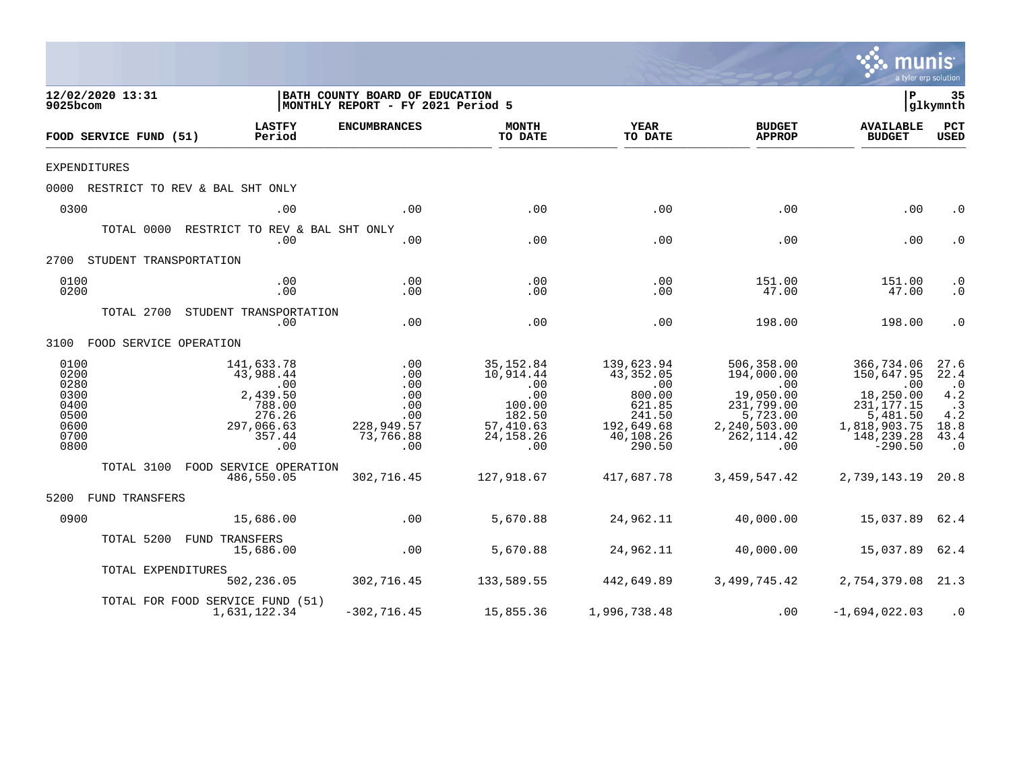|                                                                      |                                                                                                           |                                                                                          |                                                                                                               |                                                                                                               |                                                                                                              | a tyler erp solution                                                                                                      |                                                                                   |
|----------------------------------------------------------------------|-----------------------------------------------------------------------------------------------------------|------------------------------------------------------------------------------------------|---------------------------------------------------------------------------------------------------------------|---------------------------------------------------------------------------------------------------------------|--------------------------------------------------------------------------------------------------------------|---------------------------------------------------------------------------------------------------------------------------|-----------------------------------------------------------------------------------|
| 12/02/2020 13:31<br>9025bcom                                         |                                                                                                           | BATH COUNTY BOARD OF EDUCATION<br>MONTHLY REPORT - FY 2021 Period 5                      |                                                                                                               |                                                                                                               |                                                                                                              | $\mathbf{P}$                                                                                                              | 35<br> glkymnth                                                                   |
| FOOD SERVICE FUND (51)                                               | <b>LASTFY</b><br>Period                                                                                   | <b>ENCUMBRANCES</b>                                                                      | <b>MONTH</b><br>TO DATE                                                                                       | <b>YEAR</b><br>TO DATE                                                                                        | <b>BUDGET</b><br><b>APPROP</b>                                                                               | <b>AVAILABLE</b><br><b>BUDGET</b>                                                                                         | PCT<br><b>USED</b>                                                                |
| <b>EXPENDITURES</b>                                                  |                                                                                                           |                                                                                          |                                                                                                               |                                                                                                               |                                                                                                              |                                                                                                                           |                                                                                   |
|                                                                      | 0000 RESTRICT TO REV & BAL SHT ONLY                                                                       |                                                                                          |                                                                                                               |                                                                                                               |                                                                                                              |                                                                                                                           |                                                                                   |
| 0300                                                                 | .00                                                                                                       | .00                                                                                      | .00                                                                                                           | .00                                                                                                           | .00                                                                                                          | .00                                                                                                                       | $\cdot$ 0                                                                         |
|                                                                      | TOTAL 0000 RESTRICT TO REV & BAL SHT ONLY<br>.00                                                          | .00                                                                                      | .00                                                                                                           | .00                                                                                                           | .00                                                                                                          | .00                                                                                                                       | $\cdot$ 0                                                                         |
| 2700 STUDENT TRANSPORTATION                                          |                                                                                                           |                                                                                          |                                                                                                               |                                                                                                               |                                                                                                              |                                                                                                                           |                                                                                   |
| 0100<br>0200                                                         | .00<br>.00                                                                                                | .00<br>.00                                                                               | .00<br>.00                                                                                                    | .00<br>.00                                                                                                    | 151.00<br>47.00                                                                                              | 151.00<br>47.00                                                                                                           | $\cdot$ 0<br>$\cdot$ 0                                                            |
|                                                                      | TOTAL 2700 STUDENT TRANSPORTATION<br>.00                                                                  | .00                                                                                      | .00                                                                                                           | .00                                                                                                           | 198.00                                                                                                       | 198.00                                                                                                                    | $\cdot$ 0                                                                         |
| 3100 FOOD SERVICE OPERATION                                          |                                                                                                           |                                                                                          |                                                                                                               |                                                                                                               |                                                                                                              |                                                                                                                           |                                                                                   |
| 0100<br>0200<br>0280<br>0300<br>0400<br>0500<br>0600<br>0700<br>0800 | 141,633.78<br>43,988.44<br>$\overline{00}$<br>2,439.50<br>788.00<br>276.26<br>297,066.63<br>357.44<br>.00 | $.00$<br>$.00$<br>.00<br>.00<br>.00<br>.00<br>228,949.57<br>73,766.88<br>$\overline{00}$ | 35,152.84<br>10,914.44<br>$\overline{00}$<br>.00<br>100.00<br>182.50<br>57,410.63<br>24, 158. 26<br>$\sim$ 00 | 139,623.94<br>43,352.05<br>$\overline{00}$<br>800.00<br>621.85<br>241.50<br>192,649.68<br>40,108.26<br>290.50 | 506,358.00<br>194,000.00<br>.00<br>19,050.00<br>231,799.00<br>5,723.00<br>2,240,503.00<br>262, 114.42<br>.00 | 366,734.06<br>150,647.95<br>$\sim$ 00<br>18,250.00<br>231, 177. 15<br>5,481.50<br>1,818,903.75<br>148,239.28<br>$-290.50$ | 27.6<br>22.4<br>$\cdot$ 0<br>4.2<br>$\cdot$ 3<br>4.2<br>18.8<br>43.4<br>$\cdot$ 0 |
|                                                                      | TOTAL 3100 FOOD SERVICE OPERATION<br>486,550.05                                                           | 302,716.45                                                                               | 127,918.67                                                                                                    | 417,687.78                                                                                                    | 3,459,547.42                                                                                                 | 2,739,143.19 20.8                                                                                                         |                                                                                   |
| 5200 FUND TRANSFERS                                                  |                                                                                                           |                                                                                          |                                                                                                               |                                                                                                               |                                                                                                              |                                                                                                                           |                                                                                   |
| 0900                                                                 | 15,686.00                                                                                                 | $\sim$ 00                                                                                | 5,670.88                                                                                                      | 24,962.11                                                                                                     | 40,000.00                                                                                                    | 15,037.89 62.4                                                                                                            |                                                                                   |
|                                                                      | TOTAL 5200 FUND TRANSFERS<br>15,686.00                                                                    | .00                                                                                      | 5,670.88                                                                                                      | 24,962.11                                                                                                     | 40,000.00                                                                                                    | 15,037.89 62.4                                                                                                            |                                                                                   |
|                                                                      | TOTAL EXPENDITURES                                                                                        | 502, 236.05 302, 716.45                                                                  |                                                                                                               | 133,589.55 442,649.89                                                                                         |                                                                                                              | 3,499,745.42 2,754,379.08 21.3                                                                                            |                                                                                   |
|                                                                      | TOTAL FOR FOOD SERVICE FUND (51)<br>1,631,122.34                                                          | $-302, 716.45$                                                                           | 15,855.36                                                                                                     | 1,996,738.48                                                                                                  | .00                                                                                                          | $-1,694,022.03$                                                                                                           | $\cdot$ 0                                                                         |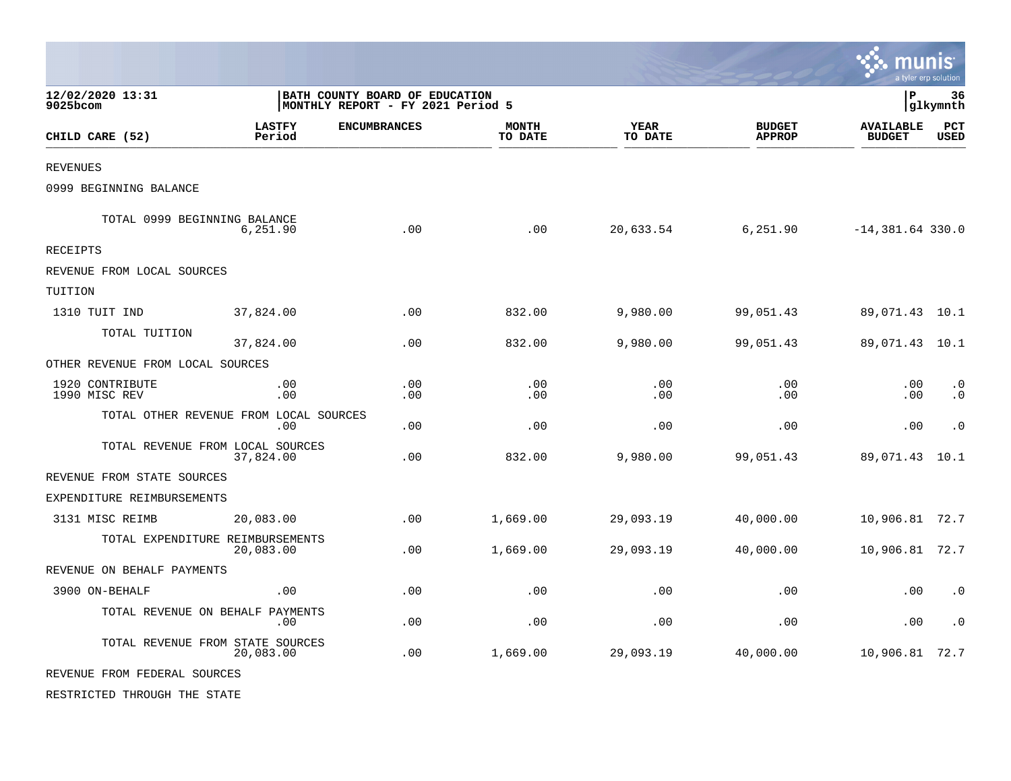|                                        |                         |                                                                     |                         |                        |                                | munis                             | a tyler erp solution   |
|----------------------------------------|-------------------------|---------------------------------------------------------------------|-------------------------|------------------------|--------------------------------|-----------------------------------|------------------------|
| 12/02/2020 13:31<br>9025bcom           |                         | BATH COUNTY BOARD OF EDUCATION<br>MONTHLY REPORT - FY 2021 Period 5 |                         |                        |                                | l P                               | 36<br> glkymnth        |
| CHILD CARE (52)                        | <b>LASTFY</b><br>Period | <b>ENCUMBRANCES</b>                                                 | <b>MONTH</b><br>TO DATE | <b>YEAR</b><br>TO DATE | <b>BUDGET</b><br><b>APPROP</b> | <b>AVAILABLE</b><br><b>BUDGET</b> | PCT<br><b>USED</b>     |
| <b>REVENUES</b>                        |                         |                                                                     |                         |                        |                                |                                   |                        |
| 0999 BEGINNING BALANCE                 |                         |                                                                     |                         |                        |                                |                                   |                        |
| TOTAL 0999 BEGINNING BALANCE           | 6,251.90                | .00                                                                 | .00                     | 20,633.54              | 6,251.90                       | $-14,381.64$ 330.0                |                        |
| <b>RECEIPTS</b>                        |                         |                                                                     |                         |                        |                                |                                   |                        |
| REVENUE FROM LOCAL SOURCES             |                         |                                                                     |                         |                        |                                |                                   |                        |
| TUITION                                |                         |                                                                     |                         |                        |                                |                                   |                        |
| 1310 TUIT IND                          | 37,824.00               | .00                                                                 | 832.00                  | 9,980.00               | 99,051.43                      | 89,071.43 10.1                    |                        |
| TOTAL TUITION                          | 37,824.00               | .00                                                                 | 832.00                  | 9,980.00               | 99,051.43                      | 89,071.43 10.1                    |                        |
| OTHER REVENUE FROM LOCAL SOURCES       |                         |                                                                     |                         |                        |                                |                                   |                        |
| 1920 CONTRIBUTE<br>1990 MISC REV       | .00<br>.00              | .00<br>.00                                                          | .00<br>.00              | .00<br>.00             | .00<br>.00                     | .00<br>.00                        | $\cdot$ 0<br>$\cdot$ 0 |
| TOTAL OTHER REVENUE FROM LOCAL SOURCES | .00                     | .00                                                                 | .00                     | .00                    | .00                            | .00                               | $\cdot$ 0              |
| TOTAL REVENUE FROM LOCAL SOURCES       | 37,824.00               | .00                                                                 | 832.00                  | 9,980.00               | 99,051.43                      | 89,071.43                         | 10.1                   |
| REVENUE FROM STATE SOURCES             |                         |                                                                     |                         |                        |                                |                                   |                        |
| EXPENDITURE REIMBURSEMENTS             |                         |                                                                     |                         |                        |                                |                                   |                        |
| 3131 MISC REIMB                        | 20,083.00               | .00                                                                 | 1,669.00                | 29,093.19              | 40,000.00                      | 10,906.81 72.7                    |                        |
| TOTAL EXPENDITURE REIMBURSEMENTS       | 20,083.00               | .00                                                                 | 1,669.00                | 29,093.19              | 40,000.00                      | 10,906.81 72.7                    |                        |
| REVENUE ON BEHALF PAYMENTS             |                         |                                                                     |                         |                        |                                |                                   |                        |
| 3900 ON-BEHALF                         | .00                     | .00                                                                 | .00                     | .00                    | .00                            | .00                               | $\cdot$ 0              |
| TOTAL REVENUE ON BEHALF PAYMENTS       | .00                     | .00                                                                 | .00                     | .00                    | .00                            | .00                               | $\cdot$ 0              |
| TOTAL REVENUE FROM STATE SOURCES       | 20,083.00               | .00                                                                 | 1,669.00                | 29,093.19              | 40,000.00                      | 10,906.81 72.7                    |                        |
| REVENUE FROM FEDERAL SOURCES           |                         |                                                                     |                         |                        |                                |                                   |                        |
| RESTRICTED THROUGH THE STATE           |                         |                                                                     |                         |                        |                                |                                   |                        |

 $\bullet$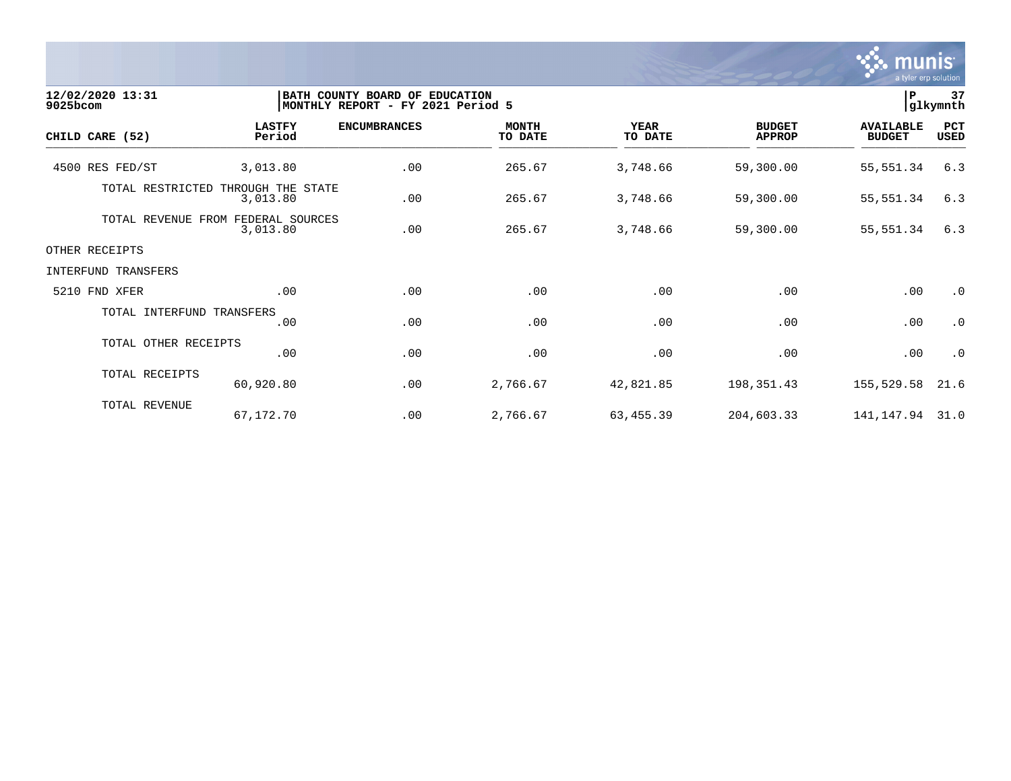

| 12/02/2020 13:31<br>9025bcom |                                  | BATH COUNTY BOARD OF EDUCATION<br>MONTHLY REPORT - FY 2021 Period 5 |                         |                        |                                | $\, {\bf P}$                      | 37<br> glkymnth    |
|------------------------------|----------------------------------|---------------------------------------------------------------------|-------------------------|------------------------|--------------------------------|-----------------------------------|--------------------|
| CHILD CARE (52)              | <b>LASTFY</b><br>Period          | <b>ENCUMBRANCES</b>                                                 | <b>MONTH</b><br>TO DATE | <b>YEAR</b><br>TO DATE | <b>BUDGET</b><br><b>APPROP</b> | <b>AVAILABLE</b><br><b>BUDGET</b> | PCT<br><b>USED</b> |
| 4500 RES FED/ST              | 3,013.80                         | .00                                                                 | 265.67                  | 3,748.66               | 59,300.00                      | 55, 551.34                        | 6.3                |
| TOTAL RESTRICTED             | THROUGH THE STATE<br>3,013.80    | .00                                                                 | 265.67                  | 3,748.66               | 59,300.00                      | 55, 551.34                        | 6.3                |
| TOTAL REVENUE                | FROM FEDERAL SOURCES<br>3,013.80 | .00                                                                 | 265.67                  | 3,748.66               | 59,300.00                      | 55,551.34                         | 6.3                |
| OTHER RECEIPTS               |                                  |                                                                     |                         |                        |                                |                                   |                    |
| INTERFUND TRANSFERS          |                                  |                                                                     |                         |                        |                                |                                   |                    |
| 5210 FND XFER                | .00                              | .00                                                                 | .00                     | .00                    | .00                            | .00                               | $\cdot$ 0          |
| TOTAL INTERFUND TRANSFERS    | .00                              | .00                                                                 | .00                     | .00                    | .00                            | .00                               | $\cdot$ 0          |
| TOTAL OTHER RECEIPTS         | .00                              | .00                                                                 | .00                     | .00                    | .00                            | .00                               | $\cdot$ 0          |
| TOTAL RECEIPTS               | 60,920.80                        | .00                                                                 | 2,766.67                | 42,821.85              | 198,351.43                     | 155,529.58                        | 21.6               |
| TOTAL REVENUE                | 67,172.70                        | .00                                                                 | 2,766.67                | 63,455.39              | 204,603.33                     | 141, 147. 94 31. 0                |                    |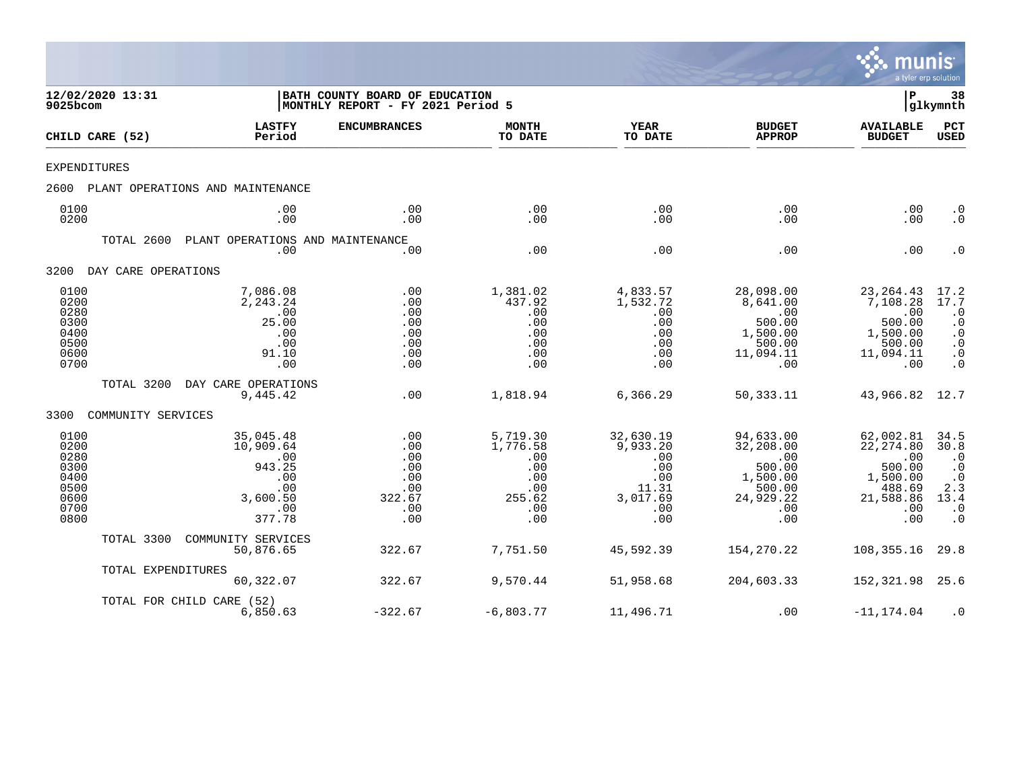

| 12/02/2020 13:31<br>9025bcom                                         |                     |                                                                                    | BATH COUNTY BOARD OF EDUCATION<br>MONTHLY REPORT - FY 2021 Period 5 |                                                                          |                                                                               |                                                                                          | l P                                                                                       | 38<br> glkymnth                                                                              |
|----------------------------------------------------------------------|---------------------|------------------------------------------------------------------------------------|---------------------------------------------------------------------|--------------------------------------------------------------------------|-------------------------------------------------------------------------------|------------------------------------------------------------------------------------------|-------------------------------------------------------------------------------------------|----------------------------------------------------------------------------------------------|
|                                                                      | CHILD CARE (52)     | <b>LASTFY</b><br>Period                                                            | <b>ENCUMBRANCES</b>                                                 | <b>MONTH</b><br>TO DATE                                                  | <b>YEAR</b><br>TO DATE                                                        | <b>BUDGET</b><br><b>APPROP</b>                                                           | <b>AVAILABLE</b><br><b>BUDGET</b>                                                         | PCT<br>USED                                                                                  |
|                                                                      | EXPENDITURES        |                                                                                    |                                                                     |                                                                          |                                                                               |                                                                                          |                                                                                           |                                                                                              |
| 2600                                                                 |                     | PLANT OPERATIONS AND MAINTENANCE                                                   |                                                                     |                                                                          |                                                                               |                                                                                          |                                                                                           |                                                                                              |
| 0100<br>0200                                                         |                     | .00<br>.00                                                                         | .00<br>.00                                                          | .00<br>.00                                                               | .00<br>.00                                                                    | .00<br>.00                                                                               | .00<br>.00                                                                                | $\cdot$ 0<br>$\cdot$ 0                                                                       |
|                                                                      | TOTAL 2600          | PLANT OPERATIONS AND MAINTENANCE<br>.00                                            | .00                                                                 | .00                                                                      | .00                                                                           | .00                                                                                      | .00                                                                                       | $\cdot$ 0                                                                                    |
| 3200                                                                 | DAY CARE OPERATIONS |                                                                                    |                                                                     |                                                                          |                                                                               |                                                                                          |                                                                                           |                                                                                              |
| 0100<br>0200<br>0280<br>0300<br>0400<br>0500<br>0600<br>0700         |                     | 7,086.08<br>2,243.24<br>.00<br>25.00<br>.00<br>.00<br>91.10<br>.00                 | .00<br>.00<br>.00<br>.00<br>.00<br>.00<br>.00<br>.00                | 1,381.02<br>437.92<br>.00<br>.00<br>.00<br>.00<br>.00<br>.00             | 4,833.57<br>1,532.72<br>.00<br>.00<br>.00<br>.00<br>.00<br>.00                | 28,098.00<br>8,641.00<br>.00<br>500.00<br>1,500.00<br>500.00<br>11,094.11<br>.00         | 23, 264. 43<br>7,108.28<br>.00<br>500.00<br>1,500.00<br>500.00<br>11,094.11<br>.00        | 17.2<br>17.7<br>$\cdot$ 0<br>$\cdot$ 0<br>$\cdot$ 0<br>$\cdot$ 0<br>$\cdot$ 0<br>$\cdot$ 0   |
|                                                                      | TOTAL 3200          | DAY CARE OPERATIONS<br>9,445.42                                                    | .00                                                                 | 1,818.94                                                                 | 6,366.29                                                                      | 50, 333. 11                                                                              | 43,966.82                                                                                 | 12.7                                                                                         |
| 3300                                                                 | COMMUNITY SERVICES  |                                                                                    |                                                                     |                                                                          |                                                                               |                                                                                          |                                                                                           |                                                                                              |
| 0100<br>0200<br>0280<br>0300<br>0400<br>0500<br>0600<br>0700<br>0800 |                     | 35,045.48<br>10,909.64<br>.00<br>943.25<br>.00<br>.00<br>3,600.50<br>.00<br>377.78 | .00<br>.00<br>.00<br>.00<br>.00<br>.00<br>322.67<br>.00<br>.00      | 5,719.30<br>1,776.58<br>.00<br>.00<br>.00<br>.00<br>255.62<br>.00<br>.00 | 32,630.19<br>9,933.20<br>.00<br>.00<br>.00<br>11.31<br>3,017.69<br>.00<br>.00 | 94,633.00<br>32,208.00<br>.00<br>500.00<br>1,500.00<br>500.00<br>24,929.22<br>.00<br>.00 | 62,002.81<br>22, 274.80<br>.00<br>500.00<br>1,500.00<br>488.69<br>21,588.86<br>.00<br>.00 | 34.5<br>30.8<br>$\cdot$ 0<br>$\cdot$ 0<br>$\cdot$ 0<br>2.3<br>13.4<br>$\cdot$ 0<br>$\cdot$ 0 |
|                                                                      | TOTAL 3300          | COMMUNITY SERVICES<br>50,876.65                                                    | 322.67                                                              | 7,751.50                                                                 | 45,592.39                                                                     | 154,270.22                                                                               | 108,355.16                                                                                | 29.8                                                                                         |
|                                                                      | TOTAL EXPENDITURES  | 60,322.07                                                                          | 322.67                                                              | 9,570.44                                                                 | 51,958.68                                                                     | 204,603.33                                                                               | 152,321.98                                                                                | 25.6                                                                                         |
|                                                                      |                     | TOTAL FOR CHILD CARE (52)<br>6,850.63                                              | $-322.67$                                                           | $-6,803.77$                                                              | 11,496.71                                                                     | .00                                                                                      | $-11, 174.04$                                                                             | $\cdot$ 0                                                                                    |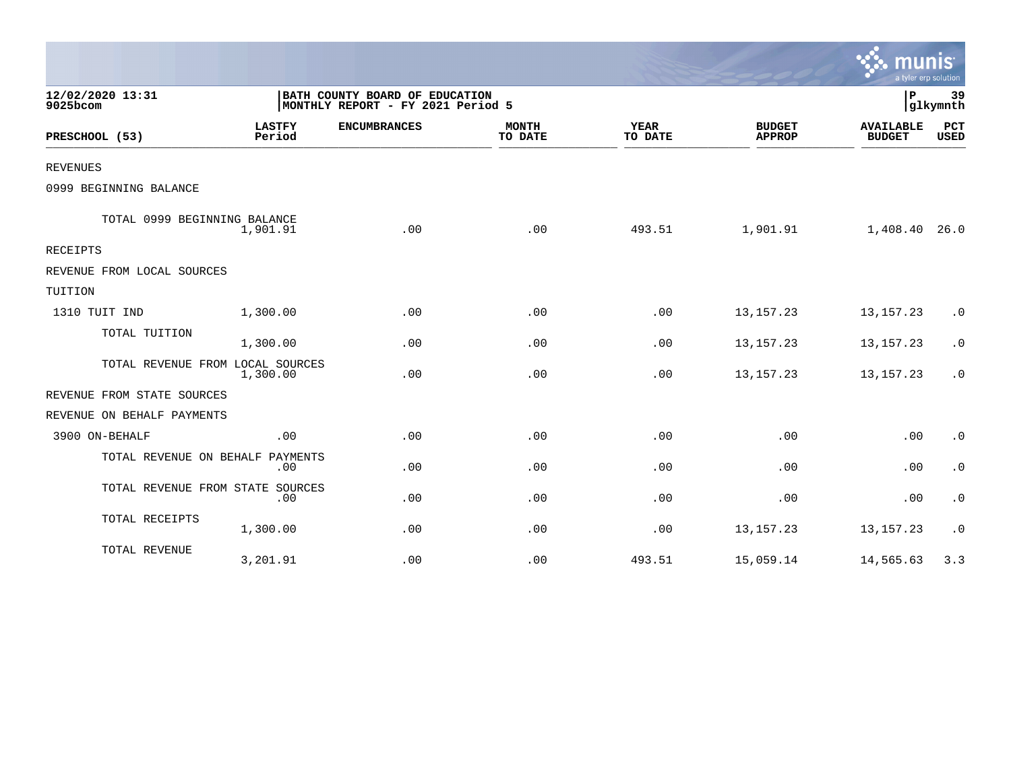|                                  |                         |                                                                     |                         |                        |                                | $\sim$ munis<br>a tyler erp solution |                    |
|----------------------------------|-------------------------|---------------------------------------------------------------------|-------------------------|------------------------|--------------------------------|--------------------------------------|--------------------|
| 12/02/2020 13:31<br>9025bcom     |                         | BATH COUNTY BOARD OF EDUCATION<br>MONTHLY REPORT - FY 2021 Period 5 |                         |                        |                                |                                      |                    |
| PRESCHOOL (53)                   | <b>LASTFY</b><br>Period | <b>ENCUMBRANCES</b>                                                 | <b>MONTH</b><br>TO DATE | <b>YEAR</b><br>TO DATE | <b>BUDGET</b><br><b>APPROP</b> | <b>AVAILABLE</b><br><b>BUDGET</b>    | PCT<br><b>USED</b> |
| <b>REVENUES</b>                  |                         |                                                                     |                         |                        |                                |                                      |                    |
| 0999 BEGINNING BALANCE           |                         |                                                                     |                         |                        |                                |                                      |                    |
| TOTAL 0999 BEGINNING BALANCE     | 1,901.91                | .00                                                                 | .00                     | 493.51                 | 1,901.91                       | 1,408.40                             | 26.0               |
| RECEIPTS                         |                         |                                                                     |                         |                        |                                |                                      |                    |
| REVENUE FROM LOCAL SOURCES       |                         |                                                                     |                         |                        |                                |                                      |                    |
| TUITION                          |                         |                                                                     |                         |                        |                                |                                      |                    |
| 1310 TUIT IND                    | 1,300.00                | .00                                                                 | .00                     | .00                    | 13, 157. 23                    | 13, 157. 23                          | $\cdot$ 0          |
| TOTAL TUITION                    | 1,300.00                | .00                                                                 | .00                     | .00                    | 13, 157. 23                    | 13, 157. 23                          | $\cdot$ 0          |
| TOTAL REVENUE FROM LOCAL SOURCES | 1,300.00                | .00                                                                 | .00                     | .00                    | 13, 157. 23                    | 13, 157. 23                          | $\cdot$ 0          |
| REVENUE FROM STATE SOURCES       |                         |                                                                     |                         |                        |                                |                                      |                    |
| REVENUE ON BEHALF PAYMENTS       |                         |                                                                     |                         |                        |                                |                                      |                    |
| 3900 ON-BEHALF                   | .00.                    | .00                                                                 | .00                     | .00                    | .00                            | .00                                  | $\cdot$ 0          |
| TOTAL REVENUE ON BEHALF          | PAYMENTS<br>.00         | .00                                                                 | .00                     | .00                    | .00                            | .00                                  | $\cdot$ 0          |
| TOTAL REVENUE FROM STATE SOURCES | .00                     | .00                                                                 | .00                     | .00                    | .00                            | .00                                  | $\cdot$ 0          |
| TOTAL RECEIPTS                   | 1,300.00                | .00                                                                 | .00                     | .00                    | 13, 157. 23                    | 13, 157. 23                          | $\cdot$ 0          |
| TOTAL REVENUE                    | 3,201.91                | .00                                                                 | .00                     | 493.51                 | 15,059.14                      | 14,565.63                            | 3.3                |

 $\sim$   $\sim$   $\sim$   $\sim$   $\sim$   $\sim$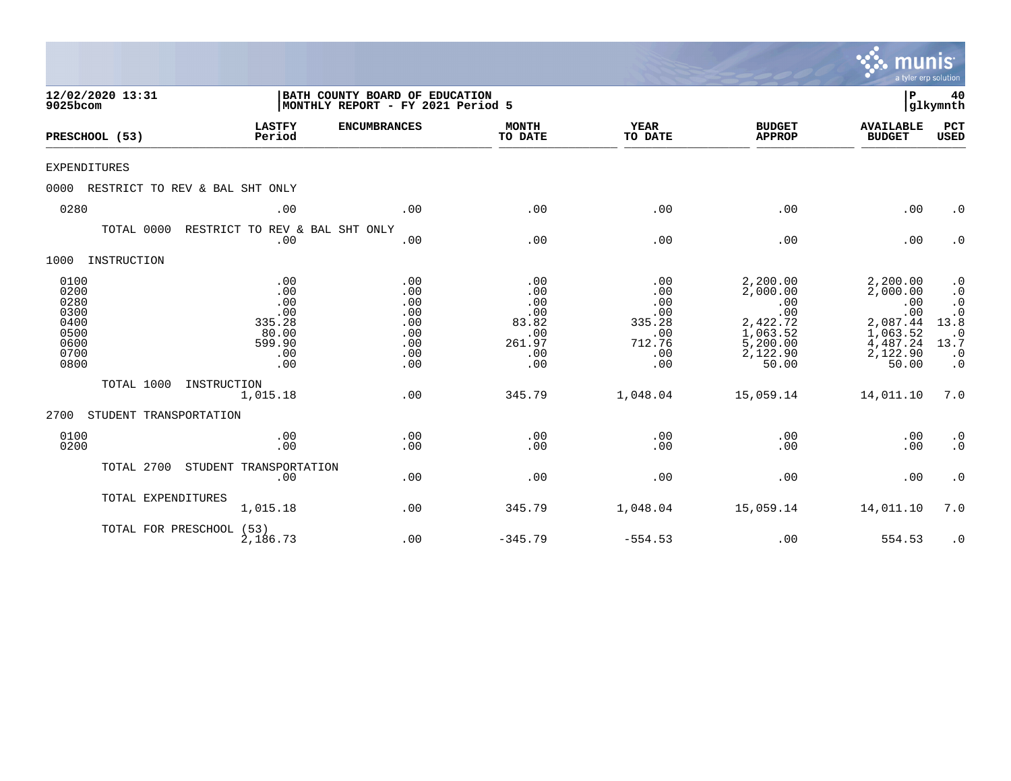|                                                                      |                                |                                                                     |                                                                     |                                                                  |                                                                   |                                                                                             | munis<br>a tyler erp solution                                                               |                                                                                                         |
|----------------------------------------------------------------------|--------------------------------|---------------------------------------------------------------------|---------------------------------------------------------------------|------------------------------------------------------------------|-------------------------------------------------------------------|---------------------------------------------------------------------------------------------|---------------------------------------------------------------------------------------------|---------------------------------------------------------------------------------------------------------|
| 9025bcom                                                             | 12/02/2020 13:31               |                                                                     | BATH COUNTY BOARD OF EDUCATION<br>MONTHLY REPORT - FY 2021 Period 5 |                                                                  |                                                                   |                                                                                             |                                                                                             |                                                                                                         |
|                                                                      | PRESCHOOL (53)                 | <b>LASTFY</b><br>Period                                             | <b>ENCUMBRANCES</b>                                                 | <b>MONTH</b><br>TO DATE                                          | <b>YEAR</b><br>TO DATE                                            | <b>BUDGET</b><br><b>APPROP</b>                                                              | <b>AVAILABLE</b><br><b>BUDGET</b>                                                           | PCT<br><b>USED</b>                                                                                      |
| <b>EXPENDITURES</b>                                                  |                                |                                                                     |                                                                     |                                                                  |                                                                   |                                                                                             |                                                                                             |                                                                                                         |
| 0000                                                                 | RESTRICT TO REV & BAL SHT ONLY |                                                                     |                                                                     |                                                                  |                                                                   |                                                                                             |                                                                                             |                                                                                                         |
| 0280                                                                 |                                | .00                                                                 | .00                                                                 | .00                                                              | .00                                                               | .00                                                                                         | .00                                                                                         | $\cdot$ 0                                                                                               |
|                                                                      | TOTAL 0000                     | RESTRICT TO REV & BAL SHT ONLY<br>.00                               | .00                                                                 | .00                                                              | .00                                                               | .00                                                                                         | .00                                                                                         | $\cdot$ 0                                                                                               |
| 1000                                                                 | INSTRUCTION                    |                                                                     |                                                                     |                                                                  |                                                                   |                                                                                             |                                                                                             |                                                                                                         |
| 0100<br>0200<br>0280<br>0300<br>0400<br>0500<br>0600<br>0700<br>0800 |                                | .00<br>.00<br>.00<br>.00<br>335.28<br>80.00<br>599.90<br>.00<br>.00 | .00<br>.00<br>.00<br>.00<br>.00<br>.00<br>.00<br>.00<br>.00         | .00<br>.00<br>.00<br>.00<br>83.82<br>.00<br>261.97<br>.00<br>.00 | .00<br>.00<br>.00<br>.00<br>335.28<br>.00<br>712.76<br>.00<br>.00 | 2,200.00<br>2,000.00<br>.00<br>.00<br>2,422.72<br>1,063.52<br>5,200.00<br>2,122.90<br>50.00 | 2,200.00<br>2,000.00<br>.00<br>.00<br>2,087.44<br>1,063.52<br>4,487.24<br>2,122.90<br>50.00 | $\cdot$ 0<br>$\cdot$ 0<br>$\cdot$ 0<br>$\cdot$ 0<br>13.8<br>$\cdot$ 0<br>13.7<br>$\cdot$ 0<br>$\cdot$ 0 |
|                                                                      | TOTAL 1000                     | INSTRUCTION<br>1,015.18                                             | .00                                                                 | 345.79                                                           | 1,048.04                                                          | 15,059.14                                                                                   | 14,011.10                                                                                   | 7.0                                                                                                     |
| 2700                                                                 | STUDENT TRANSPORTATION         |                                                                     |                                                                     |                                                                  |                                                                   |                                                                                             |                                                                                             |                                                                                                         |
| 0100<br>0200                                                         |                                | .00<br>.00                                                          | .00<br>.00                                                          | .00<br>.00                                                       | .00<br>.00                                                        | .00<br>.00                                                                                  | .00<br>.00                                                                                  | $\cdot$ 0<br>$\cdot$ 0                                                                                  |
|                                                                      | TOTAL 2700                     | STUDENT TRANSPORTATION<br>.00                                       | .00                                                                 | .00                                                              | .00                                                               | .00                                                                                         | .00                                                                                         | $\cdot$ 0                                                                                               |
|                                                                      | TOTAL EXPENDITURES             | 1,015.18                                                            | .00                                                                 | 345.79                                                           | 1,048.04                                                          | 15,059.14                                                                                   | 14,011.10                                                                                   | 7.0                                                                                                     |
|                                                                      | TOTAL FOR PRESCHOOL (53)       | 2,186.73                                                            | .00                                                                 | $-345.79$                                                        | $-554.53$                                                         | .00                                                                                         | 554.53                                                                                      | $\cdot$ 0                                                                                               |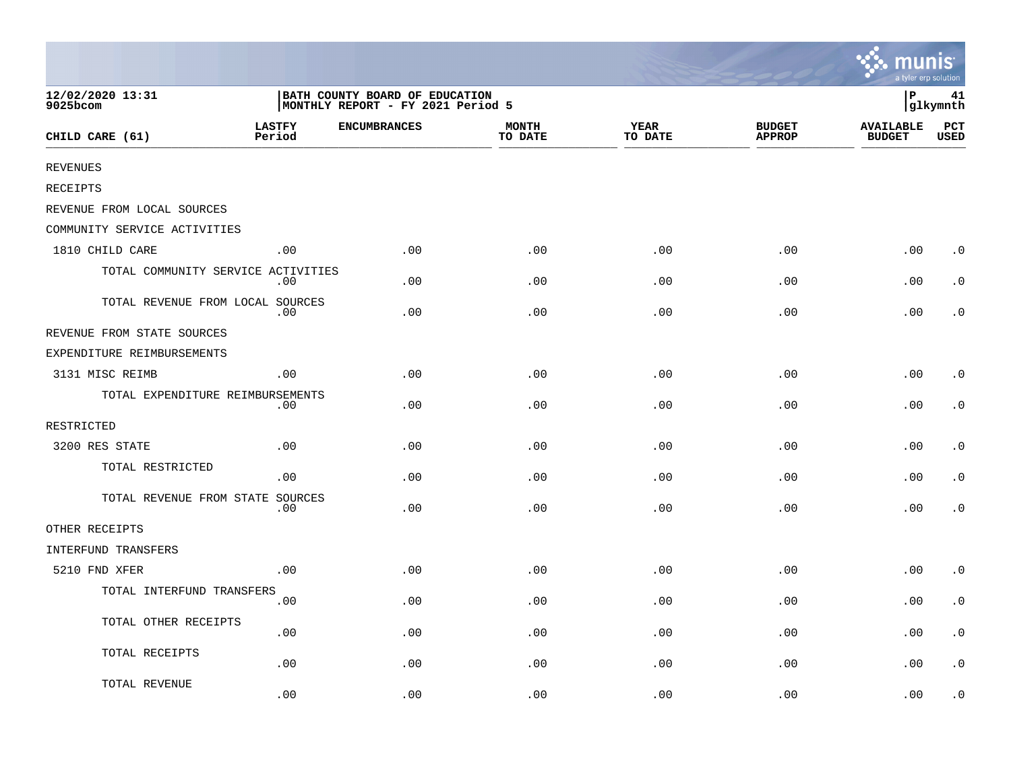|                                    |                         |                                                                     |                         |                 |                                | munis<br>a tyler erp solution     |                             |
|------------------------------------|-------------------------|---------------------------------------------------------------------|-------------------------|-----------------|--------------------------------|-----------------------------------|-----------------------------|
| 12/02/2020 13:31<br>9025bcom       |                         | BATH COUNTY BOARD OF EDUCATION<br>MONTHLY REPORT - FY 2021 Period 5 |                         |                 |                                | lР                                | 41<br>glkymnth              |
| CHILD CARE (61)                    | <b>LASTFY</b><br>Period | <b>ENCUMBRANCES</b>                                                 | <b>MONTH</b><br>TO DATE | YEAR<br>TO DATE | <b>BUDGET</b><br><b>APPROP</b> | <b>AVAILABLE</b><br><b>BUDGET</b> | $_{\rm PCT}$<br><b>USED</b> |
| <b>REVENUES</b>                    |                         |                                                                     |                         |                 |                                |                                   |                             |
| RECEIPTS                           |                         |                                                                     |                         |                 |                                |                                   |                             |
| REVENUE FROM LOCAL SOURCES         |                         |                                                                     |                         |                 |                                |                                   |                             |
| COMMUNITY SERVICE ACTIVITIES       |                         |                                                                     |                         |                 |                                |                                   |                             |
| 1810 CHILD CARE                    | .00                     | .00                                                                 | .00                     | .00             | .00                            | .00                               | $\cdot$ 0                   |
| TOTAL COMMUNITY SERVICE ACTIVITIES | .00                     | .00                                                                 | .00                     | .00             | .00                            | .00                               | $\cdot$ 0                   |
| TOTAL REVENUE FROM LOCAL SOURCES   | .00                     | .00                                                                 | .00                     | .00             | .00                            | .00                               | $\cdot$ 0                   |
| REVENUE FROM STATE SOURCES         |                         |                                                                     |                         |                 |                                |                                   |                             |
| EXPENDITURE REIMBURSEMENTS         |                         |                                                                     |                         |                 |                                |                                   |                             |
| 3131 MISC REIMB                    | .00                     | .00                                                                 | .00                     | .00             | .00                            | .00                               | $\cdot$ 0                   |
| TOTAL EXPENDITURE REIMBURSEMENTS   | $.00 \,$                | .00.                                                                | .00                     | .00             | .00                            | .00                               | $\cdot$ 0                   |
| RESTRICTED                         |                         |                                                                     |                         |                 |                                |                                   |                             |
| 3200 RES STATE                     | .00                     | .00                                                                 | .00                     | .00             | .00                            | .00                               | $\cdot$ 0                   |
| TOTAL RESTRICTED                   | .00                     | .00                                                                 | .00                     | .00             | .00                            | .00                               | $\cdot$ 0                   |
| TOTAL REVENUE FROM STATE SOURCES   | .00                     | .00                                                                 | .00                     | .00             | .00                            | .00                               | $\cdot$ 0                   |
| OTHER RECEIPTS                     |                         |                                                                     |                         |                 |                                |                                   |                             |
| INTERFUND TRANSFERS                |                         |                                                                     |                         |                 |                                |                                   |                             |
| 5210 FND XFER                      | .00                     | .00                                                                 | .00                     | .00             | .00                            | .00                               | $\cdot$ 0                   |
| TOTAL INTERFUND TRANSFERS          | .00                     | .00                                                                 | .00                     | .00             | .00                            | .00                               | $\cdot$ 0                   |
| TOTAL OTHER RECEIPTS               | .00                     | .00                                                                 | .00                     | .00             | .00                            | .00                               | $\cdot$ 0                   |
| TOTAL RECEIPTS                     | .00                     | .00                                                                 | .00                     | .00             | .00                            | .00                               | $\cdot$ 0                   |
| TOTAL REVENUE                      | .00                     | .00                                                                 | .00                     | .00             | .00                            | .00                               | $\cdot$ 0                   |

the contract of the contract of the contract of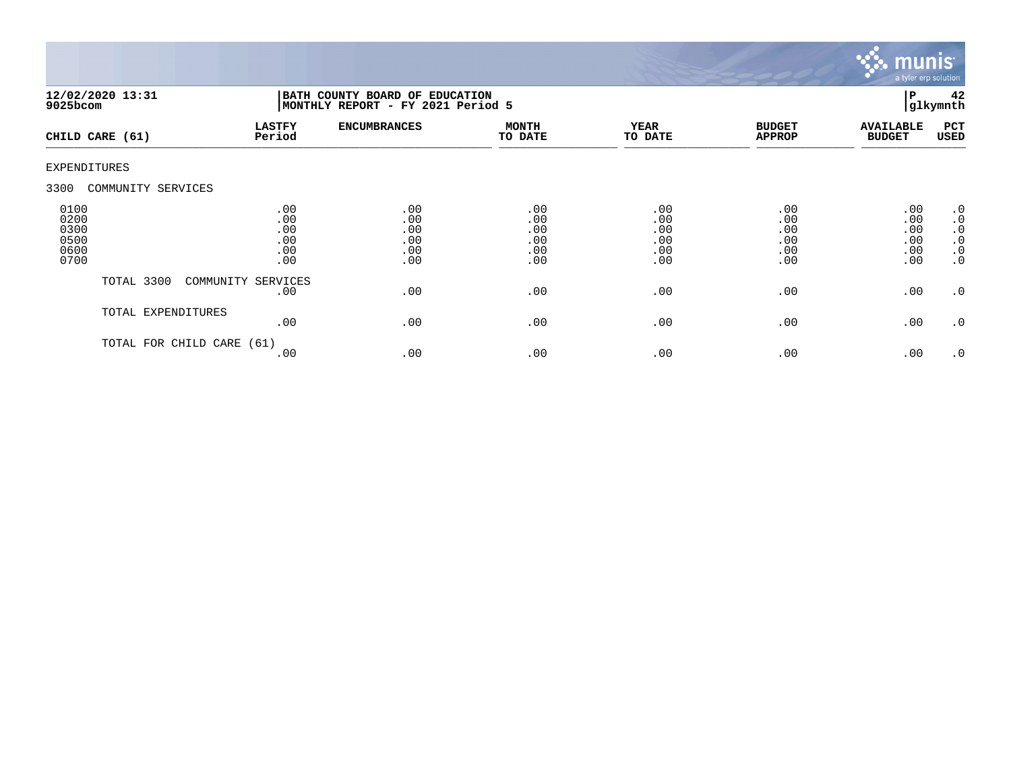

|                                              | 12/02/2020 13:31<br>$9025$ bcom |                                        | BATH COUNTY BOARD OF EDUCATION<br>MONTHLY REPORT - FY 2021 Period 5 |                                        |                                        |                                        |                                        |                                                                                         |
|----------------------------------------------|---------------------------------|----------------------------------------|---------------------------------------------------------------------|----------------------------------------|----------------------------------------|----------------------------------------|----------------------------------------|-----------------------------------------------------------------------------------------|
|                                              | CHILD CARE (61)                 | <b>LASTFY</b><br>Period                | <b>ENCUMBRANCES</b>                                                 | <b>MONTH</b><br>TO DATE                | <b>YEAR</b><br>TO DATE                 | <b>BUDGET</b><br><b>APPROP</b>         | <b>AVAILABLE</b><br><b>BUDGET</b>      | PCT<br>USED                                                                             |
| <b>EXPENDITURES</b>                          |                                 |                                        |                                                                     |                                        |                                        |                                        |                                        |                                                                                         |
| 3300                                         | COMMUNITY SERVICES              |                                        |                                                                     |                                        |                                        |                                        |                                        |                                                                                         |
| 0100<br>0200<br>0300<br>0500<br>0600<br>0700 |                                 | .00<br>.00<br>.00<br>.00<br>.00<br>.00 | .00<br>.00<br>.00<br>.00<br>.00<br>.00                              | .00<br>.00<br>.00<br>.00<br>.00<br>.00 | .00<br>.00<br>.00<br>.00<br>.00<br>.00 | .00<br>.00<br>.00<br>.00<br>.00<br>.00 | .00<br>.00<br>.00<br>.00<br>.00<br>.00 | $\cdot$ 0<br>$\boldsymbol{\cdot}$ 0<br>$\cdot$ 0<br>$\cdot$ 0<br>$\cdot$ 0<br>$\cdot$ 0 |
|                                              | TOTAL 3300                      | COMMUNITY SERVICES<br>.00              | .00                                                                 | .00                                    | .00                                    | .00                                    | .00                                    | $\cdot$ 0                                                                               |
|                                              | TOTAL EXPENDITURES              | .00                                    | .00                                                                 | .00                                    | .00                                    | .00                                    | .00                                    | $\cdot$ 0                                                                               |
|                                              | TOTAL FOR CHILD CARE            | (61)<br>.00                            | .00                                                                 | .00                                    | .00                                    | .00                                    | .00                                    | $\cdot$ 0                                                                               |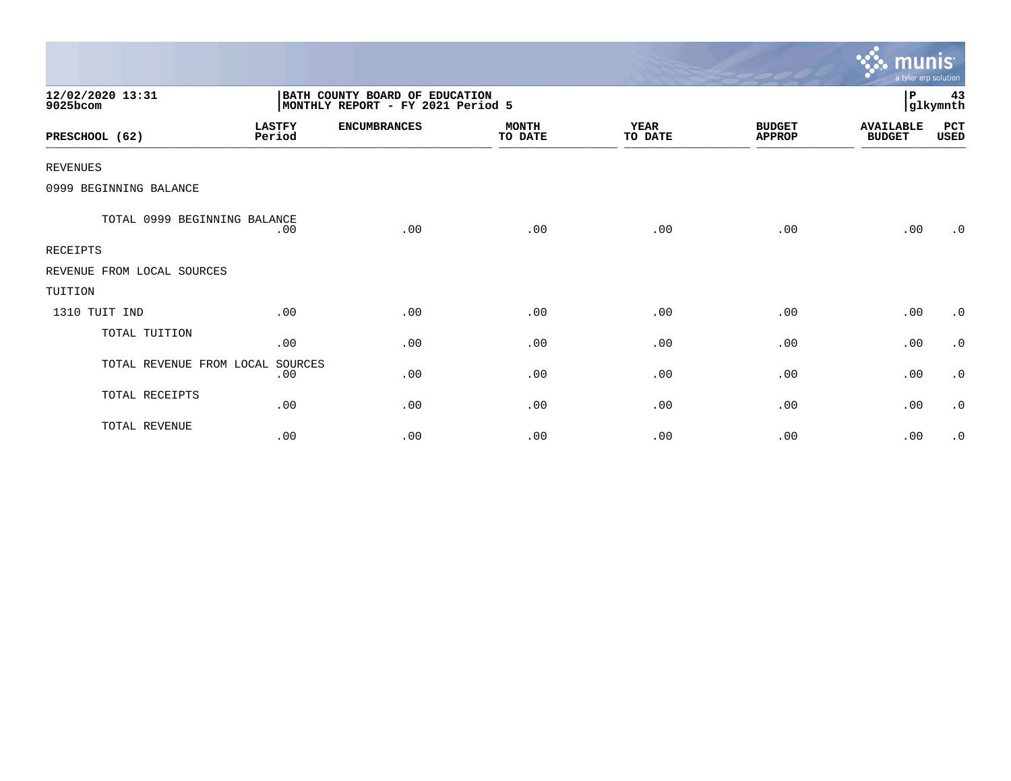|                              |                         |                                                                     |                         |                        |                                | <b>W.</b> munis<br>a tyler erp solution |                |
|------------------------------|-------------------------|---------------------------------------------------------------------|-------------------------|------------------------|--------------------------------|-----------------------------------------|----------------|
| 12/02/2020 13:31<br>9025bcom |                         | BATH COUNTY BOARD OF EDUCATION<br>MONTHLY REPORT - FY 2021 Period 5 |                         |                        |                                | ∣P                                      | 43<br>glkymnth |
| PRESCHOOL (62)               | <b>LASTFY</b><br>Period | <b>ENCUMBRANCES</b>                                                 | <b>MONTH</b><br>TO DATE | <b>YEAR</b><br>TO DATE | <b>BUDGET</b><br><b>APPROP</b> | <b>AVAILABLE</b><br><b>BUDGET</b>       | PCT<br>USED    |
| <b>REVENUES</b>              |                         |                                                                     |                         |                        |                                |                                         |                |
| 0999 BEGINNING BALANCE       |                         |                                                                     |                         |                        |                                |                                         |                |
| TOTAL 0999 BEGINNING BALANCE | .00                     | .00                                                                 | .00                     | .00                    | .00                            | .00                                     | $\cdot$ 0      |
| <b>RECEIPTS</b>              |                         |                                                                     |                         |                        |                                |                                         |                |
| REVENUE FROM LOCAL SOURCES   |                         |                                                                     |                         |                        |                                |                                         |                |
| TUITION                      |                         |                                                                     |                         |                        |                                |                                         |                |
| 1310 TUIT IND                | .00                     | .00                                                                 | .00                     | .00                    | .00                            | .00                                     | $\cdot$ 0      |
| TOTAL TUITION                | .00                     | .00                                                                 | .00                     | .00                    | .00                            | .00                                     | $\cdot$ 0      |
| TOTAL REVENUE FROM LOCAL     | SOURCES<br>.00          | .00                                                                 | .00                     | .00                    | .00                            | .00                                     | $\cdot$ 0      |
| TOTAL RECEIPTS               | .00                     | .00                                                                 | .00                     | .00                    | .00                            | .00                                     | $\cdot$ 0      |
| TOTAL REVENUE                | .00                     | .00                                                                 | .00                     | .00                    | .00                            | .00                                     | $\cdot$ 0      |

 $\sim$   $\sim$   $\sim$   $\sim$   $\sim$   $\sim$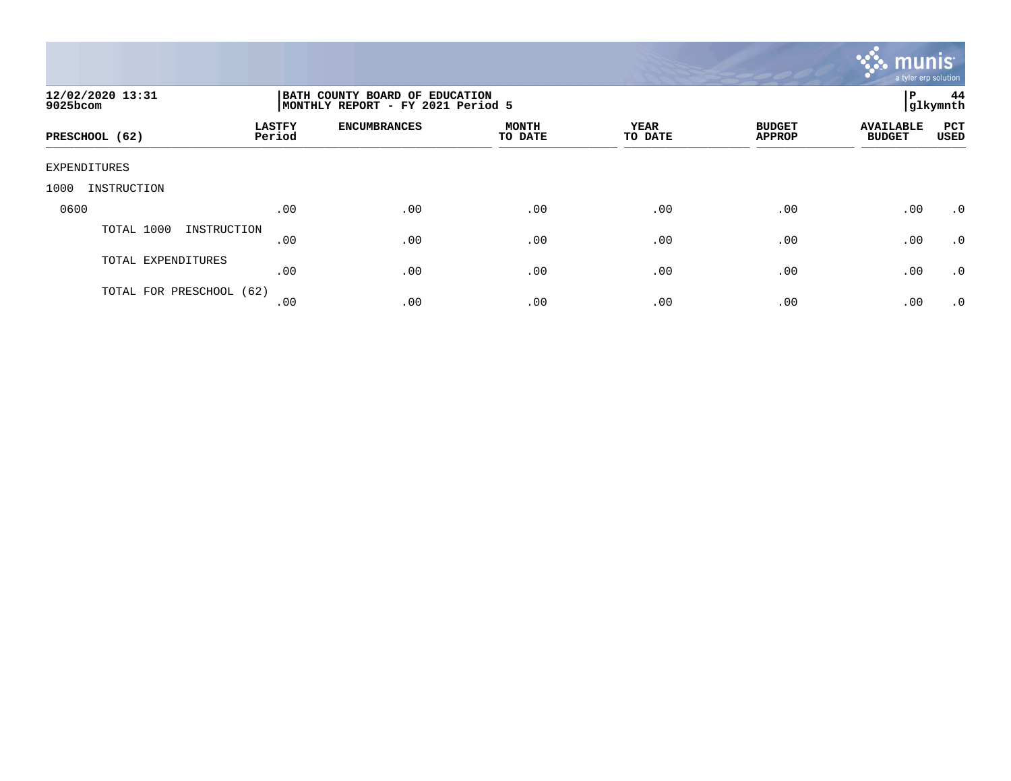

| 12/02/2020 13:31<br>9025bcom |                         | ΙP<br>BATH COUNTY BOARD OF EDUCATION<br>glkymnth <br>MONTHLY REPORT - FY 2021 Period 5 |                         |                 |                                |                                   |             |  |  |
|------------------------------|-------------------------|----------------------------------------------------------------------------------------|-------------------------|-----------------|--------------------------------|-----------------------------------|-------------|--|--|
| PRESCHOOL (62)               | <b>LASTFY</b><br>Period | <b>ENCUMBRANCES</b>                                                                    | <b>MONTH</b><br>TO DATE | YEAR<br>TO DATE | <b>BUDGET</b><br><b>APPROP</b> | <b>AVAILABLE</b><br><b>BUDGET</b> | PCT<br>USED |  |  |
| EXPENDITURES                 |                         |                                                                                        |                         |                 |                                |                                   |             |  |  |
| 1000<br>INSTRUCTION          |                         |                                                                                        |                         |                 |                                |                                   |             |  |  |
| 0600                         | .00                     | .00                                                                                    | .00                     | .00             | .00                            | .00                               | $\cdot$ 0   |  |  |
| TOTAL 1000<br>INSTRUCTION    | .00                     | .00                                                                                    | .00                     | .00             | .00                            | .00                               | $\cdot$ 0   |  |  |
| TOTAL EXPENDITURES           | .00                     | .00                                                                                    | .00                     | .00             | .00                            | .00                               | $\cdot$ 0   |  |  |
| TOTAL FOR PRESCHOOL (62)     | .00                     | .00                                                                                    | .00                     | .00             | .00                            | .00                               | .0          |  |  |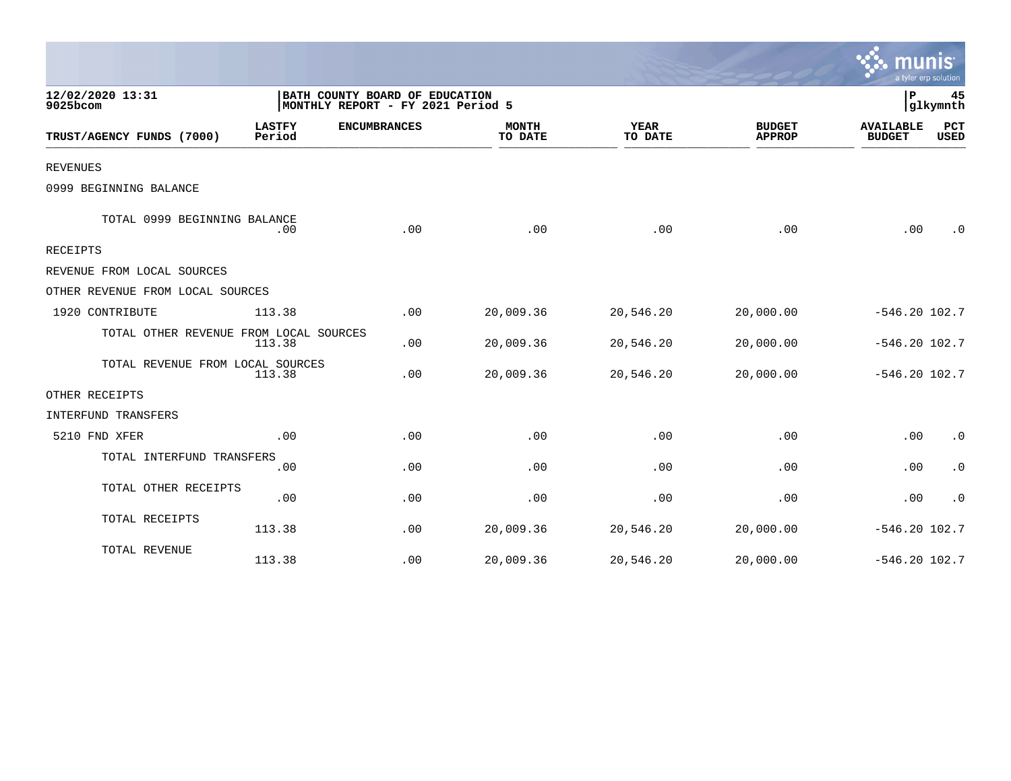|                                                      |                                                                     |                         |                        |                                |                                   | a tyler erp solution |
|------------------------------------------------------|---------------------------------------------------------------------|-------------------------|------------------------|--------------------------------|-----------------------------------|----------------------|
| 12/02/2020 13:31<br>9025bcom                         | BATH COUNTY BOARD OF EDUCATION<br>MONTHLY REPORT - FY 2021 Period 5 |                         |                        |                                | l P                               | 45<br>glkymnth       |
| <b>LASTFY</b><br>TRUST/AGENCY FUNDS (7000)<br>Period | <b>ENCUMBRANCES</b>                                                 | <b>MONTH</b><br>TO DATE | <b>YEAR</b><br>TO DATE | <b>BUDGET</b><br><b>APPROP</b> | <b>AVAILABLE</b><br><b>BUDGET</b> | PCT<br>USED          |
| <b>REVENUES</b>                                      |                                                                     |                         |                        |                                |                                   |                      |
| 0999 BEGINNING BALANCE                               |                                                                     |                         |                        |                                |                                   |                      |
| TOTAL 0999 BEGINNING BALANCE<br>.00                  | .00                                                                 | .00                     | .00                    | .00                            | .00                               | $\cdot$ 0            |
| <b>RECEIPTS</b>                                      |                                                                     |                         |                        |                                |                                   |                      |
| REVENUE FROM LOCAL SOURCES                           |                                                                     |                         |                        |                                |                                   |                      |
| OTHER REVENUE FROM LOCAL SOURCES                     |                                                                     |                         |                        |                                |                                   |                      |
| 1920 CONTRIBUTE<br>113.38                            | .00                                                                 | 20,009.36               | 20,546.20              | 20,000.00                      | $-546.20$ 102.7                   |                      |
| TOTAL OTHER REVENUE FROM LOCAL SOURCES<br>113.38     | .00                                                                 | 20,009.36               | 20,546.20              | 20,000.00                      | $-546.20 102.7$                   |                      |
| TOTAL REVENUE FROM LOCAL SOURCES<br>113.38           | .00                                                                 | 20,009.36               | 20,546.20              | 20,000.00                      | $-546.20$ 102.7                   |                      |
| OTHER RECEIPTS                                       |                                                                     |                         |                        |                                |                                   |                      |
| INTERFUND TRANSFERS                                  |                                                                     |                         |                        |                                |                                   |                      |
| 5210 FND XFER<br>.00                                 | .00                                                                 | .00                     | .00                    | .00                            | .00                               | $\cdot$ 0            |
| TOTAL INTERFUND TRANSFERS<br>.00                     | .00                                                                 | .00                     | .00                    | .00                            | .00                               | $\cdot$ 0            |
| TOTAL OTHER RECEIPTS<br>.00                          | .00                                                                 | .00                     | .00                    | .00                            | .00                               | $\cdot$ 0            |
| TOTAL RECEIPTS<br>113.38                             | .00                                                                 | 20,009.36               | 20,546.20              | 20,000.00                      | $-546.20$ 102.7                   |                      |
| TOTAL REVENUE<br>113.38                              | .00                                                                 | 20,009.36               | 20,546.20              | 20,000.00                      | $-546.20$ 102.7                   |                      |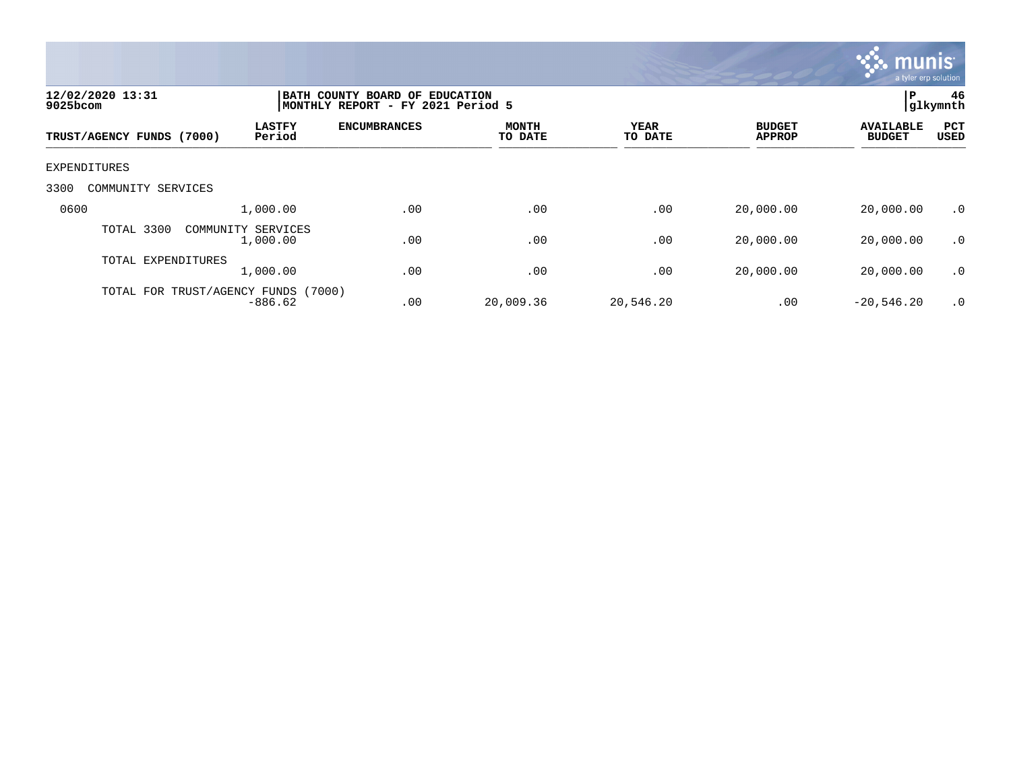

| 12/02/2020 13:31<br>$9025$ bcom     |                                |                     | BATH COUNTY BOARD OF EDUCATION<br>MONTHLY REPORT - FY 2021 Period 5 |                        |                                |                                   |                    |  |
|-------------------------------------|--------------------------------|---------------------|---------------------------------------------------------------------|------------------------|--------------------------------|-----------------------------------|--------------------|--|
| TRUST/AGENCY FUNDS (7000)           | <b>LASTFY</b><br>Period        | <b>ENCUMBRANCES</b> | <b>MONTH</b><br>TO DATE                                             | <b>YEAR</b><br>TO DATE | <b>BUDGET</b><br><b>APPROP</b> | <b>AVAILABLE</b><br><b>BUDGET</b> | PCT<br><b>USED</b> |  |
| EXPENDITURES                        |                                |                     |                                                                     |                        |                                |                                   |                    |  |
| 3300<br>COMMUNITY SERVICES          |                                |                     |                                                                     |                        |                                |                                   |                    |  |
| 0600                                | 1,000.00                       | .00                 | .00                                                                 | .00                    | 20,000.00                      | 20,000.00                         | .0                 |  |
| TOTAL 3300                          | COMMUNITY SERVICES<br>1,000.00 | .00                 | .00                                                                 | .00                    | 20,000.00                      | 20,000.00                         | $\cdot$ 0          |  |
| TOTAL EXPENDITURES                  | 1,000.00                       | .00                 | .00                                                                 | .00                    | 20,000.00                      | 20,000.00                         | $\cdot$ 0          |  |
| TOTAL FOR TRUST/AGENCY FUNDS (7000) | $-886.62$                      | .00                 | 20,009.36                                                           | 20,546.20              | .00                            | $-20,546.20$                      | $\cdot$ 0          |  |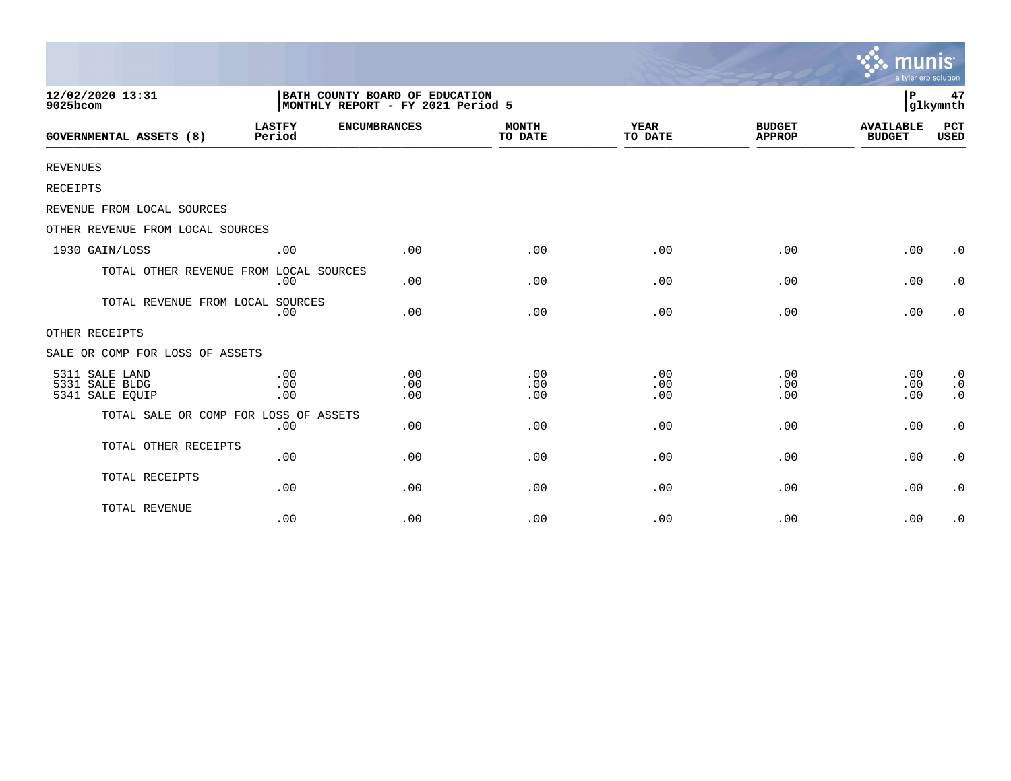|                                                     |                                                                     |                   |                         |                        |                                | munis<br>a tyler erp solution     |                                                  |
|-----------------------------------------------------|---------------------------------------------------------------------|-------------------|-------------------------|------------------------|--------------------------------|-----------------------------------|--------------------------------------------------|
| 12/02/2020 13:31<br>9025bcom                        | BATH COUNTY BOARD OF EDUCATION<br>MONTHLY REPORT - FY 2021 Period 5 |                   |                         |                        |                                |                                   | 47<br>glkymnth                                   |
| <b>GOVERNMENTAL ASSETS (8)</b>                      | <b>LASTFY</b><br><b>ENCUMBRANCES</b><br>Period                      |                   | <b>MONTH</b><br>TO DATE | <b>YEAR</b><br>TO DATE | <b>BUDGET</b><br><b>APPROP</b> | <b>AVAILABLE</b><br><b>BUDGET</b> | PCT<br><b>USED</b>                               |
| <b>REVENUES</b>                                     |                                                                     |                   |                         |                        |                                |                                   |                                                  |
| RECEIPTS                                            |                                                                     |                   |                         |                        |                                |                                   |                                                  |
| REVENUE FROM LOCAL SOURCES                          |                                                                     |                   |                         |                        |                                |                                   |                                                  |
| OTHER REVENUE FROM LOCAL SOURCES                    |                                                                     |                   |                         |                        |                                |                                   |                                                  |
| 1930 GAIN/LOSS                                      | .00                                                                 | .00               | .00                     | .00                    | .00                            | .00                               | $\cdot$ 0                                        |
| TOTAL OTHER REVENUE FROM LOCAL SOURCES              | .00                                                                 | .00               | .00                     | .00                    | .00                            | .00                               | $\cdot$ 0                                        |
| TOTAL REVENUE FROM LOCAL SOURCES                    | .00                                                                 | .00               | .00                     | .00                    | .00                            | .00                               | $\cdot$ 0                                        |
| OTHER RECEIPTS                                      |                                                                     |                   |                         |                        |                                |                                   |                                                  |
| SALE OR COMP FOR LOSS OF ASSETS                     |                                                                     |                   |                         |                        |                                |                                   |                                                  |
| 5311 SALE LAND<br>5331 SALE BLDG<br>5341 SALE EQUIP | .00<br>.00<br>.00                                                   | .00<br>.00<br>.00 | .00<br>.00<br>.00       | .00<br>.00<br>.00      | .00<br>.00<br>.00              | .00<br>.00<br>.00                 | $\boldsymbol{\cdot}$ 0<br>$\cdot$ 0<br>$\cdot$ 0 |
| TOTAL SALE OR COMP FOR LOSS OF ASSETS               | .00                                                                 | .00               | .00                     | .00                    | .00                            | .00                               | $\boldsymbol{\cdot}$ 0                           |
| TOTAL OTHER RECEIPTS                                | .00                                                                 | .00               | .00                     | .00                    | .00                            | .00                               | $\boldsymbol{\cdot}$ 0                           |
| TOTAL RECEIPTS                                      | .00                                                                 | .00               | .00                     | .00                    | .00                            | .00                               | $\cdot$ 0                                        |
| TOTAL REVENUE                                       | .00                                                                 | .00               | .00                     | .00                    | .00                            | .00                               | $\cdot$ 0                                        |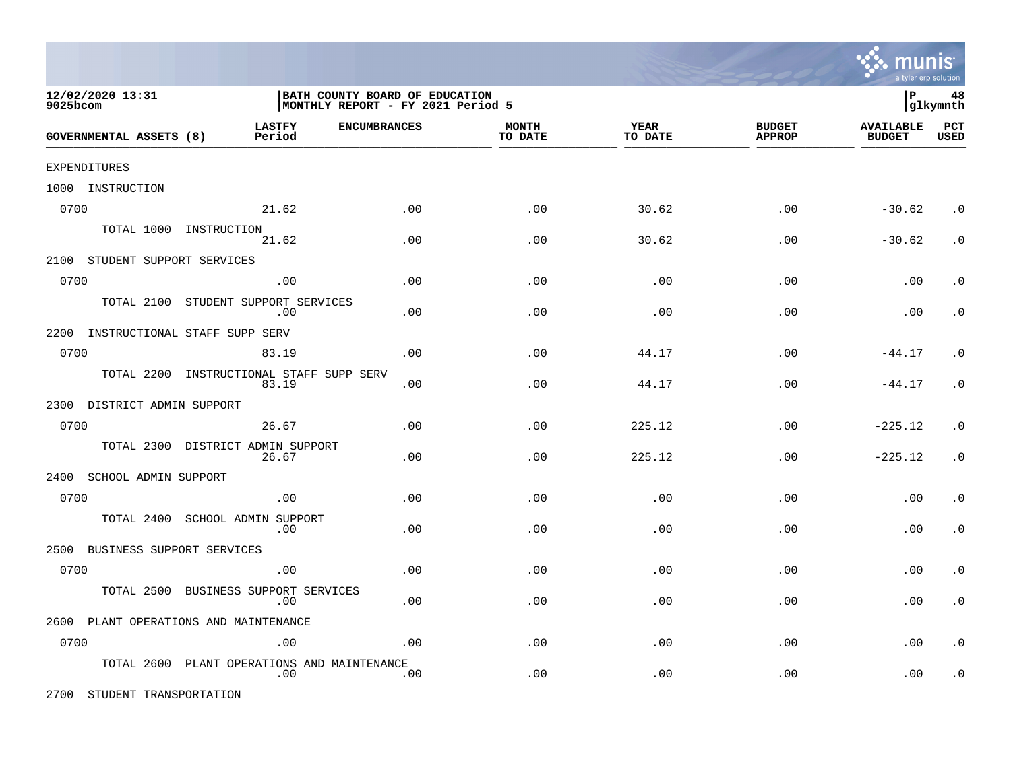

| 12/02/2020 13:31<br>9025bcom          |                                   | BATH COUNTY BOARD OF EDUCATION<br>MONTHLY REPORT - FY 2021 Period 5 |                     |                         |                        | ∣P                             | 48<br> glkymnth                   |                    |
|---------------------------------------|-----------------------------------|---------------------------------------------------------------------|---------------------|-------------------------|------------------------|--------------------------------|-----------------------------------|--------------------|
| <b>GOVERNMENTAL ASSETS (8)</b>        | <b>LASTFY</b><br>Period           |                                                                     | <b>ENCUMBRANCES</b> | <b>MONTH</b><br>TO DATE | <b>YEAR</b><br>TO DATE | <b>BUDGET</b><br><b>APPROP</b> | <b>AVAILABLE</b><br><b>BUDGET</b> | PCT<br><b>USED</b> |
| EXPENDITURES                          |                                   |                                                                     |                     |                         |                        |                                |                                   |                    |
| 1000 INSTRUCTION                      |                                   |                                                                     |                     |                         |                        |                                |                                   |                    |
| 0700                                  |                                   | 21.62                                                               | .00                 | .00                     | 30.62                  | .00                            | $-30.62$                          | $\cdot$ 0          |
|                                       | TOTAL 1000 INSTRUCTION            | 21.62                                                               | .00                 | .00                     | 30.62                  | .00                            | $-30.62$                          | $\cdot$ 0          |
| 2100 STUDENT SUPPORT SERVICES         |                                   |                                                                     |                     |                         |                        |                                |                                   |                    |
| 0700                                  |                                   | .00                                                                 | .00                 | .00                     | .00                    | .00                            | .00                               | $\cdot$ 0          |
| TOTAL 2100                            | STUDENT SUPPORT SERVICES          | .00                                                                 | .00                 | .00                     | .00                    | .00                            | .00                               | $\cdot$ 0          |
| 2200 INSTRUCTIONAL STAFF SUPP SERV    |                                   |                                                                     |                     |                         |                        |                                |                                   |                    |
| 0700                                  |                                   | 83.19                                                               | .00                 | .00                     | 44.17                  | .00                            | $-44.17$                          | $\cdot$ 0          |
| TOTAL 2200                            |                                   | INSTRUCTIONAL STAFF SUPP SERV<br>83.19                              | .00                 | .00                     | 44.17                  | .00                            | $-44.17$                          | $\cdot$ 0          |
| 2300 DISTRICT ADMIN SUPPORT           |                                   |                                                                     |                     |                         |                        |                                |                                   |                    |
| 0700                                  |                                   | 26.67                                                               | .00                 | .00                     | 225.12                 | .00                            | $-225.12$                         | $\cdot$ 0          |
|                                       | TOTAL 2300 DISTRICT ADMIN SUPPORT | 26.67                                                               | .00                 | .00                     | 225.12                 | .00                            | $-225.12$                         | $\cdot$ 0          |
| 2400 SCHOOL ADMIN SUPPORT             |                                   |                                                                     |                     |                         |                        |                                |                                   |                    |
| 0700                                  |                                   | .00                                                                 | .00                 | .00                     | .00                    | .00                            | .00                               | $\cdot$ 0          |
| TOTAL 2400                            | SCHOOL ADMIN SUPPORT              | $.00 \,$                                                            | .00                 | .00                     | .00                    | .00                            | .00                               | $\cdot$ 0          |
| 2500                                  | BUSINESS SUPPORT SERVICES         |                                                                     |                     |                         |                        |                                |                                   |                    |
| 0700                                  |                                   | .00                                                                 | .00                 | .00                     | .00                    | .00                            | .00                               | $\cdot$ 0          |
| TOTAL 2500                            | BUSINESS SUPPORT SERVICES         | .00                                                                 | .00                 | $.00 \,$                | .00                    | .00                            | .00                               | $\cdot$ 0          |
| 2600 PLANT OPERATIONS AND MAINTENANCE |                                   |                                                                     |                     |                         |                        |                                |                                   |                    |
| 0700                                  |                                   | .00                                                                 | .00                 | .00                     | .00                    | .00                            | .00                               | $\cdot$ 0          |
| TOTAL 2600                            |                                   | PLANT OPERATIONS AND MAINTENANCE<br>.00                             | .00                 | .00                     | .00                    | .00                            | .00                               | $\cdot$ 0          |

2700 STUDENT TRANSPORTATION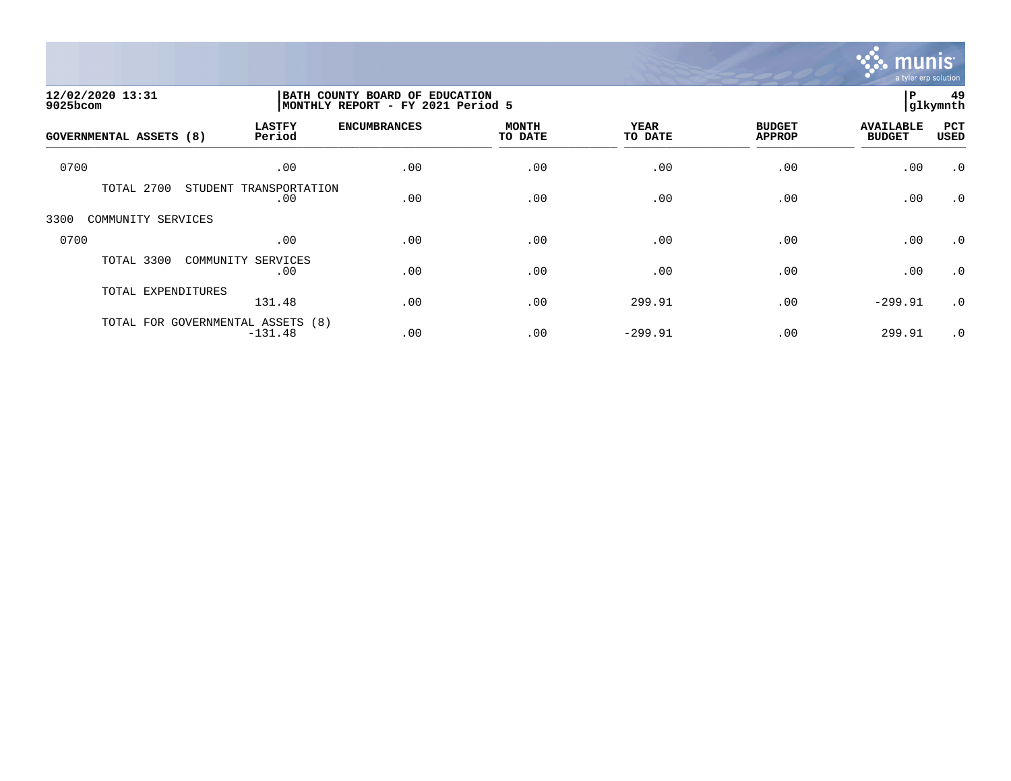

| 12/02/2020 13:31<br>9025bcom      |                               | BATH COUNTY BOARD OF EDUCATION<br>MONTHLY REPORT - FY 2021 Period 5 |                         |                 |                                |                                   |                    |
|-----------------------------------|-------------------------------|---------------------------------------------------------------------|-------------------------|-----------------|--------------------------------|-----------------------------------|--------------------|
| <b>GOVERNMENTAL ASSETS (8)</b>    | <b>LASTFY</b><br>Period       | <b>ENCUMBRANCES</b>                                                 | <b>MONTH</b><br>TO DATE | YEAR<br>TO DATE | <b>BUDGET</b><br><b>APPROP</b> | <b>AVAILABLE</b><br><b>BUDGET</b> | PCT<br><b>USED</b> |
| 0700                              | .00                           | .00                                                                 | .00                     | .00             | .00                            | .00                               | $\cdot$ 0          |
| TOTAL 2700                        | STUDENT TRANSPORTATION<br>.00 | .00                                                                 | .00                     | .00             | .00                            | .00                               | $\cdot$ 0          |
| 3300<br>COMMUNITY SERVICES        |                               |                                                                     |                         |                 |                                |                                   |                    |
| 0700                              | .00                           | .00                                                                 | .00                     | .00             | .00                            | .00                               | $\cdot$ 0          |
| TOTAL 3300                        | COMMUNITY<br>SERVICES<br>.00  | .00                                                                 | .00                     | .00             | .00                            | .00                               | $\cdot$ 0          |
| TOTAL EXPENDITURES                | 131.48                        | .00                                                                 | .00                     | 299.91          | .00                            | $-299.91$                         | $\cdot$ 0          |
| TOTAL FOR GOVERNMENTAL ASSETS (8) | $-131.48$                     | .00                                                                 | .00                     | $-299.91$       | .00                            | 299.91                            | $\cdot$ 0          |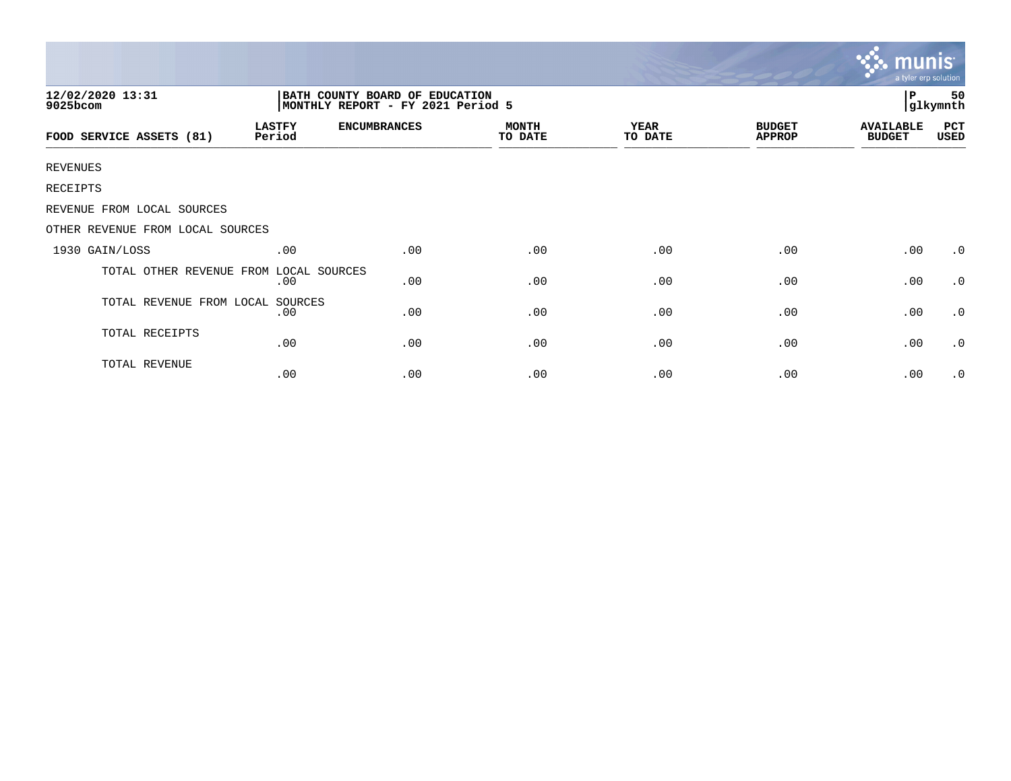|                                                                                                     |                         |                     |                         |                        | munis<br>a tyler erp solution  |                                   |             |
|-----------------------------------------------------------------------------------------------------|-------------------------|---------------------|-------------------------|------------------------|--------------------------------|-----------------------------------|-------------|
| 12/02/2020 13:31<br>BATH COUNTY BOARD OF EDUCATION<br>MONTHLY REPORT - FY 2021 Period 5<br>9025bcom |                         |                     |                         |                        |                                |                                   |             |
| FOOD SERVICE ASSETS (81)                                                                            | <b>LASTFY</b><br>Period | <b>ENCUMBRANCES</b> | <b>MONTH</b><br>TO DATE | <b>YEAR</b><br>TO DATE | <b>BUDGET</b><br><b>APPROP</b> | <b>AVAILABLE</b><br><b>BUDGET</b> | PCT<br>USED |
| <b>REVENUES</b>                                                                                     |                         |                     |                         |                        |                                |                                   |             |
| RECEIPTS                                                                                            |                         |                     |                         |                        |                                |                                   |             |
| REVENUE FROM LOCAL SOURCES                                                                          |                         |                     |                         |                        |                                |                                   |             |
| OTHER REVENUE FROM LOCAL SOURCES                                                                    |                         |                     |                         |                        |                                |                                   |             |
| 1930 GAIN/LOSS                                                                                      | .00                     | .00                 | .00                     | .00                    | .00                            | .00                               | $\cdot$ 0   |
| TOTAL OTHER REVENUE FROM LOCAL SOURCES                                                              | .00                     | .00                 | .00                     | .00                    | .00                            | .00                               | $\cdot$ 0   |
| TOTAL REVENUE FROM LOCAL SOURCES                                                                    | .00                     | .00                 | .00                     | .00                    | .00                            | .00                               | $\cdot$ 0   |
| TOTAL RECEIPTS                                                                                      | .00                     | .00                 | .00                     | .00                    | .00                            | .00                               | $\cdot$ 0   |
| TOTAL REVENUE                                                                                       | .00                     | .00                 | .00                     | .00                    | .00                            | .00                               | $\cdot$ 0   |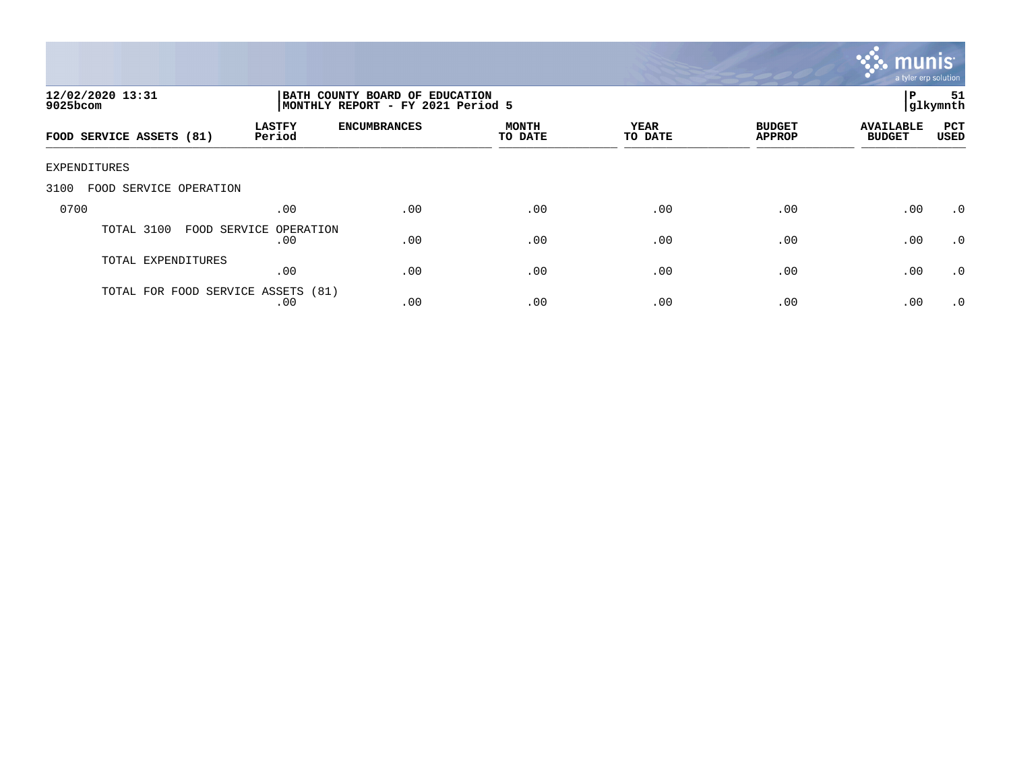

| 12/02/2020 13:31<br>$9025$ bcom    |                               | BATH COUNTY BOARD OF EDUCATION<br>MONTHLY REPORT - FY 2021 Period 5 |                         |                 |                                |                                   |                    |
|------------------------------------|-------------------------------|---------------------------------------------------------------------|-------------------------|-----------------|--------------------------------|-----------------------------------|--------------------|
| FOOD SERVICE ASSETS (81)           | <b>LASTFY</b><br>Period       | <b>ENCUMBRANCES</b>                                                 | <b>MONTH</b><br>TO DATE | YEAR<br>TO DATE | <b>BUDGET</b><br><b>APPROP</b> | <b>AVAILABLE</b><br><b>BUDGET</b> | PCT<br><b>USED</b> |
| EXPENDITURES                       |                               |                                                                     |                         |                 |                                |                                   |                    |
| 3100<br>FOOD SERVICE OPERATION     |                               |                                                                     |                         |                 |                                |                                   |                    |
| 0700                               | .00                           | .00                                                                 | .00                     | .00             | .00                            | .00                               | .0                 |
| TOTAL 3100                         | FOOD SERVICE OPERATION<br>.00 | .00                                                                 | .00                     | .00             | .00                            | .00                               | .0                 |
| TOTAL EXPENDITURES                 | .00                           | .00                                                                 | .00                     | .00             | .00                            | .00                               | $\cdot$ 0          |
| TOTAL FOR FOOD SERVICE ASSETS (81) | .00                           | .00                                                                 | .00                     | .00             | .00                            | .00                               | $\cdot$ 0          |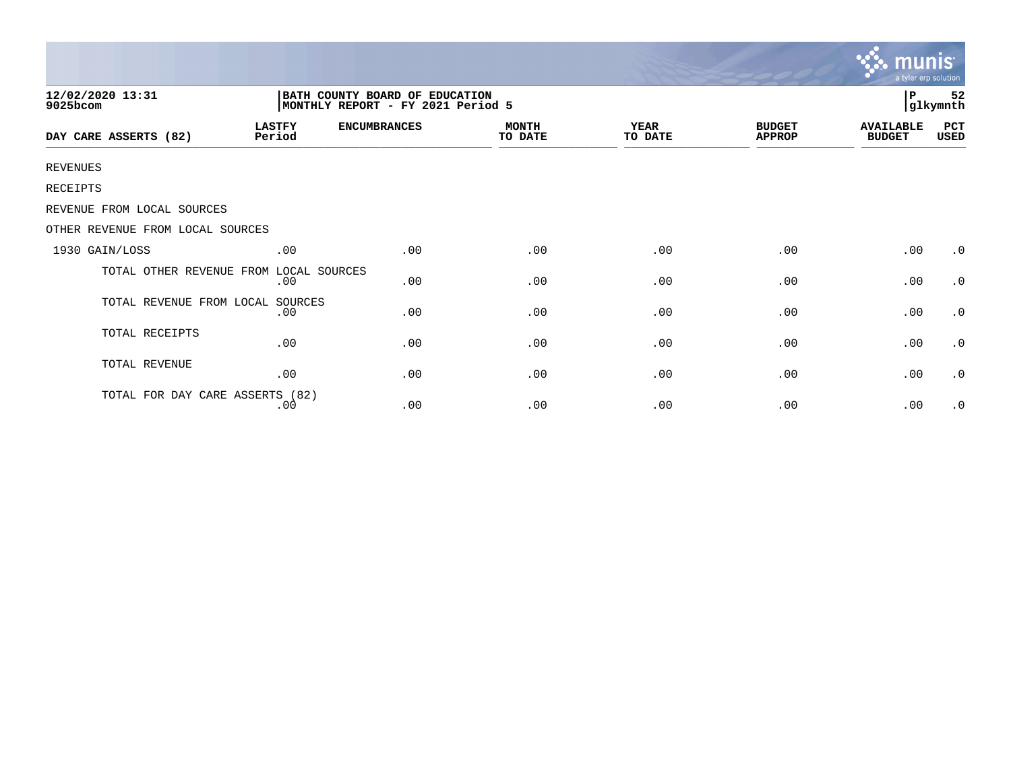|                                        |                                                                     |                     |                         |                        |                                | <b>munis</b><br>a tyler erp solution |                     |  |
|----------------------------------------|---------------------------------------------------------------------|---------------------|-------------------------|------------------------|--------------------------------|--------------------------------------|---------------------|--|
| 12/02/2020 13:31<br>9025bcom           | BATH COUNTY BOARD OF EDUCATION<br>MONTHLY REPORT - FY 2021 Period 5 |                     |                         |                        |                                |                                      | 52<br>P<br>glkymnth |  |
| DAY CARE ASSERTS (82)                  | <b>LASTFY</b><br>Period                                             | <b>ENCUMBRANCES</b> | <b>MONTH</b><br>TO DATE | <b>YEAR</b><br>TO DATE | <b>BUDGET</b><br><b>APPROP</b> | <b>AVAILABLE</b><br><b>BUDGET</b>    | PCT<br>USED         |  |
| <b>REVENUES</b>                        |                                                                     |                     |                         |                        |                                |                                      |                     |  |
| <b>RECEIPTS</b>                        |                                                                     |                     |                         |                        |                                |                                      |                     |  |
| REVENUE FROM LOCAL SOURCES             |                                                                     |                     |                         |                        |                                |                                      |                     |  |
| OTHER REVENUE FROM LOCAL SOURCES       |                                                                     |                     |                         |                        |                                |                                      |                     |  |
| 1930 GAIN/LOSS                         | .00                                                                 | .00                 | .00                     | .00                    | .00                            | .00                                  | $\cdot$ 0           |  |
| TOTAL OTHER REVENUE FROM LOCAL SOURCES | .00                                                                 | .00                 | .00                     | .00                    | .00                            | .00                                  | $\cdot$ 0           |  |
| TOTAL REVENUE FROM LOCAL               | SOURCES<br>.00                                                      | .00                 | .00                     | .00                    | .00                            | .00                                  | $\cdot$ 0           |  |
| TOTAL RECEIPTS                         | .00                                                                 | .00                 | .00                     | .00                    | .00                            | .00                                  | $\cdot$ 0           |  |
| TOTAL REVENUE                          | .00                                                                 | .00                 | .00                     | .00                    | .00                            | .00                                  | $\cdot$ 0           |  |
| TOTAL FOR DAY CARE ASSERTS (82)        | .00                                                                 | .00                 | .00                     | .00                    | .00                            | .00                                  | $\cdot$ 0           |  |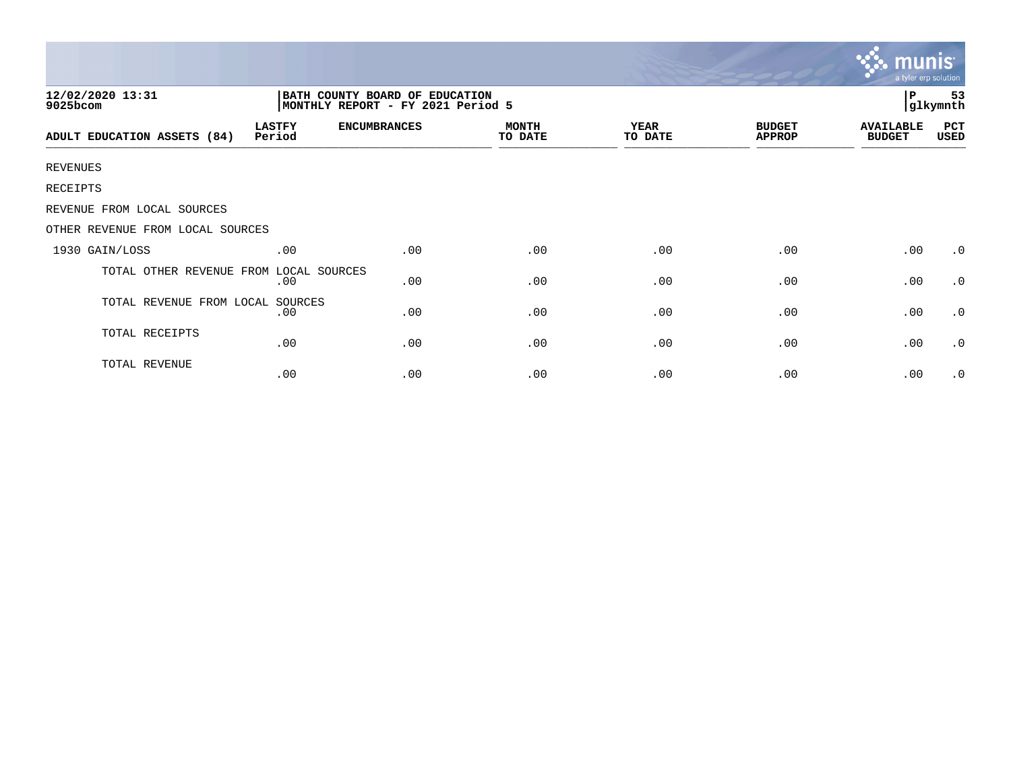|                                                                                                     |                         |                     |                         |                        |                                | munis<br>a tyler erp solution     |             |
|-----------------------------------------------------------------------------------------------------|-------------------------|---------------------|-------------------------|------------------------|--------------------------------|-----------------------------------|-------------|
| 12/02/2020 13:31<br>BATH COUNTY BOARD OF EDUCATION<br>MONTHLY REPORT - FY 2021 Period 5<br>9025bcom |                         |                     |                         |                        |                                |                                   |             |
| ADULT EDUCATION ASSETS (84)                                                                         | <b>LASTFY</b><br>Period | <b>ENCUMBRANCES</b> | <b>MONTH</b><br>TO DATE | <b>YEAR</b><br>TO DATE | <b>BUDGET</b><br><b>APPROP</b> | <b>AVAILABLE</b><br><b>BUDGET</b> | PCT<br>USED |
| <b>REVENUES</b>                                                                                     |                         |                     |                         |                        |                                |                                   |             |
| RECEIPTS                                                                                            |                         |                     |                         |                        |                                |                                   |             |
| REVENUE FROM LOCAL SOURCES                                                                          |                         |                     |                         |                        |                                |                                   |             |
| OTHER REVENUE FROM LOCAL SOURCES                                                                    |                         |                     |                         |                        |                                |                                   |             |
| 1930 GAIN/LOSS                                                                                      | .00                     | .00                 | .00                     | .00                    | .00                            | .00                               | $\cdot$ 0   |
| TOTAL OTHER REVENUE FROM                                                                            | LOCAL SOURCES<br>.00    | .00                 | .00                     | .00                    | .00                            | .00                               | $\cdot$ 0   |
| TOTAL REVENUE FROM LOCAL SOURCES                                                                    | .00                     | .00                 | .00                     | .00                    | .00                            | .00                               | $\cdot$ 0   |
| TOTAL RECEIPTS                                                                                      | .00                     | .00                 | .00                     | .00                    | .00                            | .00                               | $\cdot$ 0   |
| TOTAL REVENUE                                                                                       | .00                     | .00                 | .00                     | .00                    | .00                            | .00                               | $\cdot$ 0   |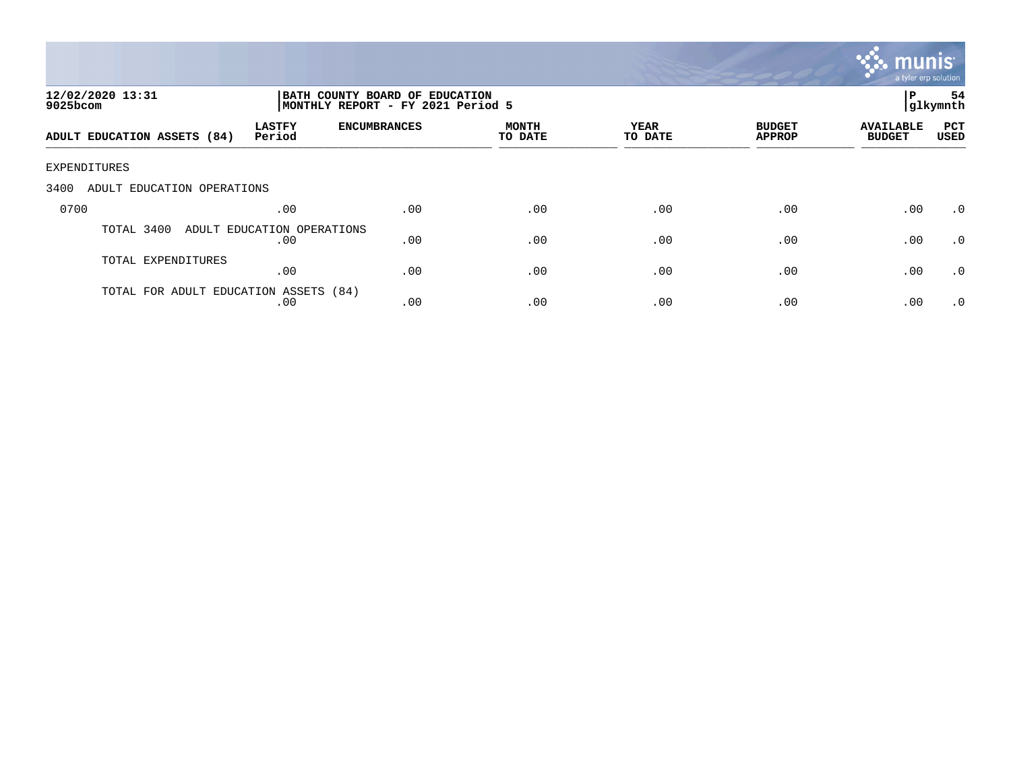

| 12/02/2020 13:31<br>9025bcom          |                                   | BATH COUNTY BOARD OF EDUCATION<br>MONTHLY REPORT - FY 2021 Period 5 |                         |                 |                                |                                   |                    |
|---------------------------------------|-----------------------------------|---------------------------------------------------------------------|-------------------------|-----------------|--------------------------------|-----------------------------------|--------------------|
| ADULT EDUCATION ASSETS (84)           | <b>LASTFY</b><br>Period           | <b>ENCUMBRANCES</b>                                                 | <b>MONTH</b><br>TO DATE | YEAR<br>TO DATE | <b>BUDGET</b><br><b>APPROP</b> | <b>AVAILABLE</b><br><b>BUDGET</b> | PCT<br><b>USED</b> |
| EXPENDITURES                          |                                   |                                                                     |                         |                 |                                |                                   |                    |
| 3400<br>ADULT EDUCATION OPERATIONS    |                                   |                                                                     |                         |                 |                                |                                   |                    |
| 0700                                  | .00                               | .00                                                                 | .00                     | .00             | .00                            | .00                               | $\cdot$ 0          |
| TOTAL 3400                            | ADULT EDUCATION OPERATIONS<br>.00 | .00                                                                 | .00                     | .00             | .00                            | .00                               | $\cdot$ 0          |
| TOTAL EXPENDITURES                    | .00                               | .00                                                                 | .00                     | .00             | .00                            | .00                               | .0                 |
| TOTAL FOR ADULT EDUCATION ASSETS (84) | .00                               | .00                                                                 | .00                     | .00             | .00                            | .00                               | $\cdot$ 0          |